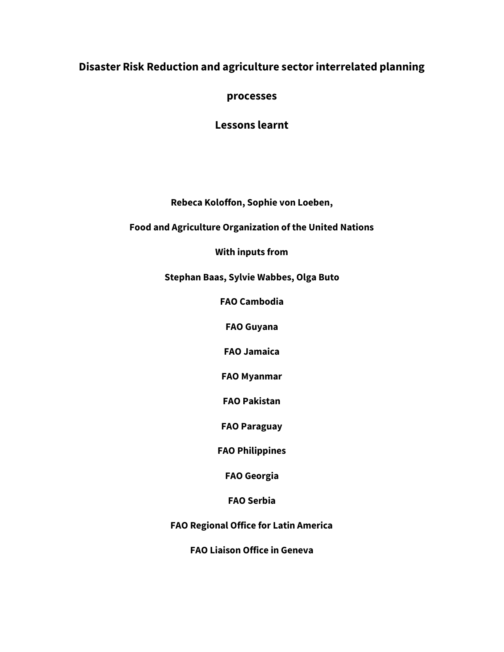# **Disaster Risk Reduction and agriculture sector interrelated planning**

**processes** 

**Lessons learnt**

**Rebeca Koloffon, Sophie von Loeben,**

**Food and Agriculture Organization of the United Nations**

**With inputs from**

**Stephan Baas, Sylvie Wabbes, Olga Buto**

**FAO Cambodia**

**FAO Guyana**

**FAO Jamaica**

**FAO Myanmar**

**FAO Pakistan**

**FAO Paraguay**

**FAO Philippines**

**FAO Georgia**

**FAO Serbia**

**FAO Regional Office for Latin America**

**FAO Liaison Office in Geneva**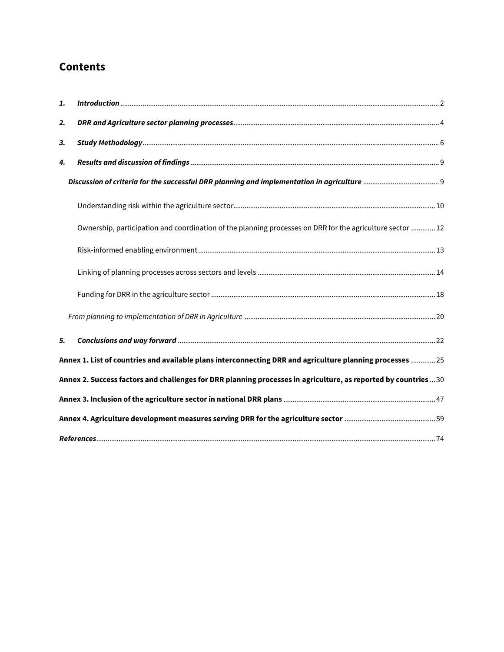# **Contents**

| 1. |                                                                                                                 |  |  |  |  |
|----|-----------------------------------------------------------------------------------------------------------------|--|--|--|--|
| 2. |                                                                                                                 |  |  |  |  |
| 3. |                                                                                                                 |  |  |  |  |
| 4. |                                                                                                                 |  |  |  |  |
|    |                                                                                                                 |  |  |  |  |
|    |                                                                                                                 |  |  |  |  |
|    | Ownership, participation and coordination of the planning processes on DRR for the agriculture sector  12       |  |  |  |  |
|    |                                                                                                                 |  |  |  |  |
|    |                                                                                                                 |  |  |  |  |
|    |                                                                                                                 |  |  |  |  |
|    |                                                                                                                 |  |  |  |  |
| 5. |                                                                                                                 |  |  |  |  |
|    | Annex 1. List of countries and available plans interconnecting DRR and agriculture planning processes  25       |  |  |  |  |
|    | Annex 2. Success factors and challenges for DRR planning processes in agriculture, as reported by countries  30 |  |  |  |  |
|    |                                                                                                                 |  |  |  |  |
|    |                                                                                                                 |  |  |  |  |
|    |                                                                                                                 |  |  |  |  |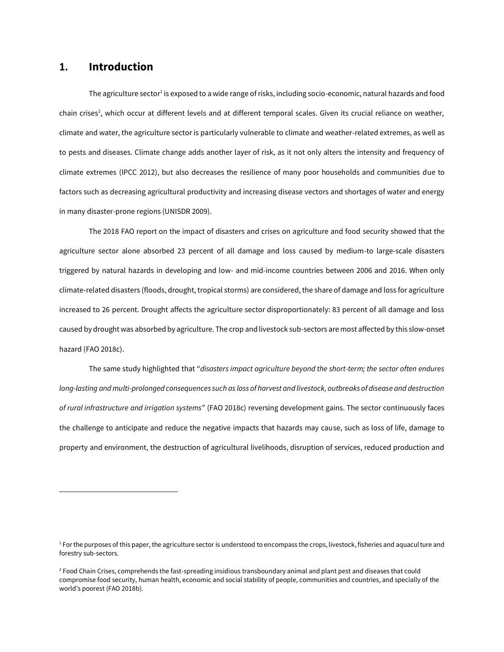# **1. Introduction**

l

The agriculture sector<sup>1</sup> is exposed to a wide range of risks, including socio-economic, natural hazards and food chain crises<sup>2</sup>, which occur at different levels and at different temporal scales. Given its crucial reliance on weather, climate and water, the agriculture sector is particularly vulnerable to climate and weather-related extremes, as well as to pests and diseases. Climate change adds another layer of risk, as it not only alters the intensity and frequency of climate extremes (IPCC 2012), but also decreases the resilience of many poor households and communities due to factors such as decreasing agricultural productivity and increasing disease vectors and shortages of water and energy in many disaster-prone regions (UNISDR 2009).

The 2018 FAO report on the impact of disasters and crises on agriculture and food security showed that the agriculture sector alone absorbed 23 percent of all damage and loss caused by medium-to large-scale disasters triggered by natural hazards in developing and low- and mid-income countries between 2006 and 2016. When only climate-related disasters (floods, drought, tropical storms) are considered, the share of damage and loss for agriculture increased to 26 percent. Drought affects the agriculture sector disproportionately: 83 percent of all damage and loss caused by drought was absorbed by agriculture. The crop and livestock sub-sectors are most affected by this slow-onset hazard (FAO 2018c).

The same study highlighted that "*disasters impact agriculture beyond the short-term; the sector often endures long-lasting and multi-prolonged consequences such as loss of harvest and livestock, outbreaks of disease and destruction of rural infrastructure and irrigation systems*" (FAO 2018c) reversing development gains. The sector continuously faces the challenge to anticipate and reduce the negative impacts that hazards may cause, such as loss of life, damage to property and environment, the destruction of agricultural livelihoods, disruption of services, reduced production and

<sup>&</sup>lt;sup>1</sup> For the purposes of this paper, the agriculture sector is understood to encompass the crops, livestock, fisheries and aquaculture and forestry sub-sectors.

<sup>&</sup>lt;sup>2</sup> Food Chain Crises, comprehends the fast-spreading insidious transboundary animal and plant pest and diseases that could compromise food security, human health, economic and social stability of people, communities and countries, and specially of the world's poorest (FAO 2018b).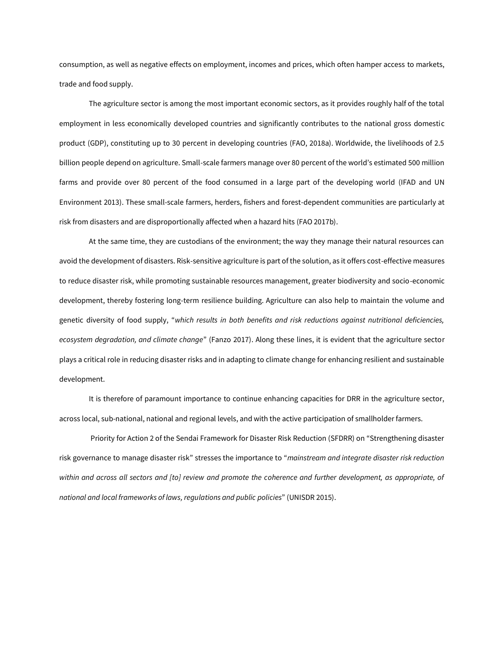consumption, as well as negative effects on employment, incomes and prices, which often hamper access to markets, trade and food supply.

The agriculture sector is among the most important economic sectors, as it provides roughly half of the total employment in less economically developed countries and significantly contributes to the national gross domestic product (GDP), constituting up to 30 percent in developing countries (FAO, 2018a). Worldwide, the livelihoods of 2.5 billion people depend on agriculture. Small-scale farmers manage over 80 percent of the world's estimated 500 million farms and provide over 80 percent of the food consumed in a large part of the developing world (IFAD and UN Environment 2013). These small-scale farmers, herders, fishers and forest-dependent communities are particularly at risk from disasters and are disproportionally affected when a hazard hits (FAO 2017b).

At the same time, they are custodians of the environment; the way they manage their natural resources can avoid the development of disasters. Risk-sensitive agriculture is part of the solution, as it offers cost-effective measures to reduce disaster risk, while promoting sustainable resources management, greater biodiversity and socio-economic development, thereby fostering long-term resilience building. Agriculture can also help to maintain the volume and genetic diversity of food supply, "*which results in both benefits and risk reductions against nutritional deficiencies, ecosystem degradation, and climate change*" (Fanzo 2017). Along these lines, it is evident that the agriculture sector plays a critical role in reducing disaster risks and in adapting to climate change for enhancing resilient and sustainable development.

It is therefore of paramount importance to continue enhancing capacities for DRR in the agriculture sector, across local, sub-national, national and regional levels, and with the active participation of smallholder farmers.

Priority for Action 2 of the Sendai Framework for Disaster Risk Reduction (SFDRR) on "Strengthening disaster risk governance to manage disaster risk" stresses the importance to "*mainstream and integrate disaster risk reduction*  within and across all sectors and [to] review and promote the coherence and further development, as appropriate, of *national and local frameworks of laws, regulations and public policies*" (UNISDR 2015).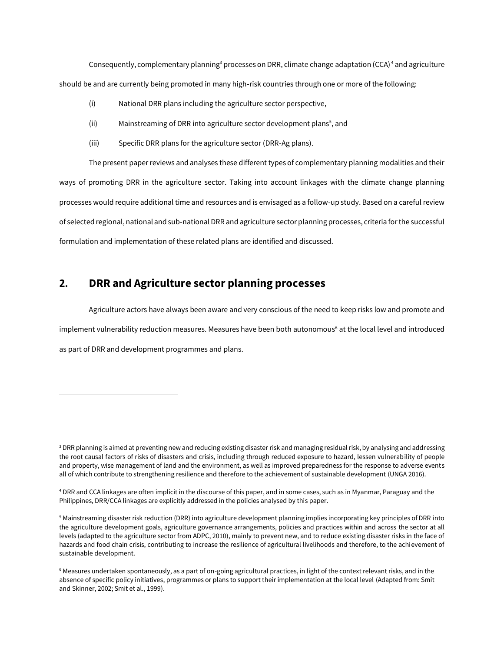Consequently, complementary planning<sup>3</sup> processes on DRR, climate change adaptation (CCA)<sup>4</sup> and agriculture should be and are currently being promoted in many high-risk countries through one or more of the following:

- (i) National DRR plans including the agriculture sector perspective,
- (ii) Mainstreaming of DRR into agriculture sector development plans<sup>5</sup>, and
- (iii) Specific DRR plans for the agriculture sector (DRR-Ag plans).

The present paper reviews and analyses these different types of complementary planning modalities and their ways of promoting DRR in the agriculture sector. Taking into account linkages with the climate change planning processes would require additional time and resources and is envisaged as a follow-up study. Based on a careful review of selected regional, national and sub-national DRR and agriculture sector planning processes, criteria for the successful formulation and implementation of these related plans are identified and discussed.

# **2. DRR and Agriculture sector planning processes**

 $\overline{a}$ 

Agriculture actors have always been aware and very conscious of the need to keep risks low and promote and implement vulnerability reduction measures. Measures have been both autonomous<sup>6</sup> at the local level and introduced as part of DRR and development programmes and plans.

<sup>&</sup>lt;sup>3</sup> DRR planning is aimed at preventing new and reducing existing disaster risk and managing residual risk, by analysing and addressing the root causal factors of risks of disasters and crisis, including through reduced exposure to hazard, lessen vulnerability of people and property, wise management of land and the environment, as well as improved preparedness for the response to adverse events all of which contribute to strengthening resilience and therefore to the achievement of sustainable development (UNGA 2016).

<sup>4</sup> DRR and CCA linkages are often implicit in the discourse of this paper, and in some cases, such as in Myanmar, Paraguay and the Philippines, DRR/CCA linkages are explicitly addressed in the policies analysed by this paper.

<sup>5</sup> Mainstreaming disaster risk reduction (DRR) into agriculture development planning implies incorporating key principles of DRR into the agriculture development goals, agriculture governance arrangements, policies and practices within and across the sector at all levels (adapted to the agriculture sector from ADPC, 2010), mainly to prevent new, and to reduce existing disaster risks in the face of hazards and food chain crisis, contributing to increase the resilience of agricultural livelihoods and therefore, to the achievement of sustainable development.

<sup>6</sup> Measures undertaken spontaneously, as a part of on-going agricultural practices, in light of the context relevant risks, and in the absence of specific policy initiatives, programmes or plans to support their implementation at the local level (Adapted from: Smit and Skinner, 2002; Smit et al., 1999).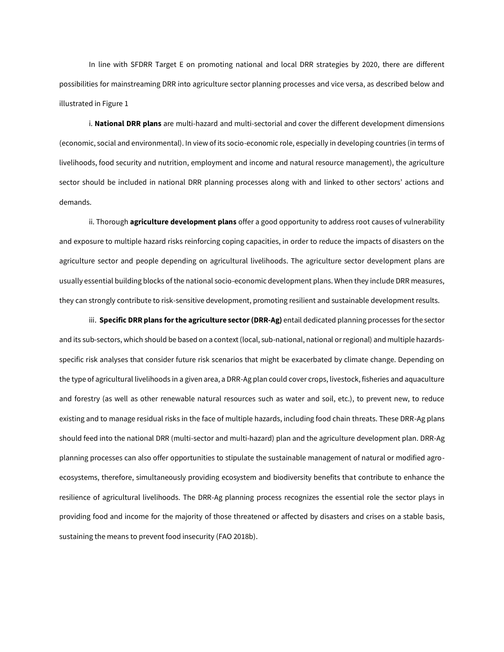In line with SFDRR Target E on promoting national and local DRR strategies by 2020, there are different possibilities for mainstreaming DRR into agriculture sector planning processes and vice versa, as described below and illustrated i[n Figure 1](#page-6-0)

i. **National DRR plans** are multi-hazard and multi-sectorial and cover the different development dimensions (economic, social and environmental). In view of its socio-economic role, especially in developing countries (in terms of livelihoods, food security and nutrition, employment and income and natural resource management), the agriculture sector should be included in national DRR planning processes along with and linked to other sectors' actions and demands.

ii. Thorough **agriculture development plans** offer a good opportunity to address root causes of vulnerability and exposure to multiple hazard risks reinforcing coping capacities, in order to reduce the impacts of disasters on the agriculture sector and people depending on agricultural livelihoods. The agriculture sector development plans are usually essential building blocks of the national socio-economic development plans. When they include DRR measures, they can strongly contribute to risk-sensitive development, promoting resilient and sustainable development results.

iii. **Specific DRR plans for the agriculture sector (DRR-Ag)** entail dedicated planning processes for the sector and its sub-sectors, which should be based on a context (local, sub-national, national or regional) and multiple hazardsspecific risk analyses that consider future risk scenarios that might be exacerbated by climate change. Depending on the type of agricultural livelihoods in a given area, a DRR-Ag plan could cover crops, livestock, fisheries and aquaculture and forestry (as well as other renewable natural resources such as water and soil, etc.), to prevent new, to reduce existing and to manage residual risks in the face of multiple hazards, including food chain threats. These DRR-Ag plans should feed into the national DRR (multi-sector and multi-hazard) plan and the agriculture development plan. DRR-Ag planning processes can also offer opportunities to stipulate the sustainable management of natural or modified agroecosystems, therefore, simultaneously providing ecosystem and biodiversity benefits that contribute to enhance the resilience of agricultural livelihoods. The DRR-Ag planning process recognizes the essential role the sector plays in providing food and income for the majority of those threatened or affected by disasters and crises on a stable basis, sustaining the means to prevent food insecurity (FAO 2018b).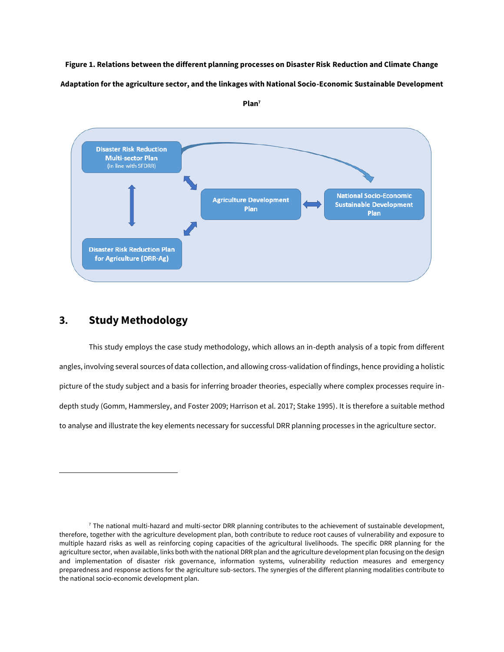<span id="page-6-0"></span>**Figure 1. Relations between the different planning processes on Disaster Risk Reduction and Climate Change Adaptation for the agriculture sector, and the linkages with National Socio-Economic Sustainable Development** 



**Plan<sup>7</sup>**

## **3. Study Methodology**

 $\overline{a}$ 

This study employs the case study methodology, which allows an in-depth analysis of a topic from different angles, involving several sources of data collection, and allowing cross-validation of findings, hence providing a holistic picture of the study subject and a basis for inferring broader theories, especially where complex processes require indepth study (Gomm, Hammersley, and Foster 2009; Harrison et al. 2017; Stake 1995). It is therefore a suitable method to analyse and illustrate the key elements necessary for successful DRR planning processes in the agriculture sector.

 $7$  The national multi-hazard and multi-sector DRR planning contributes to the achievement of sustainable development, therefore, together with the agriculture development plan, both contribute to reduce root causes of vulnerability and exposure to multiple hazard risks as well as reinforcing coping capacities of the agricultural livelihoods. The specific DRR planning for the agriculture sector, when available, links both with the national DRR plan and the agriculture development plan focusing on the design and implementation of disaster risk governance, information systems, vulnerability reduction measures and emergency preparedness and response actions for the agriculture sub-sectors. The synergies of the different planning modalities contribute to the national socio-economic development plan.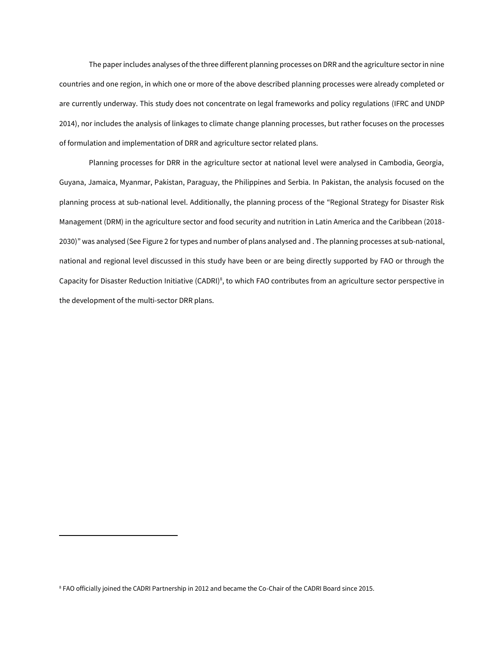The paper includes analyses of the three different planning processes on DRR and the agriculture sector in nine countries and one region, in which one or more of the above described planning processes were already completed or are currently underway. This study does not concentrate on legal frameworks and policy regulations (IFRC and UNDP 2014), nor includes the analysis of linkages to climate change planning processes, but rather focuses on the processes of formulation and implementation of DRR and agriculture sector related plans.

Planning processes for DRR in the agriculture sector at national level were analysed in Cambodia, Georgia, Guyana, Jamaica, Myanmar, Pakistan, Paraguay, the Philippines and Serbia. In Pakistan, the analysis focused on the planning process at sub-national level. Additionally, the planning process of the "Regional Strategy for Disaster Risk Management (DRM) in the agriculture sector and food security and nutrition in Latin America and the Caribbean (2018- 2030)" was analysed (See [Figure 2](#page-8-0) for types and number of plans analysed and . The planning processes at sub-national, national and regional level discussed in this study have been or are being directly supported by FAO or through the Capacity for Disaster Reduction Initiative (CADRI)<sup>8</sup>, to which FAO contributes from an agriculture sector perspective in the development of the multi-sector DRR plans.

l

<sup>8</sup> FAO officially joined the CADRI Partnership in 2012 and became the Co-Chair of the CADRI Board since 2015.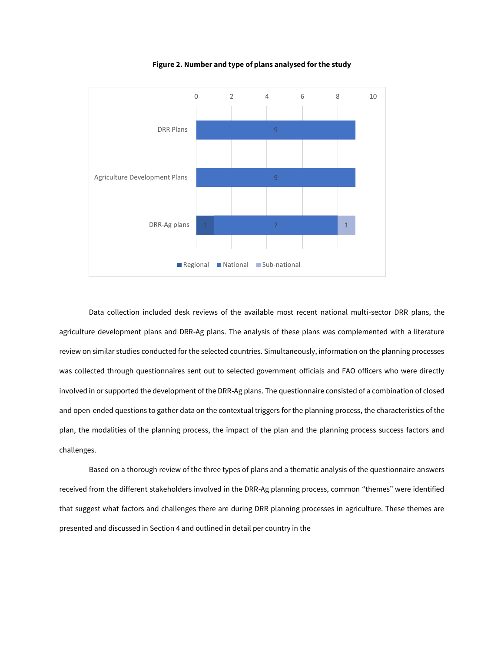<span id="page-8-0"></span>

**Figure 2. Number and type of plans analysed for the study**

Data collection included desk reviews of the available most recent national multi-sector DRR plans, the agriculture development plans and DRR-Ag plans. The analysis of these plans was complemented with a literature review on similar studies conducted for the selected countries. Simultaneously, information on the planning processes was collected through questionnaires sent out to selected government officials and FAO officers who were directly involved in or supported the development of the DRR-Ag plans. The questionnaire consisted of a combination of closed and open-ended questions to gather data on the contextual triggers for the planning process, the characteristics of the plan, the modalities of the planning process, the impact of the plan and the planning process success factors and challenges.

Based on a thorough review of the three types of plans and a thematic analysis of the questionnaire answers received from the different stakeholders involved in the DRR-Ag planning process, common "themes" were identified that suggest what factors and challenges there are during DRR planning processes in agriculture. These themes are presented and discussed in Section 4 and outlined in detail per country in th[e](#page-30-0)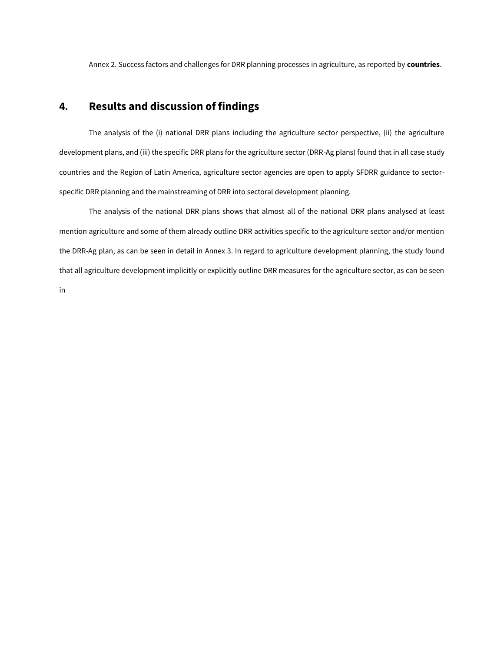[Annex 2. Success factors and challenges for DRR planning processes in agriculture, as reported by](#page-30-0) **countries**.

# **4. Results and discussion of findings**

The analysis of the (i) national DRR plans including the agriculture sector perspective, (ii) the agriculture development plans, and (iii) the specific DRR plans for the agriculture sector (DRR-Ag plans) found that in all case study countries and the Region of Latin America, agriculture sector agencies are open to apply SFDRR guidance to sectorspecific DRR planning and the mainstreaming of DRR into sectoral development planning.

The analysis of the national DRR plans shows that almost all of the national DRR plans analysed at least mention agriculture and some of them already outline DRR activities specific to the agriculture sector and/or mention the DRR-Ag plan, as can be seen in detail in [Annex 3.](#page-48-0) In regard to agriculture development planning, the study found that all agriculture development implicitly or explicitly outline DRR measures for the agriculture sector, as can be seen i[n](#page-59-0)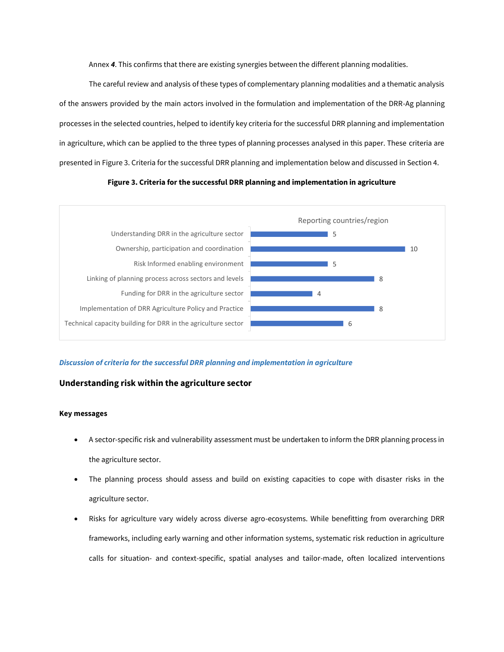[Annex](#page-59-0) *4*. This confirms that there are existing synergies between the different planning modalities.

The careful review and analysis of these types of complementary planning modalities and a thematic analysis of the answers provided by the main actors involved in the formulation and implementation of the DRR-Ag planning processes in the selected countries, helped to identify key criteria for the successful DRR planning and implementation in agriculture, which can be applied to the three types of planning processes analysed in this paper. These criteria are presented i[n Figure 3. Criteria for the successful DRR planning and implementation](#page-10-0) below and discussed in Section 4.

#### **Figure 3. Criteria for the successful DRR planning and implementation in agriculture**

<span id="page-10-0"></span>

#### *Discussion of criteria for the successful DRR planning and implementation in agriculture*

### **Understanding risk within the agriculture sector**

#### **Key messages**

- A sector-specific risk and vulnerability assessment must be undertaken to inform the DRR planning process in the agriculture sector.
- The planning process should assess and build on existing capacities to cope with disaster risks in the agriculture sector.
- Risks for agriculture vary widely across diverse agro-ecosystems. While benefitting from overarching DRR frameworks, including early warning and other information systems, systematic risk reduction in agriculture calls for situation- and context-specific, spatial analyses and tailor-made, often localized interventions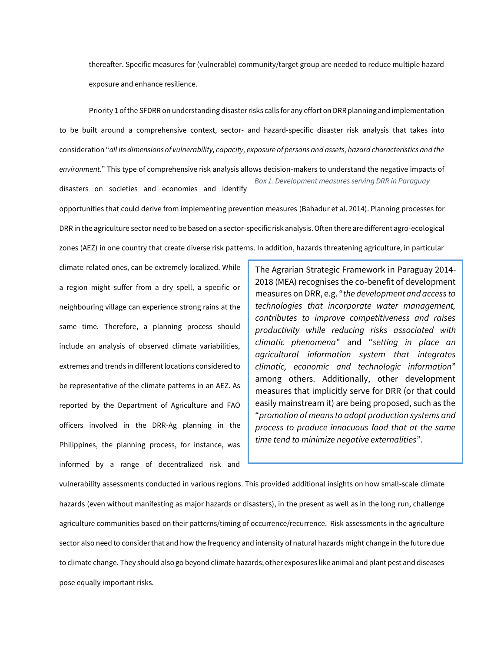thereafter. Specific measures for (vulnerable) community/target group are needed to reduce multiple hazard exposure and enhance resilience.

Priority 1 of the SFDRR on understanding disaster risks calls for any effort on DRR planning and implementation to be built around a comprehensive context, sector- and hazard-specific disaster risk analysis that takes into consideration "*all its dimensions of vulnerability, capacity, exposure of persons and assets, hazard characteristics and the environment*." This type of comprehensive risk analysis allows decision-makers to understand the negative impacts of disasters on societies and economies and identify opportunities that could derive from implementing prevention measures (Bahadur et al. 2014). Planning processes for DRR in the agriculture sector need to be based on a sector-specific risk analysis. Often there are different agro-ecological *Box 1. Development measures serving DRR in Paraguay*

zones (AEZ) in one country that create diverse risk patterns. In addition, hazards threatening agriculture, in particular

climate-related ones, can be extremely localized. While a region might suffer from a dry spell, a specific or neighbouring village can experience strong rains at the same time. Therefore, a planning process should include an analysis of observed climate variabilities, extremes and trends in different locations considered to be representative of the climate patterns in an AEZ. As reported by the Department of Agriculture and FAO officers involved in the DRR-Ag planning in the Philippines, the planning process, for instance, was informed by a range of decentralized risk and

The Agrarian Strategic Framework in Paraguay 2014- 2018 (MEA) recognises the co-benefit of development measures on DRR, e.g. "*the development and access to technologies that incorporate water management, contributes to improve competitiveness and raises productivity while reducing risks associated with climatic phenomena*" and "*setting in place an agricultural information system that integrates climatic, economic and technologic information*" among others. Additionally, other development measures that implicitly serve for DRR (or that could easily mainstream it) are being proposed, such as the "*promotion of means to adopt production systems and process to produce innocuous food that at the same time tend to minimize negative externalities*".

vulnerability assessments conducted in various regions. This provided additional insights on how small-scale climate hazards (even without manifesting as major hazards or disasters), in the present as well as in the long run, challenge agriculture communities based on their patterns/timing of occurrence/recurrence. Risk assessments in the agriculture sector also need to consider that and how the frequency and intensity of natural hazards might change in the future due to climate change. They should also go beyond climate hazards; other exposures like animal and plant pest and diseases pose equally important risks.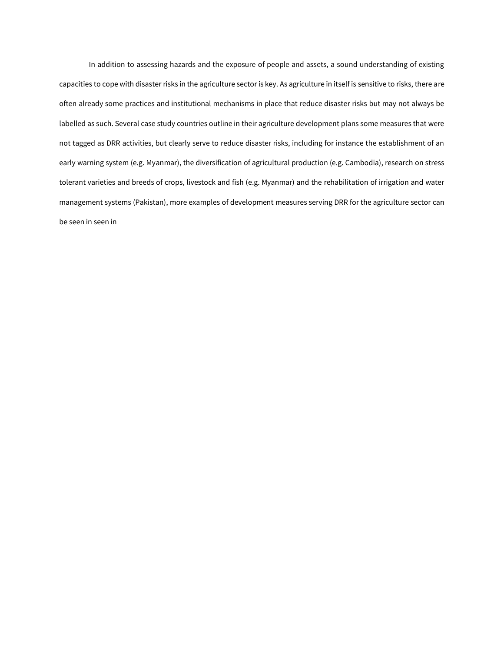In addition to assessing hazards and the exposure of people and assets, a sound understanding of existing capacities to cope with disaster risks in the agriculture sector is key. As agriculture in itself is sensitive to risks, there are often already some practices and institutional mechanisms in place that reduce disaster risks but may not always be labelled as such. Several case study countries outline in their agriculture development plans some measures that were not tagged as DRR activities, but clearly serve to reduce disaster risks, including for instance the establishment of an early warning system (e.g. Myanmar), the diversification of agricultural production (e.g. Cambodia), research on stress tolerant varieties and breeds of crops, livestock and fish (e.g. Myanmar) and the rehabilitation of irrigation and water management systems (Pakistan), more examples of development measures serving DRR for the agriculture sector can be seen in seen i[n](#page-59-0)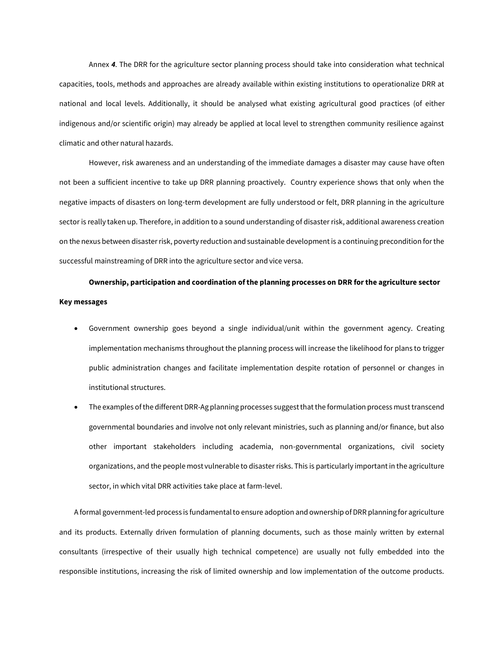[Annex](#page-59-0) *4*. The DRR for the agriculture sector planning process should take into consideration what technical capacities, tools, methods and approaches are already available within existing institutions to operationalize DRR at national and local levels. Additionally, it should be analysed what existing agricultural good practices (of either indigenous and/or scientific origin) may already be applied at local level to strengthen community resilience against climatic and other natural hazards.

However, risk awareness and an understanding of the immediate damages a disaster may cause have often not been a sufficient incentive to take up DRR planning proactively. Country experience shows that only when the negative impacts of disasters on long-term development are fully understood or felt, DRR planning in the agriculture sector is really taken up. Therefore, in addition to a sound understanding of disaster risk, additional awareness creation on the nexus between disaster risk, poverty reduction and sustainable development is a continuing precondition for the successful mainstreaming of DRR into the agriculture sector and vice versa.

# **Ownership, participation and coordination of the planning processes on DRR for the agriculture sector Key messages**

- Government ownership goes beyond a single individual/unit within the government agency. Creating implementation mechanisms throughout the planning process will increase the likelihood for plans to trigger public administration changes and facilitate implementation despite rotation of personnel or changes in institutional structures.
- The examples of the different DRR-Ag planning processes suggest that the formulation process must transcend governmental boundaries and involve not only relevant ministries, such as planning and/or finance, but also other important stakeholders including academia, non-governmental organizations, civil society organizations, and the people most vulnerable to disaster risks. This is particularly important in the agriculture sector, in which vital DRR activities take place at farm-level.

A formal government-led process is fundamental to ensure adoption and ownership of DRR planning for agriculture and its products. Externally driven formulation of planning documents, such as those mainly written by external consultants (irrespective of their usually high technical competence) are usually not fully embedded into the responsible institutions, increasing the risk of limited ownership and low implementation of the outcome products.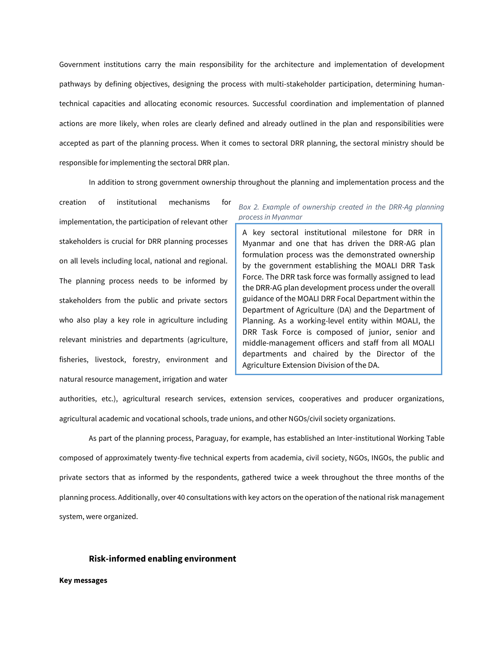Government institutions carry the main responsibility for the architecture and implementation of development pathways by defining objectives, designing the process with multi-stakeholder participation, determining humantechnical capacities and allocating economic resources. Successful coordination and implementation of planned actions are more likely, when roles are clearly defined and already outlined in the plan and responsibilities were accepted as part of the planning process. When it comes to sectoral DRR planning, the sectoral ministry should be responsible for implementing the sectoral DRR plan.

In addition to strong government ownership throughout the planning and implementation process and the

creation of institutional mechanisms for implementation, the participation of relevant other stakeholders is crucial for DRR planning processes on all levels including local, national and regional. The planning process needs to be informed by stakeholders from the public and private sectors who also play a key role in agriculture including relevant ministries and departments (agriculture, fisheries, livestock, forestry, environment and natural resource management, irrigation and water

*Box 2. Example of ownership created in the DRR-Ag planning process in Myanmar*

A key sectoral institutional milestone for DRR in Myanmar and one that has driven the DRR-AG plan formulation process was the demonstrated ownership by the government establishing the MOALI DRR Task Force. The DRR task force was formally assigned to lead the DRR-AG plan development process under the overall guidance of the MOALI DRR Focal Department within the Department of Agriculture (DA) and the Department of Planning. As a working-level entity within MOALI, the DRR Task Force is composed of junior, senior and middle-management officers and staff from all MOALI departments and chaired by the Director of the Agriculture Extension Division of the DA.

authorities, etc.), agricultural research services, extension services, cooperatives and producer organizations, agricultural academic and vocational schools, trade unions, and other NGOs/civil society organizations.

As part of the planning process, Paraguay, for example, has established an Inter-institutional Working Table composed of approximately twenty-five technical experts from academia, civil society, NGOs, INGOs, the public and private sectors that as informed by the respondents, gathered twice a week throughout the three months of the planning process. Additionally, over 40 consultations with key actors on the operation of the national risk management system, were organized.

#### **Risk-informed enabling environment**

**Key messages**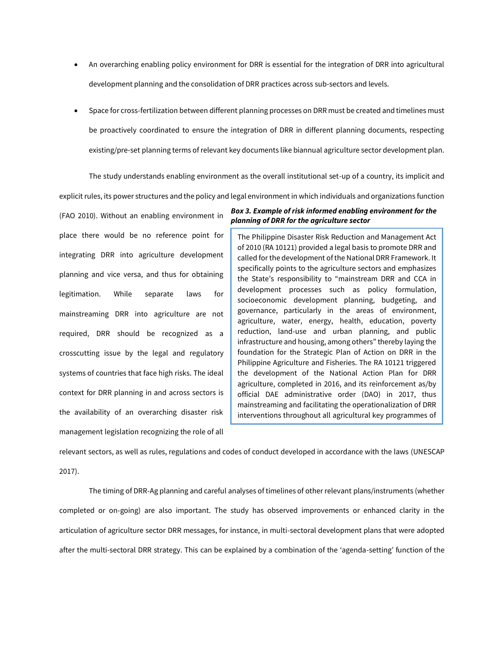- An overarching enabling policy environment for DRR is essential for the integration of DRR into agricultural development planning and the consolidation of DRR practices across sub-sectors and levels.
- Space for cross-fertilization between different planning processes on DRR must be created and timelines must be proactively coordinated to ensure the integration of DRR in different planning documents, respecting existing/pre-set planning terms of relevant key documents like biannual agriculture sector development plan.

The study understands enabling environment as the overall institutional set-up of a country, its implicit and

explicit rules, its power structures and the policy and legal environment in which individuals and organizations function

(FAO 2010). Without an enabling environment in place there would be no reference point for integrating DRR into agriculture development planning and vice versa, and thus for obtaining legitimation. While separate laws for mainstreaming DRR into agriculture are not required, DRR should be recognized as a crosscutting issue by the legal and regulatory systems of countries that face high risks. The ideal context for DRR planning in and across sectors is the availability of an overarching disaster risk management legislation recognizing the role of all

### *Box 3. Example of risk informed enabling environment for the planning of DRR for the agriculture sector*

The Philippine Disaster Risk Reduction and Management Act of 2010 (RA 10121) provided a legal basis to promote DRR and called for the development of the National DRR Framework. It specifically points to the agriculture sectors and emphasizes the State's responsibility to "mainstream DRR and CCA in development processes such as policy formulation, socioeconomic development planning, budgeting, and governance, particularly in the areas of environment, agriculture, water, energy, health, education, poverty reduction, land-use and urban planning, and public infrastructure and housing, among others" thereby laying the foundation for the Strategic Plan of Action on DRR in the Philippine Agriculture and Fisheries. The RA 10121 triggered the development of the National Action Plan for DRR agriculture, completed in 2016, and its reinforcement as/by official DAE administrative order (DAO) in 2017, thus mainstreaming and facilitating the operationalization of DRR interventions throughout all agricultural key programmes of

relevant sectors, as well as rules, regulations and codes of conduct developed in accordance with the laws (UNESCAP 2017).

the ministry.

The timing of DRR-Ag planning and careful analyses of timelines of other relevant plans/instruments (whether completed or on-going) are also important. The study has observed improvements or enhanced clarity in the articulation of agriculture sector DRR messages, for instance, in multi-sectoral development plans that were adopted after the multi-sectoral DRR strategy. This can be explained by a combination of the 'agenda-setting' function of the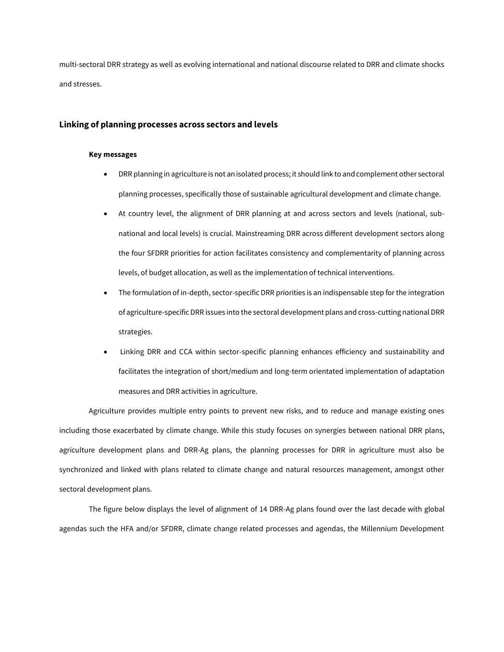multi-sectoral DRR strategy as well as evolving international and national discourse related to DRR and climate shocks and stresses.

### **Linking of planning processes across sectors and levels**

#### **Key messages**

- DRR planning in agriculture is not an isolated process; it should link to and complement other sectoral planning processes, specifically those of sustainable agricultural development and climate change.
- At country level, the alignment of DRR planning at and across sectors and levels (national, subnational and local levels) is crucial. Mainstreaming DRR across different development sectors along the four SFDRR priorities for action facilitates consistency and complementarity of planning across levels, of budget allocation, as well as the implementation of technical interventions.
- The formulation of in-depth, sector-specific DRR priorities is an indispensable step for the integration of agriculture-specific DRR issues into the sectoral development plans and cross-cutting national DRR strategies.
- Linking DRR and CCA within sector-specific planning enhances efficiency and sustainability and facilitates the integration of short/medium and long-term orientated implementation of adaptation measures and DRR activities in agriculture.

Agriculture provides multiple entry points to prevent new risks, and to reduce and manage existing ones including those exacerbated by climate change. While this study focuses on synergies between national DRR plans, agriculture development plans and DRR-Ag plans, the planning processes for DRR in agriculture must also be synchronized and linked with plans related to climate change and natural resources management, amongst other sectoral development plans.

The figure below displays the level of alignment of 14 DRR-Ag plans found over the last decade with global agendas such the HFA and/or SFDRR, climate change related processes and agendas, the Millennium Development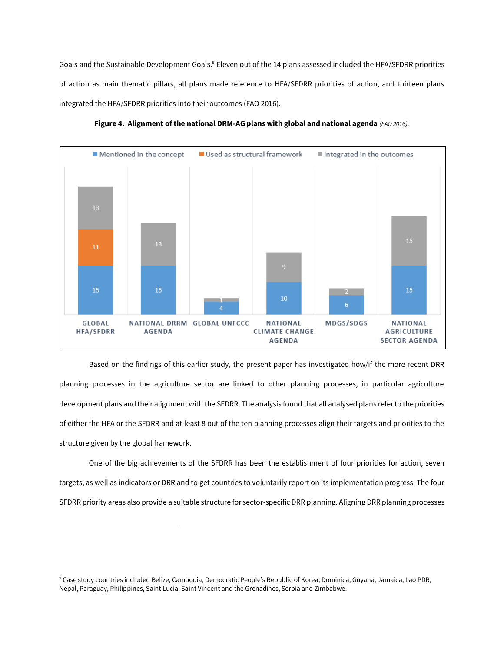Goals and the Sustainable Development Goals.<sup>9</sup> Eleven out of the 14 plans assessed included the HFA/SFDRR priorities of action as main thematic pillars, all plans made reference to HFA/SFDRR priorities of action, and thirteen plans integrated the HFA/SFDRR priorities into their outcomes (FAO 2016).



**Figure 4. Alignment of the national DRM-AG plans with global and national agenda** *(FAO 2016)*.

Based on the findings of this earlier study, the present paper has investigated how/if the more recent DRR planning processes in the agriculture sector are linked to other planning processes, in particular agriculture development plans and their alignment with the SFDRR. The analysis found that all analysed plans refer to the priorities of either the HFA or the SFDRR and at least 8 out of the ten planning processes align their targets and priorities to the structure given by the global framework.

One of the big achievements of the SFDRR has been the establishment of four priorities for action, seven targets, as well as indicators or DRR and to get countries to voluntarily report on its implementation progress. The four SFDRR priority areas also provide a suitable structure for sector-specific DRR planning. Aligning DRR planning processes

l

<sup>9</sup> Case study countries included Belize, Cambodia, Democratic People's Republic of Korea, Dominica, Guyana, Jamaica, Lao PDR, Nepal, Paraguay, Philippines, Saint Lucia, Saint Vincent and the Grenadines, Serbia and Zimbabwe.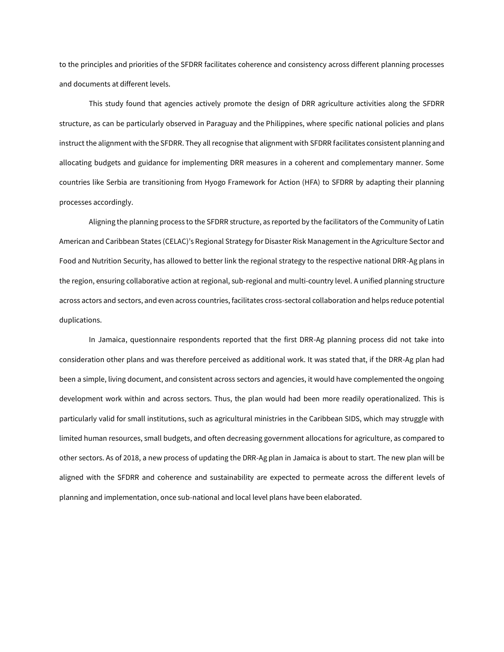to the principles and priorities of the SFDRR facilitates coherence and consistency across different planning processes and documents at different levels.

This study found that agencies actively promote the design of DRR agriculture activities along the SFDRR structure, as can be particularly observed in Paraguay and the Philippines, where specific national policies and plans instruct the alignment with the SFDRR. They all recognise that alignment with SFDRR facilitates consistent planning and allocating budgets and guidance for implementing DRR measures in a coherent and complementary manner. Some countries like Serbia are transitioning from Hyogo Framework for Action (HFA) to SFDRR by adapting their planning processes accordingly.

Aligning the planning process to the SFDRR structure, as reported by the facilitators of the Community of Latin American and Caribbean States (CELAC)'s Regional Strategy for Disaster Risk Management in the Agriculture Sector and Food and Nutrition Security, has allowed to better link the regional strategy to the respective national DRR-Ag plans in the region, ensuring collaborative action at regional, sub-regional and multi-country level. A unified planning structure across actors and sectors, and even across countries, facilitates cross-sectoral collaboration and helps reduce potential duplications.

In Jamaica, questionnaire respondents reported that the first DRR-Ag planning process did not take into consideration other plans and was therefore perceived as additional work. It was stated that, if the DRR-Ag plan had been a simple, living document, and consistent across sectors and agencies, it would have complemented the ongoing development work within and across sectors. Thus, the plan would had been more readily operationalized. This is particularly valid for small institutions, such as agricultural ministries in the Caribbean SIDS, which may struggle with limited human resources, small budgets, and often decreasing government allocations for agriculture, as compared to other sectors. As of 2018, a new process of updating the DRR-Ag plan in Jamaica is about to start. The new plan will be aligned with the SFDRR and coherence and sustainability are expected to permeate across the different levels of planning and implementation, once sub-national and local level plans have been elaborated.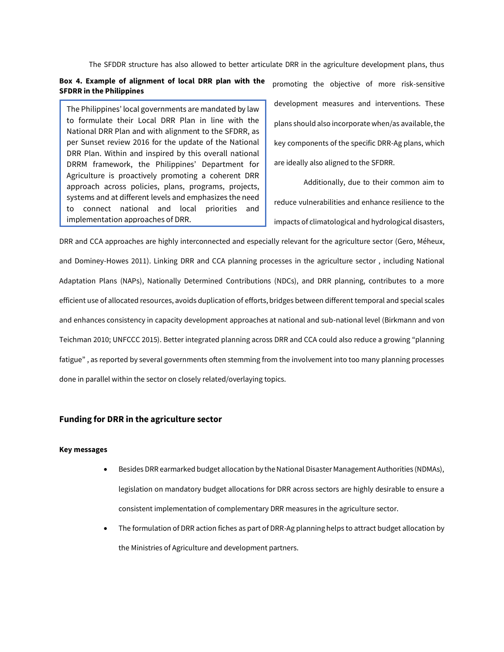The SFDDR structure has also allowed to better articulate DRR in the agriculture development plans, thus

### **Box 4. Example of alignment of local DRR plan with the SFDRR in the Philippines**

The Philippines' local governments are mandated by law to formulate their Local DRR Plan in line with the National DRR Plan and with alignment to the SFDRR, as per Sunset review 2016 for the update of the National DRR Plan. Within and inspired by this overall national DRRM framework, the Philippines' Department for Agriculture is proactively promoting a coherent DRR approach across policies, plans, programs, projects, systems and at different levels and emphasizes the need to connect national and local priorities and implementation approaches of DRR.

promoting the objective of more risk-sensitive development measures and interventions. These plans should also incorporate when/as available, the key components of the specific DRR-Ag plans, which are ideally also aligned to the SFDRR.

Additionally, due to their common aim to reduce vulnerabilities and enhance resilience to the impacts of climatological and hydrological disasters,

DRR and CCA approaches are highly interconnected and especially relevant for the agriculture sector (Gero, Méheux, and Dominey-Howes 2011). Linking DRR and CCA planning processes in the agriculture sector , including National Adaptation Plans (NAPs), Nationally Determined Contributions (NDCs), and DRR planning, contributes to a more efficient use of allocated resources, avoids duplication of efforts, bridges between different temporal and special scales and enhances consistency in capacity development approaches at national and sub-national level (Birkmann and von Teichman 2010; UNFCCC 2015). Better integrated planning across DRR and CCA could also reduce a growing "planning fatigue" , as reported by several governments often stemming from the involvement into too many planning processes done in parallel within the sector on closely related/overlaying topics.

## **Funding for DRR in the agriculture sector**

#### **Key messages**

- Besides DRR earmarked budget allocation by the National Disaster Management Authorities (NDMAs), legislation on mandatory budget allocations for DRR across sectors are highly desirable to ensure a consistent implementation of complementary DRR measures in the agriculture sector.
- The formulation of DRR action fiches as part of DRR-Ag planning helps to attract budget allocation by the Ministries of Agriculture and development partners.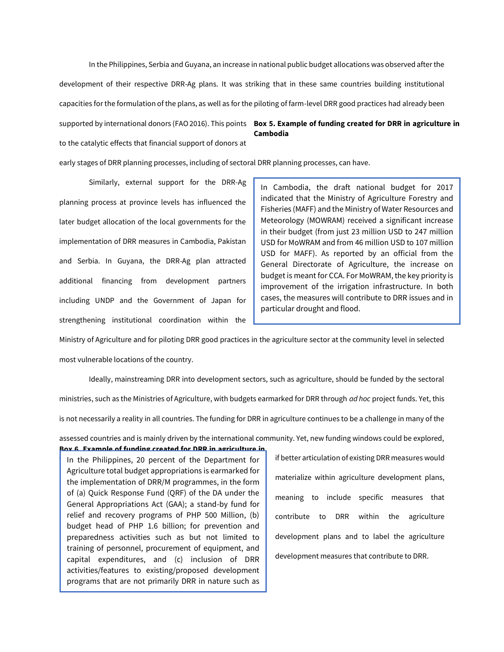In the Philippines, Serbia and Guyana, an increase in national public budget allocations was observed after the development of their respective DRR-Ag plans. It was striking that in these same countries building institutional capacities for the formulation of the plans, as well as for the piloting of farm-level DRR good practices had already been supported by international donors (FAO 2016). This points **Box 5. Example of funding created for DRR in agriculture in**  to the catalytic effects that financial support of donors at **Cambodia**

early stages of DRR planning processes, including of sectoral DRR planning processes, can have.

Similarly, external support for the DRR-Ag planning process at province levels has influenced the later budget allocation of the local governments for the implementation of DRR measures in Cambodia, Pakistan and Serbia. In Guyana, the DRR-Ag plan attracted additional financing from development partners including UNDP and the Government of Japan for strengthening institutional coordination within the

In Cambodia, the draft national budget for 2017 indicated that the Ministry of Agriculture Forestry and Fisheries (MAFF) and the Ministry of Water Resources and Meteorology (MOWRAM) received a significant increase in their budget (from just 23 million USD to 247 million USD for MoWRAM and from 46 million USD to 107 million USD for MAFF). As reported by an official from the General Directorate of Agriculture, the increase on budget is meant for CCA. For MoWRAM, the key priority is improvement of the irrigation infrastructure. In both cases, the measures will contribute to DRR issues and in particular drought and flood.

Ministry of Agriculture and for piloting DRR good practices in the agriculture sector at the community level in selected most vulnerable locations of the country.

Ideally, mainstreaming DRR into development sectors, such as agriculture, should be funded by the sectoral ministries, such as the Ministries of Agriculture, with budgets earmarked for DRR through *ad hoc* project funds. Yet, this is not necessarily a reality in all countries. The funding for DRR in agriculture continues to be a challenge in many of the

assessed countries and is mainly driven by the international community. Yet, new funding windows could be explored,

## **Box 6. Example of funding created for DRR in agriculture in**

In the Philippines, 20 percent of the Department for Agriculture total budget appropriations is earmarked for the implementation of DRR/M programmes, in the form of (a) Quick Response Fund (QRF) of the DA under the General Appropriations Act (GAA); a stand-by fund for relief and recovery programs of PHP 500 Million, (b) budget head of PHP 1.6 billion; for prevention and preparedness activities such as but not limited to training of personnel, procurement of equipment, and capital expenditures, and (c) inclusion of DRR activities/features to existing/proposed development programs that are not primarily DRR in nature such as

farm-to-market roads and irrigation projects.

if better articulation of existing DRR measures would materialize within agriculture development plans, meaning to include specific measures that contribute to DRR within the agriculture development plans and to label the agriculture development measures that contribute to DRR.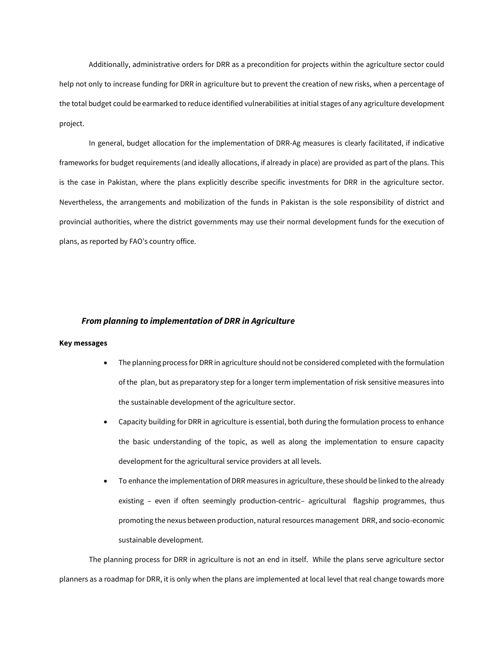Additionally, administrative orders for DRR as a precondition for projects within the agriculture sector could help not only to increase funding for DRR in agriculture but to prevent the creation of new risks, when a percentage of the total budget could be earmarked to reduce identified vulnerabilities at initial stages of any agriculture development project.

In general, budget allocation for the implementation of DRR-Ag measures is clearly facilitated, if indicative frameworks for budget requirements (and ideally allocations, if already in place) are provided as part of the plans. This is the case in Pakistan, where the plans explicitly describe specific investments for DRR in the agriculture sector. Nevertheless, the arrangements and mobilization of the funds in Pakistan is the sole responsibility of district and provincial authorities, where the district governments may use their normal development funds for the execution of plans, as reported by FAO's country office.

#### *From planning to implementation of DRR in Agriculture*

#### **Key messages**

- The planning process for DRR in agriculture should not be considered completed with the formulation of the plan, but as preparatory step for a longer term implementation of risk sensitive measures into the sustainable development of the agriculture sector.
- Capacity building for DRR in agriculture is essential, both during the formulation process to enhance the basic understanding of the topic, as well as along the implementation to ensure capacity development for the agricultural service providers at all levels.
- To enhance the implementation of DRR measures in agriculture, these should be linked to the already existing – even if often seemingly production-centric– agricultural flagship programmes, thus promoting the nexus between production, natural resources management DRR, and socio-economic sustainable development.

The planning process for DRR in agriculture is not an end in itself. While the plans serve agriculture sector planners as a roadmap for DRR, it is only when the plans are implemented at local level that real change towards more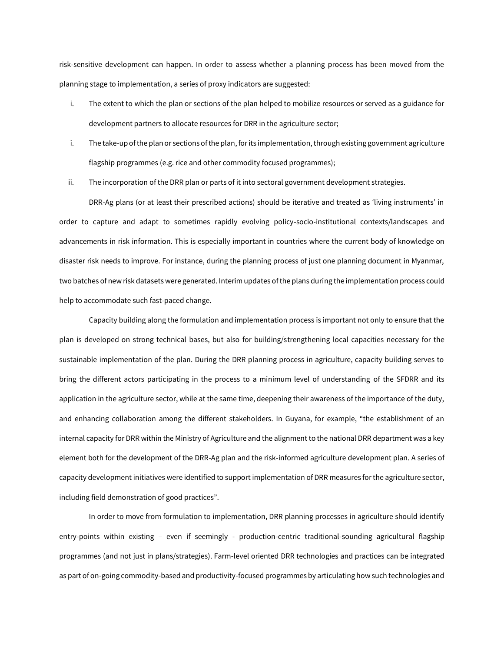risk-sensitive development can happen. In order to assess whether a planning process has been moved from the planning stage to implementation, a series of proxy indicators are suggested:

- i. The extent to which the plan or sections of the plan helped to mobilize resources or served as a guidance for development partners to allocate resources for DRR in the agriculture sector;
- i. The take-up of the plan or sections of the plan, for its implementation, through existing government agriculture flagship programmes (e.g. rice and other commodity focused programmes);
- ii. The incorporation of the DRR plan or parts of it into sectoral government development strategies.

DRR-Ag plans (or at least their prescribed actions) should be iterative and treated as 'living instruments' in order to capture and adapt to sometimes rapidly evolving policy-socio-institutional contexts/landscapes and advancements in risk information. This is especially important in countries where the current body of knowledge on disaster risk needs to improve. For instance, during the planning process of just one planning document in Myanmar, two batches of new risk datasets were generated. Interim updates of the plans during the implementation process could help to accommodate such fast-paced change.

Capacity building along the formulation and implementation process is important not only to ensure that the plan is developed on strong technical bases, but also for building/strengthening local capacities necessary for the sustainable implementation of the plan. During the DRR planning process in agriculture, capacity building serves to bring the different actors participating in the process to a minimum level of understanding of the SFDRR and its application in the agriculture sector, while at the same time, deepening their awareness of the importance of the duty, and enhancing collaboration among the different stakeholders. In Guyana, for example, "the establishment of an internal capacity for DRR within the Ministry of Agriculture and the alignment to the national DRR department was a key element both for the development of the DRR-Ag plan and the risk-informed agriculture development plan. A series of capacity development initiatives were identified to support implementation of DRR measures for the agriculture sector, including field demonstration of good practices".

In order to move from formulation to implementation, DRR planning processes in agriculture should identify entry-points within existing – even if seemingly - production-centric traditional-sounding agricultural flagship programmes (and not just in plans/strategies). Farm-level oriented DRR technologies and practices can be integrated as part of on-going commodity-based and productivity-focused programmes by articulating how such technologies and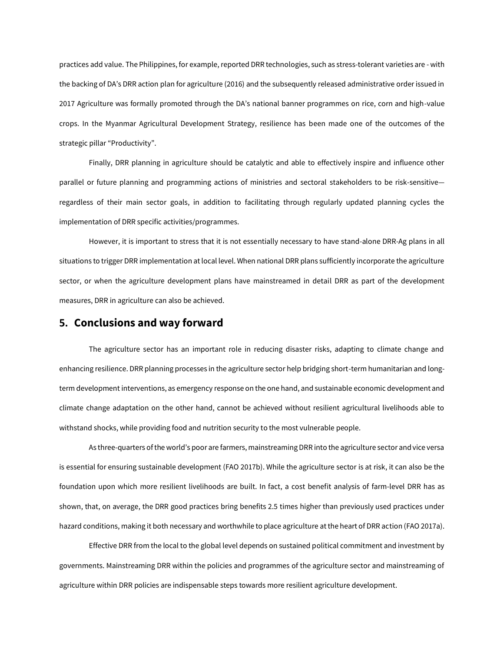practices add value. The Philippines, for example, reported DRR technologies, such as stress-tolerant varieties are - with the backing of DA's DRR action plan for agriculture (2016) and the subsequently released administrative order issued in 2017 Agriculture was formally promoted through the DA's national banner programmes on rice, corn and high-value crops. In the Myanmar Agricultural Development Strategy, resilience has been made one of the outcomes of the strategic pillar "Productivity".

Finally, DRR planning in agriculture should be catalytic and able to effectively inspire and influence other parallel or future planning and programming actions of ministries and sectoral stakeholders to be risk-sensitive regardless of their main sector goals, in addition to facilitating through regularly updated planning cycles the implementation of DRR specific activities/programmes.

However, it is important to stress that it is not essentially necessary to have stand-alone DRR-Ag plans in all situations to trigger DRR implementation at local level. When national DRR plans sufficiently incorporate the agriculture sector, or when the agriculture development plans have mainstreamed in detail DRR as part of the development measures, DRR in agriculture can also be achieved.

## **5. Conclusions and way forward**

The agriculture sector has an important role in reducing disaster risks, adapting to climate change and enhancing resilience. DRR planning processes in the agriculture sector help bridging short-term humanitarian and longterm development interventions, as emergency response on the one hand, and sustainable economic development and climate change adaptation on the other hand, cannot be achieved without resilient agricultural livelihoods able to withstand shocks, while providing food and nutrition security to the most vulnerable people.

As three-quarters of the world's poor are farmers, mainstreaming DRR into the agriculture sector and vice versa is essential for ensuring sustainable development (FAO 2017b). While the agriculture sector is at risk, it can also be the foundation upon which more resilient livelihoods are built. In fact, a cost benefit analysis of farm-level DRR has as shown, that, on average, the DRR good practices bring benefits 2.5 times higher than previously used practices under hazard conditions, making it both necessary and worthwhile to place agriculture at the heart of DRR action (FAO 2017a).

Effective DRR from the local to the global level depends on sustained political commitment and investment by governments. Mainstreaming DRR within the policies and programmes of the agriculture sector and mainstreaming of agriculture within DRR policies are indispensable steps towards more resilient agriculture development.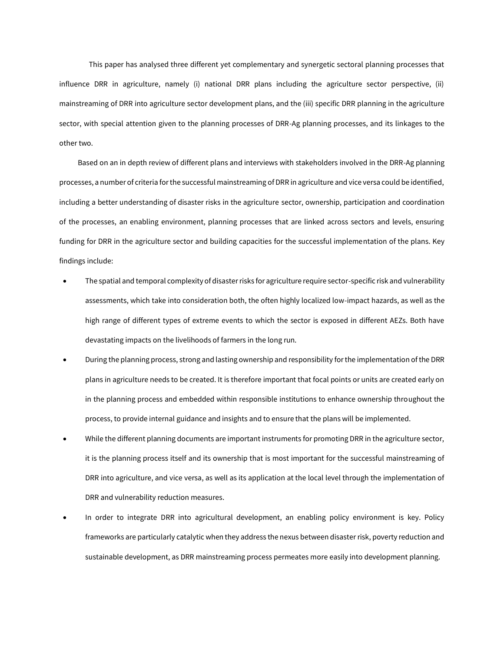This paper has analysed three different yet complementary and synergetic sectoral planning processes that influence DRR in agriculture, namely (i) national DRR plans including the agriculture sector perspective, (ii) mainstreaming of DRR into agriculture sector development plans, and the (iii) specific DRR planning in the agriculture sector, with special attention given to the planning processes of DRR-Ag planning processes, and its linkages to the other two.

Based on an in depth review of different plans and interviews with stakeholders involved in the DRR-Ag planning processes, a number of criteria for the successful mainstreaming of DRR in agriculture and vice versa could be identified, including a better understanding of disaster risks in the agriculture sector, ownership, participation and coordination of the processes, an enabling environment, planning processes that are linked across sectors and levels, ensuring funding for DRR in the agriculture sector and building capacities for the successful implementation of the plans. Key findings include:

- The spatial and temporal complexity of disaster risks for agriculture require sector-specific risk and vulnerability assessments, which take into consideration both, the often highly localized low-impact hazards, as well as the high range of different types of extreme events to which the sector is exposed in different AEZs. Both have devastating impacts on the livelihoods of farmers in the long run.
- During the planning process, strong and lasting ownership and responsibility for the implementation of the DRR plans in agriculture needs to be created. It is therefore important that focal points or units are created early on in the planning process and embedded within responsible institutions to enhance ownership throughout the process, to provide internal guidance and insights and to ensure that the plans will be implemented.
- While the different planning documents are important instruments for promoting DRR in the agriculture sector, it is the planning process itself and its ownership that is most important for the successful mainstreaming of DRR into agriculture, and vice versa, as well as its application at the local level through the implementation of DRR and vulnerability reduction measures.
- In order to integrate DRR into agricultural development, an enabling policy environment is key. Policy frameworks are particularly catalytic when they address the nexus between disaster risk, poverty reduction and sustainable development, as DRR mainstreaming process permeates more easily into development planning.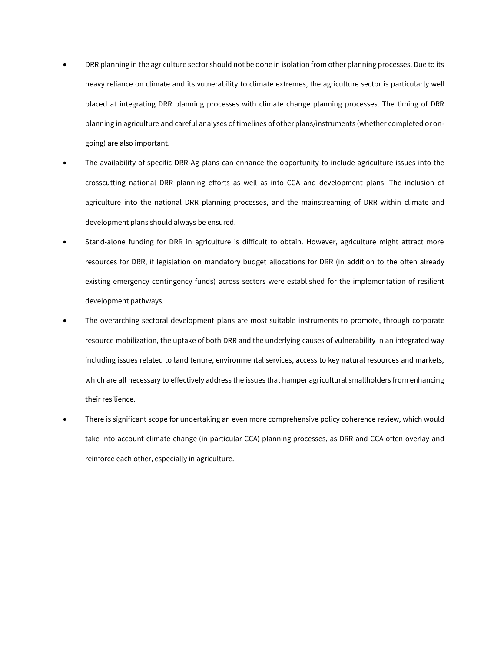- DRR planning in the agriculture sector should not be done in isolation from other planning processes. Due to its heavy reliance on climate and its vulnerability to climate extremes, the agriculture sector is particularly well placed at integrating DRR planning processes with climate change planning processes. The timing of DRR planning in agriculture and careful analyses of timelines of other plans/instruments (whether completed or ongoing) are also important.
- The availability of specific DRR-Ag plans can enhance the opportunity to include agriculture issues into the crosscutting national DRR planning efforts as well as into CCA and development plans. The inclusion of agriculture into the national DRR planning processes, and the mainstreaming of DRR within climate and development plans should always be ensured.
- Stand-alone funding for DRR in agriculture is difficult to obtain. However, agriculture might attract more resources for DRR, if legislation on mandatory budget allocations for DRR (in addition to the often already existing emergency contingency funds) across sectors were established for the implementation of resilient development pathways.
- The overarching sectoral development plans are most suitable instruments to promote, through corporate resource mobilization, the uptake of both DRR and the underlying causes of vulnerability in an integrated way including issues related to land tenure, environmental services, access to key natural resources and markets, which are all necessary to effectively address the issues that hamper agricultural smallholders from enhancing their resilience.
- There is significant scope for undertaking an even more comprehensive policy coherence review, which would take into account climate change (in particular CCA) planning processes, as DRR and CCA often overlay and reinforce each other, especially in agriculture.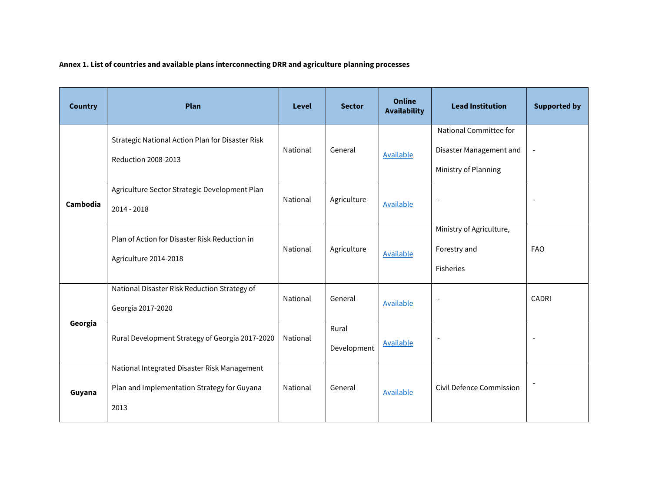## **Annex 1. List of countries and available plans interconnecting DRR and agriculture planning processes**

| <b>Country</b> | Plan                                                                                                | <b>Level</b> | <b>Sector</b>        | <b>Online</b><br><b>Availability</b> | <b>Lead Institution</b>                                                   | <b>Supported by</b> |
|----------------|-----------------------------------------------------------------------------------------------------|--------------|----------------------|--------------------------------------|---------------------------------------------------------------------------|---------------------|
|                | Strategic National Action Plan for Disaster Risk<br><b>Reduction 2008-2013</b>                      | National     | General              | <b>Available</b>                     | National Committee for<br>Disaster Management and<br>Ministry of Planning |                     |
| Cambodia       | Agriculture Sector Strategic Development Plan<br>2014 - 2018                                        | National     | Agriculture          | <b>Available</b>                     | $\overline{a}$                                                            |                     |
|                | Plan of Action for Disaster Risk Reduction in<br>Agriculture 2014-2018                              | National     | Agriculture          | Available                            | Ministry of Agriculture,<br>Forestry and<br><b>Fisheries</b>              | <b>FAO</b>          |
|                | National Disaster Risk Reduction Strategy of<br>Georgia 2017-2020                                   | National     | General              | <b>Available</b>                     |                                                                           | CADRI               |
| Georgia        | Rural Development Strategy of Georgia 2017-2020                                                     | National     | Rural<br>Development | <b>Available</b>                     | $\overline{\phantom{0}}$                                                  |                     |
| Guyana         | National Integrated Disaster Risk Management<br>Plan and Implementation Strategy for Guyana<br>2013 | National     | General              | Available                            | Civil Defence Commission                                                  |                     |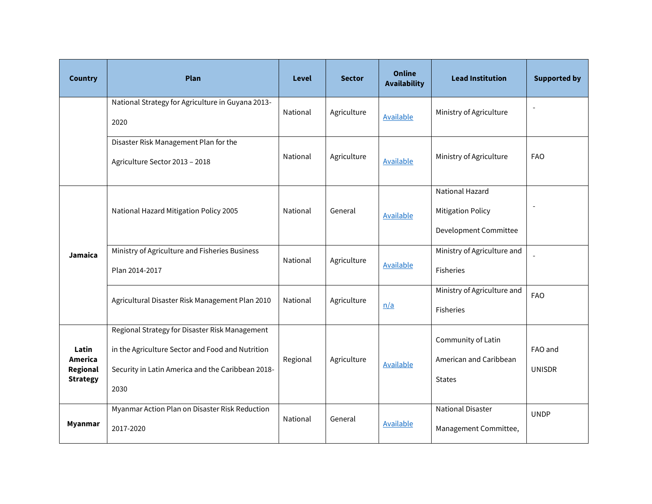| <b>Country</b>                                  | Plan                                                                                                                                                            | <b>Level</b> | <b>Sector</b> | <b>Online</b><br><b>Availability</b> | <b>Lead Institution</b>                                                     | <b>Supported by</b>      |
|-------------------------------------------------|-----------------------------------------------------------------------------------------------------------------------------------------------------------------|--------------|---------------|--------------------------------------|-----------------------------------------------------------------------------|--------------------------|
|                                                 | National Strategy for Agriculture in Guyana 2013-<br>2020                                                                                                       | National     | Agriculture   | <b>Available</b>                     | Ministry of Agriculture                                                     |                          |
|                                                 | Disaster Risk Management Plan for the<br>Agriculture Sector 2013 - 2018                                                                                         | National     | Agriculture   | <b>Available</b>                     | Ministry of Agriculture                                                     | <b>FAO</b>               |
|                                                 | National Hazard Mitigation Policy 2005                                                                                                                          | National     | General       | <b>Available</b>                     | <b>National Hazard</b><br><b>Mitigation Policy</b><br>Development Committee |                          |
| Jamaica                                         | Ministry of Agriculture and Fisheries Business<br>Plan 2014-2017                                                                                                | National     | Agriculture   | Available                            | Ministry of Agriculture and<br>Fisheries                                    |                          |
|                                                 | Agricultural Disaster Risk Management Plan 2010                                                                                                                 | National     | Agriculture   | n/a                                  | Ministry of Agriculture and<br>Fisheries                                    | <b>FAO</b>               |
| Latin<br>America<br>Regional<br><b>Strategy</b> | Regional Strategy for Disaster Risk Management<br>in the Agriculture Sector and Food and Nutrition<br>Security in Latin America and the Caribbean 2018-<br>2030 | Regional     | Agriculture   | <b>Available</b>                     | Community of Latin<br>American and Caribbean<br><b>States</b>               | FAO and<br><b>UNISDR</b> |
| <b>Myanmar</b>                                  | Myanmar Action Plan on Disaster Risk Reduction<br>2017-2020                                                                                                     | National     | General       | Available                            | <b>National Disaster</b><br>Management Committee,                           | <b>UNDP</b>              |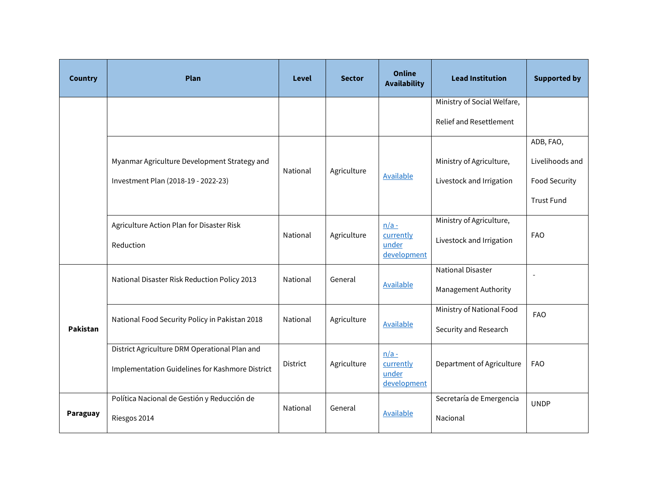| <b>Country</b> | Plan                                                                                             | <b>Level</b> | <b>Sector</b> | <b>Online</b><br><b>Availability</b>         | <b>Lead Institution</b>                                       | <b>Supported by</b>                                                |
|----------------|--------------------------------------------------------------------------------------------------|--------------|---------------|----------------------------------------------|---------------------------------------------------------------|--------------------------------------------------------------------|
|                |                                                                                                  |              |               |                                              | Ministry of Social Welfare,<br><b>Relief and Resettlement</b> |                                                                    |
|                | Myanmar Agriculture Development Strategy and<br>Investment Plan (2018-19 - 2022-23)              | National     | Agriculture   | <b>Available</b>                             | Ministry of Agriculture,<br>Livestock and Irrigation          | ADB, FAO,<br>Livelihoods and<br>Food Security<br><b>Trust Fund</b> |
|                | Agriculture Action Plan for Disaster Risk<br>Reduction                                           | National     | Agriculture   | $n/a -$<br>currently<br>under<br>development | Ministry of Agriculture,<br>Livestock and Irrigation          | <b>FAO</b>                                                         |
| Pakistan       | National Disaster Risk Reduction Policy 2013                                                     | National     | General       | Available                                    | <b>National Disaster</b><br>Management Authority              |                                                                    |
|                | National Food Security Policy in Pakistan 2018                                                   | National     | Agriculture   | <b>Available</b>                             | Ministry of National Food<br>Security and Research            | <b>FAO</b>                                                         |
|                | District Agriculture DRM Operational Plan and<br>Implementation Guidelines for Kashmore District | District     | Agriculture   | $n/a -$<br>currently<br>under<br>development | Department of Agriculture                                     | <b>FAO</b>                                                         |
| Paraguay       | Política Nacional de Gestión y Reducción de<br>Riesgos 2014                                      | National     | General       | <b>Available</b>                             | Secretaría de Emergencia<br>Nacional                          | <b>UNDP</b>                                                        |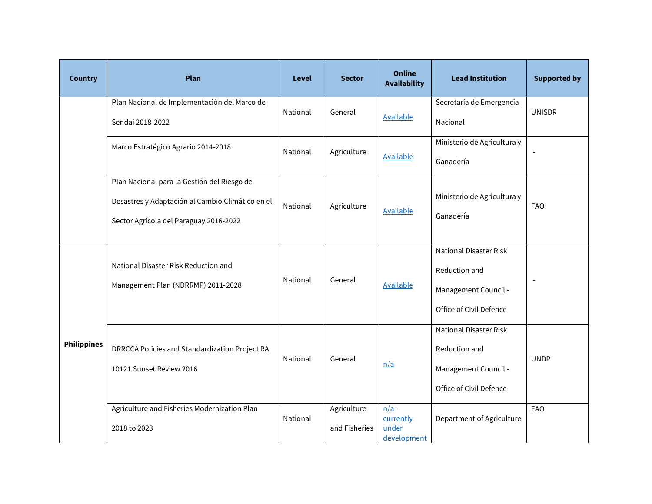| <b>Country</b>     | Plan                                                                                                                                      | <b>Level</b> | <b>Sector</b>                | <b>Online</b><br><b>Availability</b>         | <b>Lead Institution</b>                                                                           | <b>Supported by</b> |
|--------------------|-------------------------------------------------------------------------------------------------------------------------------------------|--------------|------------------------------|----------------------------------------------|---------------------------------------------------------------------------------------------------|---------------------|
|                    | Plan Nacional de Implementación del Marco de<br>Sendai 2018-2022                                                                          | National     | General                      | <b>Available</b>                             | Secretaría de Emergencia<br>Nacional                                                              | <b>UNISDR</b>       |
|                    | Marco Estratégico Agrario 2014-2018                                                                                                       | National     | Agriculture                  | <b>Available</b>                             | Ministerio de Agricultura y<br>Ganadería                                                          |                     |
|                    | Plan Nacional para la Gestión del Riesgo de<br>Desastres y Adaptación al Cambio Climático en el<br>Sector Agrícola del Paraguay 2016-2022 | National     | Agriculture                  | <b>Available</b>                             | Ministerio de Agricultura y<br>Ganadería                                                          | <b>FAO</b>          |
| <b>Philippines</b> | National Disaster Risk Reduction and<br>Management Plan (NDRRMP) 2011-2028                                                                | National     | General                      | <b>Available</b>                             | <b>National Disaster Risk</b><br>Reduction and<br>Management Council -<br>Office of Civil Defence |                     |
|                    | DRRCCA Policies and Standardization Project RA<br>10121 Sunset Review 2016                                                                | National     | General                      | n/a                                          | <b>National Disaster Risk</b><br>Reduction and<br>Management Council -<br>Office of Civil Defence | <b>UNDP</b>         |
|                    | Agriculture and Fisheries Modernization Plan<br>2018 to 2023                                                                              | National     | Agriculture<br>and Fisheries | $n/a$ -<br>currently<br>under<br>development | Department of Agriculture                                                                         | <b>FAO</b>          |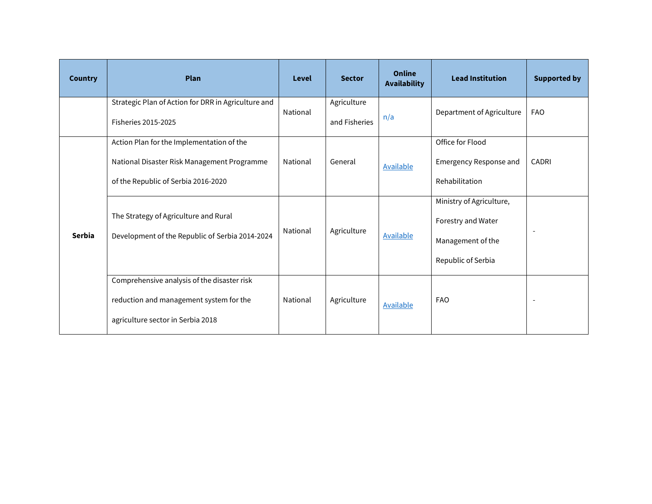<span id="page-30-0"></span>

| <b>Country</b> | <b>Plan</b>                                                                                                                     | Level    | <b>Sector</b>                | <b>Online</b><br><b>Availability</b> | <b>Lead Institution</b>                                                                   | <b>Supported by</b> |
|----------------|---------------------------------------------------------------------------------------------------------------------------------|----------|------------------------------|--------------------------------------|-------------------------------------------------------------------------------------------|---------------------|
|                | Strategic Plan of Action for DRR in Agriculture and<br><b>Fisheries 2015-2025</b>                                               | National | Agriculture<br>and Fisheries | n/a                                  | Department of Agriculture                                                                 | <b>FAO</b>          |
|                | Action Plan for the Implementation of the<br>National Disaster Risk Management Programme<br>of the Republic of Serbia 2016-2020 | National | General                      | <b>Available</b>                     | Office for Flood<br>Emergency Response and<br>Rehabilitation                              | <b>CADRI</b>        |
| <b>Serbia</b>  | The Strategy of Agriculture and Rural<br>Development of the Republic of Serbia 2014-2024                                        | National | Agriculture                  | Available                            | Ministry of Agriculture,<br>Forestry and Water<br>Management of the<br>Republic of Serbia |                     |
|                | Comprehensive analysis of the disaster risk<br>reduction and management system for the<br>agriculture sector in Serbia 2018     | National | Agriculture                  | Available                            | <b>FAO</b>                                                                                |                     |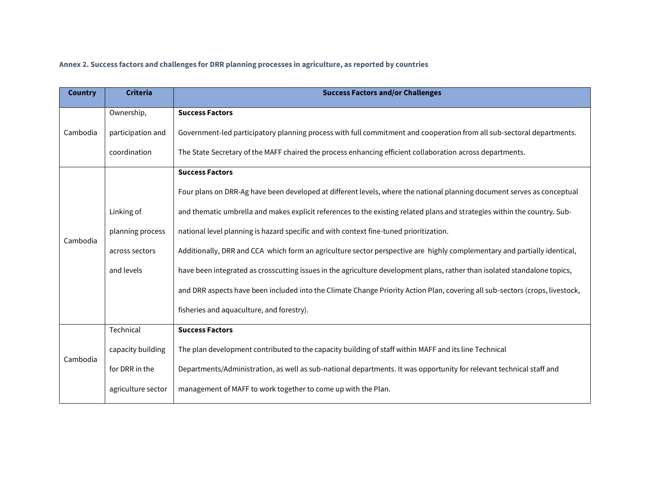## **Annex 2. Success factors and challenges for DRR planning processes in agriculture, as reported by countries**

| <b>Country</b> | <b>Criteria</b>    | <b>Success Factors and/or Challenges</b>                                                                                     |
|----------------|--------------------|------------------------------------------------------------------------------------------------------------------------------|
|                | Ownership,         | <b>Success Factors</b>                                                                                                       |
| Cambodia       | participation and  | Government-led participatory planning process with full commitment and cooperation from all sub-sectoral departments.        |
|                | coordination       | The State Secretary of the MAFF chaired the process enhancing efficient collaboration across departments.                    |
|                |                    | <b>Success Factors</b>                                                                                                       |
|                |                    | Four plans on DRR-Ag have been developed at different levels, where the national planning document serves as conceptual      |
|                | Linking of         | and thematic umbrella and makes explicit references to the existing related plans and strategies within the country. Sub-    |
| Cambodia       | planning process   | national level planning is hazard specific and with context fine-tuned prioritization.                                       |
|                | across sectors     | Additionally, DRR and CCA which form an agriculture sector perspective are highly complementary and partially identical,     |
|                | and levels         | have been integrated as crosscutting issues in the agriculture development plans, rather than isolated standalone topics,    |
|                |                    | and DRR aspects have been included into the Climate Change Priority Action Plan, covering all sub-sectors (crops, livestock, |
|                |                    | fisheries and aquaculture, and forestry).                                                                                    |
|                | Technical          | <b>Success Factors</b>                                                                                                       |
| Cambodia       | capacity building  | The plan development contributed to the capacity building of staff within MAFF and its line Technical                        |
|                | for DRR in the     | Departments/Administration, as well as sub-national departments. It was opportunity for relevant technical staff and         |
|                | agriculture sector | management of MAFF to work together to come up with the Plan.                                                                |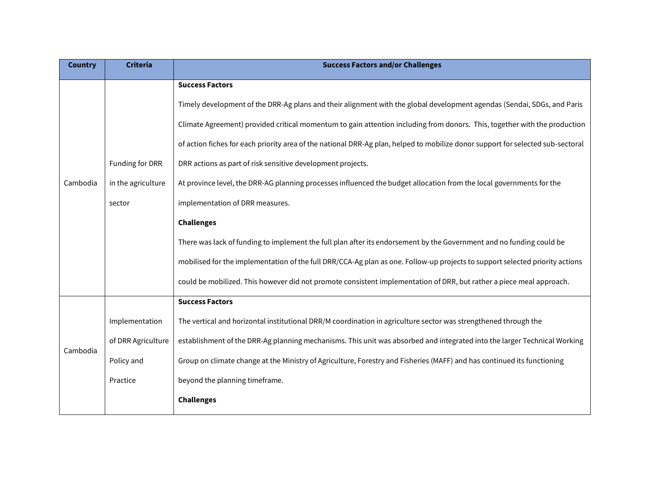| <b>Country</b> | <b>Criteria</b>    | <b>Success Factors and/or Challenges</b>                                                                                        |  |  |  |  |  |  |
|----------------|--------------------|---------------------------------------------------------------------------------------------------------------------------------|--|--|--|--|--|--|
|                |                    | <b>Success Factors</b>                                                                                                          |  |  |  |  |  |  |
|                |                    | Timely development of the DRR-Ag plans and their alignment with the global development agendas (Sendai, SDGs, and Paris         |  |  |  |  |  |  |
|                |                    | Climate Agreement) provided critical momentum to gain attention including from donors. This, together with the production       |  |  |  |  |  |  |
|                |                    | of action fiches for each priority area of the national DRR-Ag plan, helped to mobilize donor support for selected sub-sectoral |  |  |  |  |  |  |
|                | Funding for DRR    | DRR actions as part of risk sensitive development projects.                                                                     |  |  |  |  |  |  |
| Cambodia       | in the agriculture | At province level, the DRR-AG planning processes influenced the budget allocation from the local governments for the            |  |  |  |  |  |  |
|                | sector             | implementation of DRR measures.                                                                                                 |  |  |  |  |  |  |
|                |                    | <b>Challenges</b>                                                                                                               |  |  |  |  |  |  |
|                |                    | There was lack of funding to implement the full plan after its endorsement by the Government and no funding could be            |  |  |  |  |  |  |
|                |                    | mobilised for the implementation of the full DRR/CCA-Ag plan as one. Follow-up projects to support selected priority actions    |  |  |  |  |  |  |
|                |                    | could be mobilized. This however did not promote consistent implementation of DRR, but rather a piece meal approach.            |  |  |  |  |  |  |
|                |                    | <b>Success Factors</b>                                                                                                          |  |  |  |  |  |  |
|                | Implementation     | The vertical and horizontal institutional DRR/M coordination in agriculture sector was strengthened through the                 |  |  |  |  |  |  |
| Cambodia       | of DRR Agriculture | establishment of the DRR-Ag planning mechanisms. This unit was absorbed and integrated into the larger Technical Working        |  |  |  |  |  |  |
|                | Policy and         | Group on climate change at the Ministry of Agriculture, Forestry and Fisheries (MAFF) and has continued its functioning         |  |  |  |  |  |  |
|                | Practice           | beyond the planning timeframe.                                                                                                  |  |  |  |  |  |  |
|                |                    | <b>Challenges</b>                                                                                                               |  |  |  |  |  |  |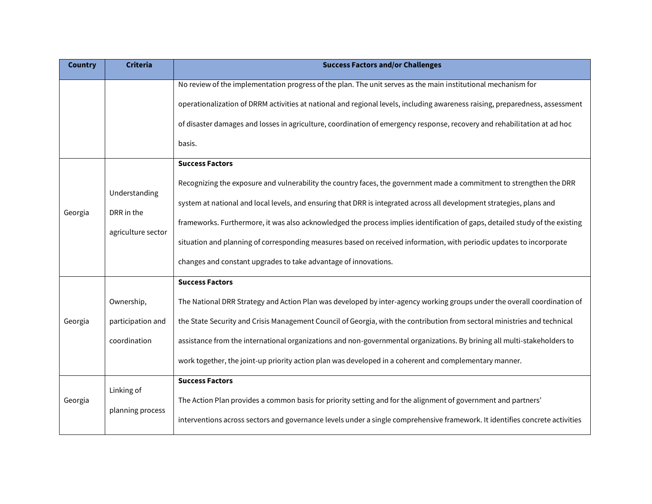| <b>Country</b> | <b>Criteria</b>                  | <b>Success Factors and/or Challenges</b>                                                                                     |
|----------------|----------------------------------|------------------------------------------------------------------------------------------------------------------------------|
|                |                                  | No review of the implementation progress of the plan. The unit serves as the main institutional mechanism for                |
|                |                                  | operationalization of DRRM activities at national and regional levels, including awareness raising, preparedness, assessment |
|                |                                  | of disaster damages and losses in agriculture, coordination of emergency response, recovery and rehabilitation at ad hoc     |
|                |                                  | basis.                                                                                                                       |
|                |                                  | <b>Success Factors</b>                                                                                                       |
|                | Understanding                    | Recognizing the exposure and vulnerability the country faces, the government made a commitment to strengthen the DRR         |
|                |                                  | system at national and local levels, and ensuring that DRR is integrated across all development strategies, plans and        |
| Georgia        | DRR in the<br>agriculture sector | frameworks. Furthermore, it was also acknowledged the process implies identification of gaps, detailed study of the existing |
|                |                                  | situation and planning of corresponding measures based on received information, with periodic updates to incorporate         |
|                |                                  | changes and constant upgrades to take advantage of innovations.                                                              |
|                |                                  | <b>Success Factors</b>                                                                                                       |
|                | Ownership,                       | The National DRR Strategy and Action Plan was developed by inter-agency working groups under the overall coordination of     |
| Georgia        | participation and                | the State Security and Crisis Management Council of Georgia, with the contribution from sectoral ministries and technical    |
|                | coordination                     | assistance from the international organizations and non-governmental organizations. By brining all multi-stakeholders to     |
|                |                                  | work together, the joint-up priority action plan was developed in a coherent and complementary manner.                       |
|                |                                  | <b>Success Factors</b>                                                                                                       |
| Georgia        | Linking of<br>planning process   | The Action Plan provides a common basis for priority setting and for the alignment of government and partners'               |
|                |                                  | interventions across sectors and governance levels under a single comprehensive framework. It identifies concrete activities |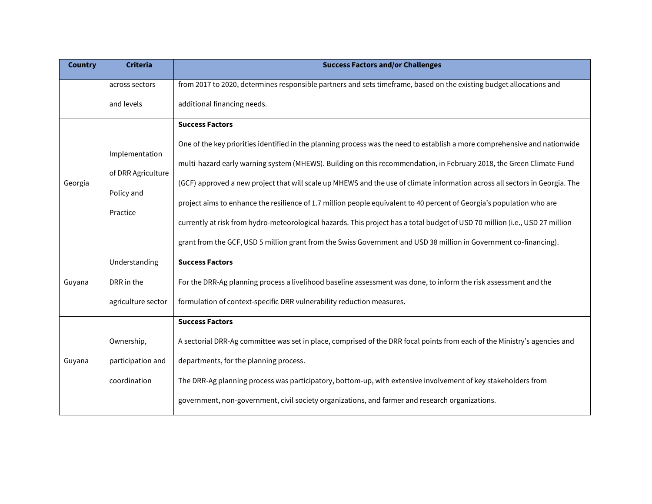| <b>Country</b> | <b>Criteria</b>                                                | <b>Success Factors and/or Challenges</b>                                                                                                                                                                                                                                                                                                                                                                                                                                                                                                                                                                                                                             |
|----------------|----------------------------------------------------------------|----------------------------------------------------------------------------------------------------------------------------------------------------------------------------------------------------------------------------------------------------------------------------------------------------------------------------------------------------------------------------------------------------------------------------------------------------------------------------------------------------------------------------------------------------------------------------------------------------------------------------------------------------------------------|
|                | across sectors                                                 | from 2017 to 2020, determines responsible partners and sets timeframe, based on the existing budget allocations and                                                                                                                                                                                                                                                                                                                                                                                                                                                                                                                                                  |
|                | and levels                                                     | additional financing needs.                                                                                                                                                                                                                                                                                                                                                                                                                                                                                                                                                                                                                                          |
| Georgia        | Implementation<br>of DRR Agriculture<br>Policy and<br>Practice | <b>Success Factors</b><br>One of the key priorities identified in the planning process was the need to establish a more comprehensive and nationwide<br>multi-hazard early warning system (MHEWS). Building on this recommendation, in February 2018, the Green Climate Fund<br>(GCF) approved a new project that will scale up MHEWS and the use of climate information across all sectors in Georgia. The<br>project aims to enhance the resilience of 1.7 million people equivalent to 40 percent of Georgia's population who are<br>currently at risk from hydro-meteorological hazards. This project has a total budget of USD 70 million (i.e., USD 27 million |
|                |                                                                | grant from the GCF, USD 5 million grant from the Swiss Government and USD 38 million in Government co-financing).                                                                                                                                                                                                                                                                                                                                                                                                                                                                                                                                                    |
|                | Understanding                                                  | <b>Success Factors</b>                                                                                                                                                                                                                                                                                                                                                                                                                                                                                                                                                                                                                                               |
| Guyana         | DRR in the                                                     | For the DRR-Ag planning process a livelihood baseline assessment was done, to inform the risk assessment and the                                                                                                                                                                                                                                                                                                                                                                                                                                                                                                                                                     |
|                | agriculture sector                                             | formulation of context-specific DRR vulnerability reduction measures.                                                                                                                                                                                                                                                                                                                                                                                                                                                                                                                                                                                                |
|                |                                                                | <b>Success Factors</b>                                                                                                                                                                                                                                                                                                                                                                                                                                                                                                                                                                                                                                               |
|                | Ownership,                                                     | A sectorial DRR-Ag committee was set in place, comprised of the DRR focal points from each of the Ministry's agencies and                                                                                                                                                                                                                                                                                                                                                                                                                                                                                                                                            |
| Guyana         | participation and                                              | departments, for the planning process.                                                                                                                                                                                                                                                                                                                                                                                                                                                                                                                                                                                                                               |
|                | coordination                                                   | The DRR-Ag planning process was participatory, bottom-up, with extensive involvement of key stakeholders from                                                                                                                                                                                                                                                                                                                                                                                                                                                                                                                                                        |
|                |                                                                | government, non-government, civil society organizations, and farmer and research organizations.                                                                                                                                                                                                                                                                                                                                                                                                                                                                                                                                                                      |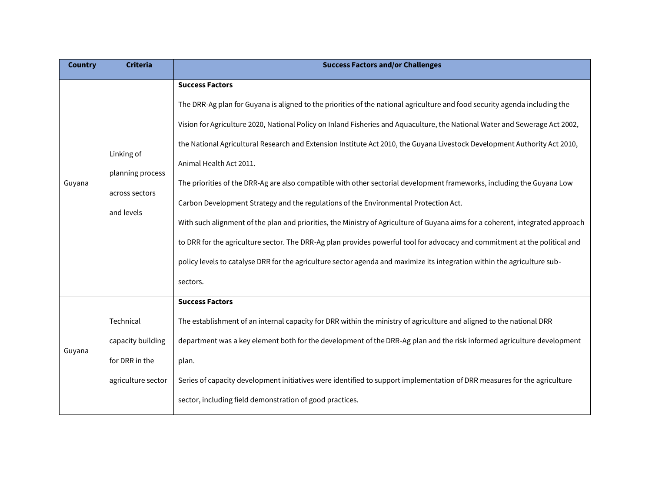| <b>Country</b> | <b>Criteria</b>                                                        | <b>Success Factors and/or Challenges</b>                                                                                                                                                                                                                                                                                                                                                                                                                                                                                                                                                                                                                                                                                                                                                                                                                                                                                                                                                                                                                              |
|----------------|------------------------------------------------------------------------|-----------------------------------------------------------------------------------------------------------------------------------------------------------------------------------------------------------------------------------------------------------------------------------------------------------------------------------------------------------------------------------------------------------------------------------------------------------------------------------------------------------------------------------------------------------------------------------------------------------------------------------------------------------------------------------------------------------------------------------------------------------------------------------------------------------------------------------------------------------------------------------------------------------------------------------------------------------------------------------------------------------------------------------------------------------------------|
| Guyana         | Linking of<br>planning process<br>across sectors<br>and levels         | <b>Success Factors</b><br>The DRR-Ag plan for Guyana is aligned to the priorities of the national agriculture and food security agenda including the<br>Vision for Agriculture 2020, National Policy on Inland Fisheries and Aquaculture, the National Water and Sewerage Act 2002,<br>the National Agricultural Research and Extension Institute Act 2010, the Guyana Livestock Development Authority Act 2010,<br>Animal Health Act 2011.<br>The priorities of the DRR-Ag are also compatible with other sectorial development frameworks, including the Guyana Low<br>Carbon Development Strategy and the regulations of the Environmental Protection Act.<br>With such alignment of the plan and priorities, the Ministry of Agriculture of Guyana aims for a coherent, integrated approach<br>to DRR for the agriculture sector. The DRR-Ag plan provides powerful tool for advocacy and commitment at the political and<br>policy levels to catalyse DRR for the agriculture sector agenda and maximize its integration within the agriculture sub-<br>sectors. |
| Guyana         | Technical<br>capacity building<br>for DRR in the<br>agriculture sector | <b>Success Factors</b><br>The establishment of an internal capacity for DRR within the ministry of agriculture and aligned to the national DRR<br>department was a key element both for the development of the DRR-Ag plan and the risk informed agriculture development<br>plan.<br>Series of capacity development initiatives were identified to support implementation of DRR measures for the agriculture<br>sector, including field demonstration of good practices.                                                                                                                                                                                                                                                                                                                                                                                                                                                                                                                                                                                             |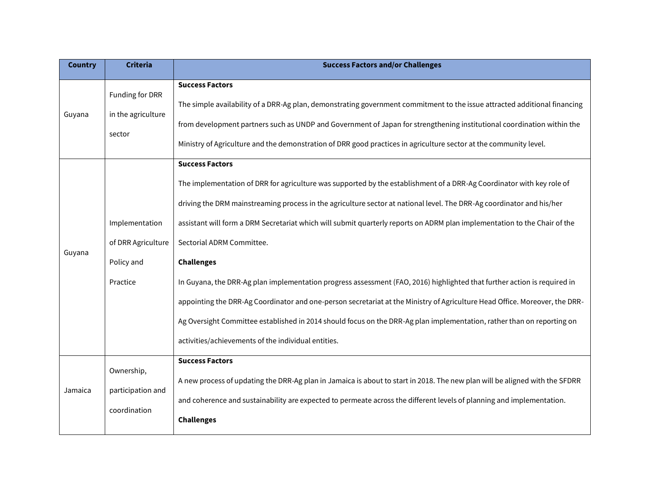| <b>Country</b> | <b>Criteria</b>                                                | <b>Success Factors and/or Challenges</b>                                                                                                                                                                                                                                                                                                                                                                                                                                                                                                                                                                                                                                                                                                                                                                                                                                                            |
|----------------|----------------------------------------------------------------|-----------------------------------------------------------------------------------------------------------------------------------------------------------------------------------------------------------------------------------------------------------------------------------------------------------------------------------------------------------------------------------------------------------------------------------------------------------------------------------------------------------------------------------------------------------------------------------------------------------------------------------------------------------------------------------------------------------------------------------------------------------------------------------------------------------------------------------------------------------------------------------------------------|
| Guyana         | Funding for DRR<br>in the agriculture<br>sector                | <b>Success Factors</b><br>The simple availability of a DRR-Ag plan, demonstrating government commitment to the issue attracted additional financing<br>from development partners such as UNDP and Government of Japan for strengthening institutional coordination within the<br>Ministry of Agriculture and the demonstration of DRR good practices in agriculture sector at the community level.                                                                                                                                                                                                                                                                                                                                                                                                                                                                                                  |
| Guyana         | Implementation<br>of DRR Agriculture<br>Policy and<br>Practice | <b>Success Factors</b><br>The implementation of DRR for agriculture was supported by the establishment of a DRR-Ag Coordinator with key role of<br>driving the DRM mainstreaming process in the agriculture sector at national level. The DRR-Ag coordinator and his/her<br>assistant will form a DRM Secretariat which will submit quarterly reports on ADRM plan implementation to the Chair of the<br>Sectorial ADRM Committee.<br><b>Challenges</b><br>In Guyana, the DRR-Ag plan implementation progress assessment (FAO, 2016) highlighted that further action is required in<br>appointing the DRR-Ag Coordinator and one-person secretariat at the Ministry of Agriculture Head Office. Moreover, the DRR-<br>Ag Oversight Committee established in 2014 should focus on the DRR-Ag plan implementation, rather than on reporting on<br>activities/achievements of the individual entities. |
| Jamaica        | Ownership,<br>participation and<br>coordination                | <b>Success Factors</b><br>A new process of updating the DRR-Ag plan in Jamaica is about to start in 2018. The new plan will be aligned with the SFDRR<br>and coherence and sustainability are expected to permeate across the different levels of planning and implementation.<br><b>Challenges</b>                                                                                                                                                                                                                                                                                                                                                                                                                                                                                                                                                                                                 |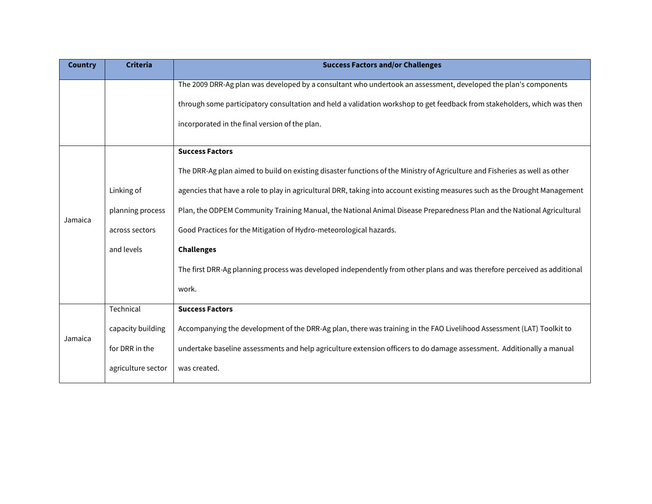| <b>Country</b> | <b>Criteria</b>    | <b>Success Factors and/or Challenges</b>                                                                                    |
|----------------|--------------------|-----------------------------------------------------------------------------------------------------------------------------|
|                |                    | The 2009 DRR-Ag plan was developed by a consultant who undertook an assessment, developed the plan's components             |
|                |                    | through some participatory consultation and held a validation workshop to get feedback from stakeholders, which was then    |
|                |                    | incorporated in the final version of the plan.                                                                              |
|                |                    | <b>Success Factors</b>                                                                                                      |
|                |                    | The DRR-Ag plan aimed to build on existing disaster functions of the Ministry of Agriculture and Fisheries as well as other |
|                | Linking of         | agencies that have a role to play in agricultural DRR, taking into account existing measures such as the Drought Management |
|                | planning process   | Plan, the ODPEM Community Training Manual, the National Animal Disease Preparedness Plan and the National Agricultural      |
| Jamaica        | across sectors     | Good Practices for the Mitigation of Hydro-meteorological hazards.                                                          |
|                | and levels         | <b>Challenges</b>                                                                                                           |
|                |                    | The first DRR-Ag planning process was developed independently from other plans and was therefore perceived as additional    |
|                |                    | work.                                                                                                                       |
|                | Technical          | <b>Success Factors</b>                                                                                                      |
| Jamaica        | capacity building  | Accompanying the development of the DRR-Ag plan, there was training in the FAO Livelihood Assessment (LAT) Toolkit to       |
|                | for DRR in the     | undertake baseline assessments and help agriculture extension officers to do damage assessment. Additionally a manual       |
|                | agriculture sector | was created.                                                                                                                |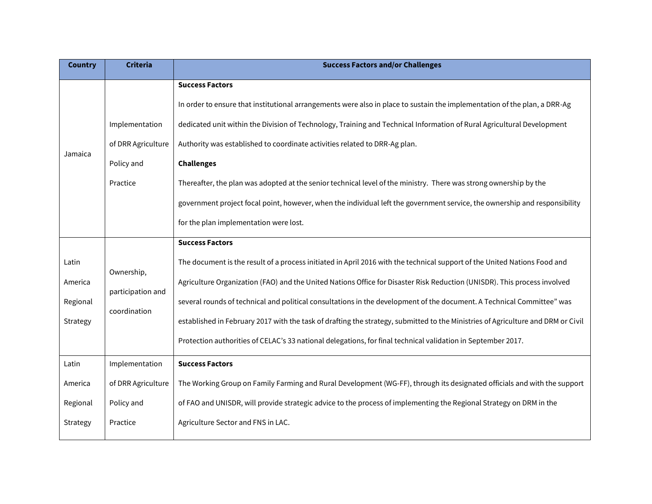| <b>Country</b>                           | <b>Criteria</b>                                                | <b>Success Factors and/or Challenges</b>                                                                                                                                                                                                                                                                                                                                                                                                                                                                                                                                                                                                                                      |
|------------------------------------------|----------------------------------------------------------------|-------------------------------------------------------------------------------------------------------------------------------------------------------------------------------------------------------------------------------------------------------------------------------------------------------------------------------------------------------------------------------------------------------------------------------------------------------------------------------------------------------------------------------------------------------------------------------------------------------------------------------------------------------------------------------|
| Jamaica                                  | Implementation<br>of DRR Agriculture<br>Policy and<br>Practice | <b>Success Factors</b><br>In order to ensure that institutional arrangements were also in place to sustain the implementation of the plan, a DRR-Ag<br>dedicated unit within the Division of Technology, Training and Technical Information of Rural Agricultural Development<br>Authority was established to coordinate activities related to DRR-Ag plan.<br><b>Challenges</b><br>Thereafter, the plan was adopted at the senior technical level of the ministry. There was strong ownership by the<br>government project focal point, however, when the individual left the government service, the ownership and responsibility<br>for the plan implementation were lost. |
| Latin<br>America<br>Regional<br>Strategy | Ownership,<br>participation and<br>coordination                | <b>Success Factors</b><br>The document is the result of a process initiated in April 2016 with the technical support of the United Nations Food and<br>Agriculture Organization (FAO) and the United Nations Office for Disaster Risk Reduction (UNISDR). This process involved<br>several rounds of technical and political consultations in the development of the document. A Technical Committee" was<br>established in February 2017 with the task of drafting the strategy, submitted to the Ministries of Agriculture and DRM or Civil<br>Protection authorities of CELAC's 33 national delegations, for final technical validation in September 2017.                 |
| Latin<br>America<br>Regional<br>Strategy | Implementation<br>of DRR Agriculture<br>Policy and<br>Practice | <b>Success Factors</b><br>The Working Group on Family Farming and Rural Development (WG-FF), through its designated officials and with the support<br>of FAO and UNISDR, will provide strategic advice to the process of implementing the Regional Strategy on DRM in the<br>Agriculture Sector and FNS in LAC.                                                                                                                                                                                                                                                                                                                                                               |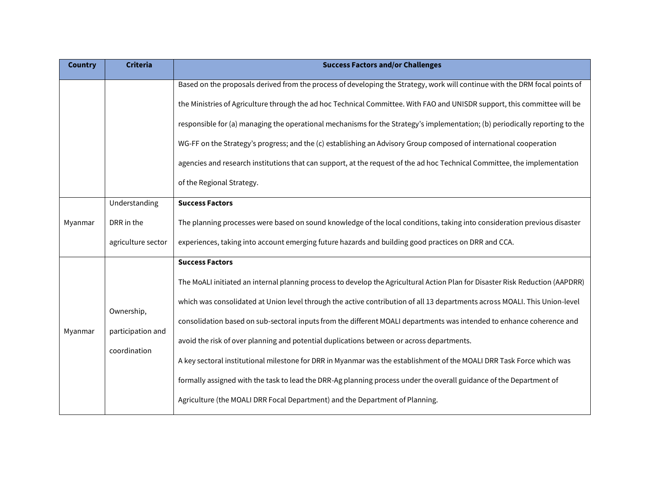| <b>Country</b> | <b>Criteria</b>                                   | <b>Success Factors and/or Challenges</b>                                                                                                                                                                                                                                                                                                                                                                                                                                                                                                                                                                                                                                                                                                                                                                                                    |
|----------------|---------------------------------------------------|---------------------------------------------------------------------------------------------------------------------------------------------------------------------------------------------------------------------------------------------------------------------------------------------------------------------------------------------------------------------------------------------------------------------------------------------------------------------------------------------------------------------------------------------------------------------------------------------------------------------------------------------------------------------------------------------------------------------------------------------------------------------------------------------------------------------------------------------|
|                |                                                   | Based on the proposals derived from the process of developing the Strategy, work will continue with the DRM focal points of<br>the Ministries of Agriculture through the ad hoc Technical Committee. With FAO and UNISDR support, this committee will be<br>responsible for (a) managing the operational mechanisms for the Strategy's implementation; (b) periodically reporting to the<br>WG-FF on the Strategy's progress; and the (c) establishing an Advisory Group composed of international cooperation<br>agencies and research institutions that can support, at the request of the ad hoc Technical Committee, the implementation<br>of the Regional Strategy.                                                                                                                                                                    |
| Myanmar        | Understanding<br>DRR in the<br>agriculture sector | <b>Success Factors</b><br>The planning processes were based on sound knowledge of the local conditions, taking into consideration previous disaster<br>experiences, taking into account emerging future hazards and building good practices on DRR and CCA.                                                                                                                                                                                                                                                                                                                                                                                                                                                                                                                                                                                 |
| Myanmar        | Ownership,<br>participation and<br>coordination   | <b>Success Factors</b><br>The MoALI initiated an internal planning process to develop the Agricultural Action Plan for Disaster Risk Reduction (AAPDRR)<br>which was consolidated at Union level through the active contribution of all 13 departments across MOALI. This Union-level<br>consolidation based on sub-sectoral inputs from the different MOALI departments was intended to enhance coherence and<br>avoid the risk of over planning and potential duplications between or across departments.<br>A key sectoral institutional milestone for DRR in Myanmar was the establishment of the MOALI DRR Task Force which was<br>formally assigned with the task to lead the DRR-Ag planning process under the overall guidance of the Department of<br>Agriculture (the MOALI DRR Focal Department) and the Department of Planning. |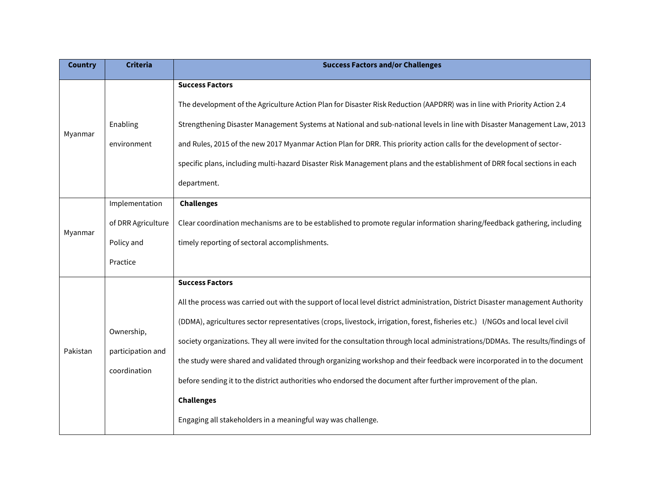| <b>Country</b> | <b>Criteria</b>                                                | <b>Success Factors and/or Challenges</b>                                                                                                                                                                                                                                                                                                                                                                                                                                                                                                                                                                                                                                                                                                                         |
|----------------|----------------------------------------------------------------|------------------------------------------------------------------------------------------------------------------------------------------------------------------------------------------------------------------------------------------------------------------------------------------------------------------------------------------------------------------------------------------------------------------------------------------------------------------------------------------------------------------------------------------------------------------------------------------------------------------------------------------------------------------------------------------------------------------------------------------------------------------|
| Myanmar        | Enabling<br>environment                                        | <b>Success Factors</b><br>The development of the Agriculture Action Plan for Disaster Risk Reduction (AAPDRR) was in line with Priority Action 2.4<br>Strengthening Disaster Management Systems at National and sub-national levels in line with Disaster Management Law, 2013<br>and Rules, 2015 of the new 2017 Myanmar Action Plan for DRR. This priority action calls for the development of sector-<br>specific plans, including multi-hazard Disaster Risk Management plans and the establishment of DRR focal sections in each<br>department.                                                                                                                                                                                                             |
| Myanmar        | Implementation<br>of DRR Agriculture<br>Policy and<br>Practice | <b>Challenges</b><br>Clear coordination mechanisms are to be established to promote regular information sharing/feedback gathering, including<br>timely reporting of sectoral accomplishments.                                                                                                                                                                                                                                                                                                                                                                                                                                                                                                                                                                   |
| Pakistan       | Ownership,<br>participation and<br>coordination                | <b>Success Factors</b><br>All the process was carried out with the support of local level district administration, District Disaster management Authority<br>(DDMA), agricultures sector representatives (crops, livestock, irrigation, forest, fisheries etc.) I/NGOs and local level civil<br>society organizations. They all were invited for the consultation through local administrations/DDMAs. The results/findings of<br>the study were shared and validated through organizing workshop and their feedback were incorporated in to the document<br>before sending it to the district authorities who endorsed the document after further improvement of the plan.<br><b>Challenges</b><br>Engaging all stakeholders in a meaningful way was challenge. |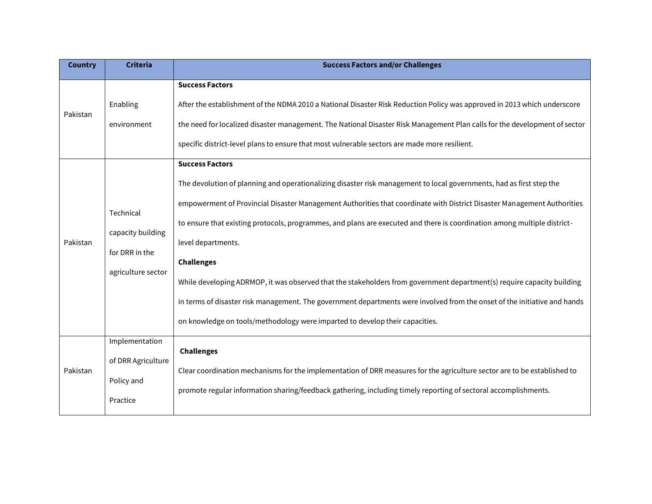| <b>Country</b> | <b>Criteria</b>                                                        | <b>Success Factors and/or Challenges</b>                                                                                                                                                                                                                                                                                                                                                                                                                                                                                                                                                                                                                                                                                                                                                |
|----------------|------------------------------------------------------------------------|-----------------------------------------------------------------------------------------------------------------------------------------------------------------------------------------------------------------------------------------------------------------------------------------------------------------------------------------------------------------------------------------------------------------------------------------------------------------------------------------------------------------------------------------------------------------------------------------------------------------------------------------------------------------------------------------------------------------------------------------------------------------------------------------|
| Pakistan       | Enabling<br>environment                                                | <b>Success Factors</b><br>After the establishment of the NDMA 2010 a National Disaster Risk Reduction Policy was approved in 2013 which underscore<br>the need for localized disaster management. The National Disaster Risk Management Plan calls for the development of sector<br>specific district-level plans to ensure that most vulnerable sectors are made more resilient.                                                                                                                                                                                                                                                                                                                                                                                                       |
| Pakistan       | Technical<br>capacity building<br>for DRR in the<br>agriculture sector | <b>Success Factors</b><br>The devolution of planning and operationalizing disaster risk management to local governments, had as first step the<br>empowerment of Provincial Disaster Management Authorities that coordinate with District Disaster Management Authorities<br>to ensure that existing protocols, programmes, and plans are executed and there is coordination among multiple district-<br>level departments.<br><b>Challenges</b><br>While developing ADRMOP, it was observed that the stakeholders from government department(s) require capacity building<br>in terms of disaster risk management. The government departments were involved from the onset of the initiative and hands<br>on knowledge on tools/methodology were imparted to develop their capacities. |
| Pakistan       | Implementation<br>of DRR Agriculture<br>Policy and<br>Practice         | <b>Challenges</b><br>Clear coordination mechanisms for the implementation of DRR measures for the agriculture sector are to be established to<br>promote regular information sharing/feedback gathering, including timely reporting of sectoral accomplishments.                                                                                                                                                                                                                                                                                                                                                                                                                                                                                                                        |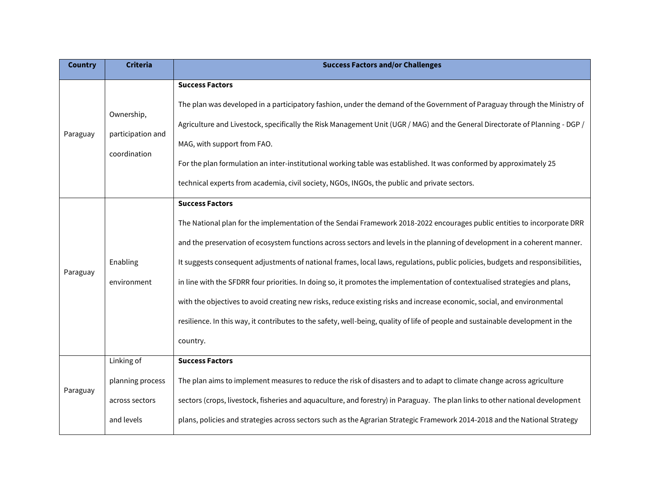| <b>Country</b> | <b>Criteria</b>                                                | <b>Success Factors and/or Challenges</b>                                                                                                                                                                                                                                                                                                                                                                                                                                                                                                                                                                                                                                                                                                                                                                                    |
|----------------|----------------------------------------------------------------|-----------------------------------------------------------------------------------------------------------------------------------------------------------------------------------------------------------------------------------------------------------------------------------------------------------------------------------------------------------------------------------------------------------------------------------------------------------------------------------------------------------------------------------------------------------------------------------------------------------------------------------------------------------------------------------------------------------------------------------------------------------------------------------------------------------------------------|
| Paraguay       | Ownership,<br>participation and<br>coordination                | <b>Success Factors</b><br>The plan was developed in a participatory fashion, under the demand of the Government of Paraguay through the Ministry of<br>Agriculture and Livestock, specifically the Risk Management Unit (UGR / MAG) and the General Directorate of Planning - DGP /<br>MAG, with support from FAO.<br>For the plan formulation an inter-institutional working table was established. It was conformed by approximately 25<br>technical experts from academia, civil society, NGOs, INGOs, the public and private sectors.                                                                                                                                                                                                                                                                                   |
| Paraguay       | Enabling<br>environment                                        | <b>Success Factors</b><br>The National plan for the implementation of the Sendai Framework 2018-2022 encourages public entities to incorporate DRR<br>and the preservation of ecosystem functions across sectors and levels in the planning of development in a coherent manner.<br>It suggests consequent adjustments of national frames, local laws, regulations, public policies, budgets and responsibilities,<br>in line with the SFDRR four priorities. In doing so, it promotes the implementation of contextualised strategies and plans,<br>with the objectives to avoid creating new risks, reduce existing risks and increase economic, social, and environmental<br>resilience. In this way, it contributes to the safety, well-being, quality of life of people and sustainable development in the<br>country. |
| Paraguay       | Linking of<br>planning process<br>across sectors<br>and levels | <b>Success Factors</b><br>The plan aims to implement measures to reduce the risk of disasters and to adapt to climate change across agriculture<br>sectors (crops, livestock, fisheries and aquaculture, and forestry) in Paraguay. The plan links to other national development<br>plans, policies and strategies across sectors such as the Agrarian Strategic Framework 2014-2018 and the National Strategy                                                                                                                                                                                                                                                                                                                                                                                                              |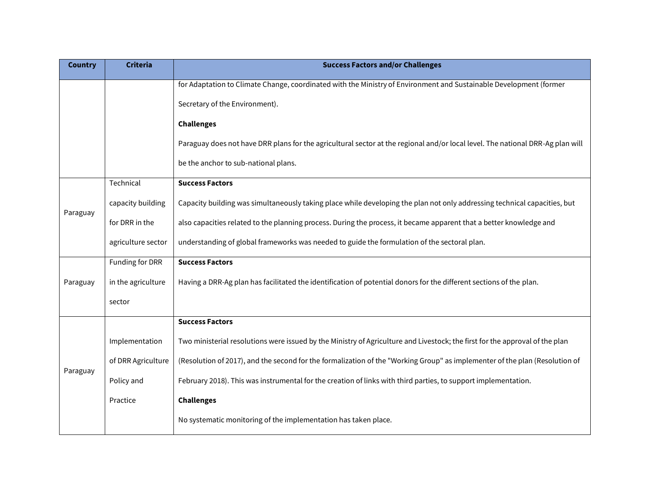| <b>Country</b> | <b>Criteria</b>    | <b>Success Factors and/or Challenges</b>                                                                                       |
|----------------|--------------------|--------------------------------------------------------------------------------------------------------------------------------|
|                |                    | for Adaptation to Climate Change, coordinated with the Ministry of Environment and Sustainable Development (former             |
|                |                    | Secretary of the Environment).                                                                                                 |
|                |                    | <b>Challenges</b>                                                                                                              |
|                |                    | Paraguay does not have DRR plans for the agricultural sector at the regional and/or local level. The national DRR-Ag plan will |
|                |                    | be the anchor to sub-national plans.                                                                                           |
|                | Technical          | <b>Success Factors</b>                                                                                                         |
|                | capacity building  | Capacity building was simultaneously taking place while developing the plan not only addressing technical capacities, but      |
| Paraguay       | for DRR in the     | also capacities related to the planning process. During the process, it became apparent that a better knowledge and            |
|                | agriculture sector | understanding of global frameworks was needed to guide the formulation of the sectoral plan.                                   |
|                | Funding for DRR    | <b>Success Factors</b>                                                                                                         |
| Paraguay       | in the agriculture | Having a DRR-Ag plan has facilitated the identification of potential donors for the different sections of the plan.            |
|                | sector             |                                                                                                                                |
|                |                    | <b>Success Factors</b>                                                                                                         |
|                | Implementation     | Two ministerial resolutions were issued by the Ministry of Agriculture and Livestock; the first for the approval of the plan   |
|                | of DRR Agriculture | (Resolution of 2017), and the second for the formalization of the "Working Group" as implementer of the plan (Resolution of    |
| Paraguay       | Policy and         | February 2018). This was instrumental for the creation of links with third parties, to support implementation.                 |
|                | Practice           | <b>Challenges</b>                                                                                                              |
|                |                    | No systematic monitoring of the implementation has taken place.                                                                |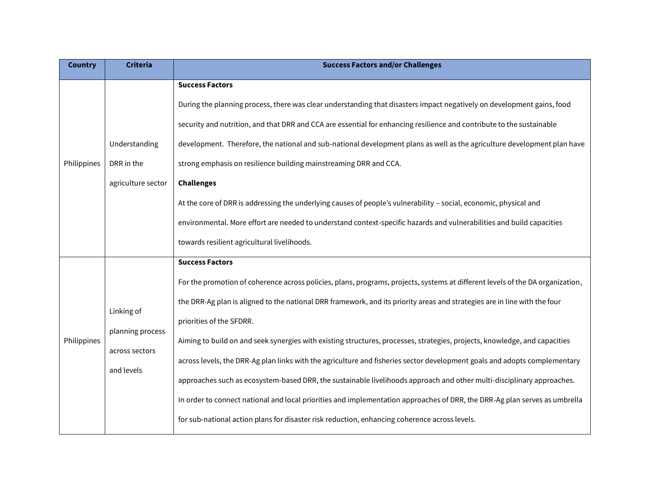| <b>Country</b> | <b>Criteria</b>                                                | <b>Success Factors and/or Challenges</b>                                                                                                                                                                                                                                                                                                                                                                                                                                                                                                                                                                                                                                                                                                                                                                                                                                                                                             |
|----------------|----------------------------------------------------------------|--------------------------------------------------------------------------------------------------------------------------------------------------------------------------------------------------------------------------------------------------------------------------------------------------------------------------------------------------------------------------------------------------------------------------------------------------------------------------------------------------------------------------------------------------------------------------------------------------------------------------------------------------------------------------------------------------------------------------------------------------------------------------------------------------------------------------------------------------------------------------------------------------------------------------------------|
| Philippines    | Understanding<br>DRR in the<br>agriculture sector              | <b>Success Factors</b><br>During the planning process, there was clear understanding that disasters impact negatively on development gains, food<br>security and nutrition, and that DRR and CCA are essential for enhancing resilience and contribute to the sustainable<br>development. Therefore, the national and sub-national development plans as well as the agriculture development plan have<br>strong emphasis on resilience building mainstreaming DRR and CCA.<br><b>Challenges</b><br>At the core of DRR is addressing the underlying causes of people's vulnerability - social, economic, physical and<br>environmental. More effort are needed to understand context-specific hazards and vulnerabilities and build capacities<br>towards resilient agricultural livelihoods.                                                                                                                                         |
| Philippines    | Linking of<br>planning process<br>across sectors<br>and levels | <b>Success Factors</b><br>For the promotion of coherence across policies, plans, programs, projects, systems at different levels of the DA organization,<br>the DRR-Ag plan is aligned to the national DRR framework, and its priority areas and strategies are in line with the four<br>priorities of the SFDRR.<br>Aiming to build on and seek synergies with existing structures, processes, strategies, projects, knowledge, and capacities<br>across levels, the DRR-Ag plan links with the agriculture and fisheries sector development goals and adopts complementary<br>approaches such as ecosystem-based DRR, the sustainable livelihoods approach and other multi-disciplinary approaches.<br>In order to connect national and local priorities and implementation approaches of DRR, the DRR-Ag plan serves as umbrella<br>for sub-national action plans for disaster risk reduction, enhancing coherence across levels. |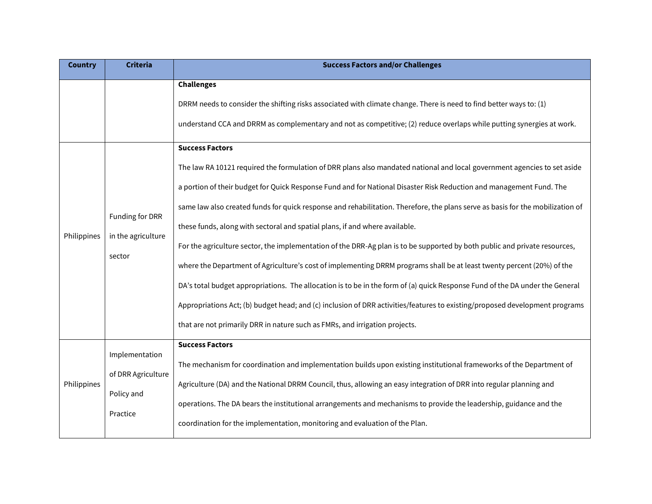| <b>Country</b> | <b>Criteria</b>                                                | <b>Success Factors and/or Challenges</b>                                                                                                                                                                                                                                                                                                                                                                                                                                                                                                                                                                                                                                                                                                                                                                                                                                                                                                                                                                                                                               |
|----------------|----------------------------------------------------------------|------------------------------------------------------------------------------------------------------------------------------------------------------------------------------------------------------------------------------------------------------------------------------------------------------------------------------------------------------------------------------------------------------------------------------------------------------------------------------------------------------------------------------------------------------------------------------------------------------------------------------------------------------------------------------------------------------------------------------------------------------------------------------------------------------------------------------------------------------------------------------------------------------------------------------------------------------------------------------------------------------------------------------------------------------------------------|
|                |                                                                | <b>Challenges</b><br>DRRM needs to consider the shifting risks associated with climate change. There is need to find better ways to: (1)<br>understand CCA and DRRM as complementary and not as competitive; (2) reduce overlaps while putting synergies at work.<br><b>Success Factors</b>                                                                                                                                                                                                                                                                                                                                                                                                                                                                                                                                                                                                                                                                                                                                                                            |
| Philippines    | Funding for DRR<br>in the agriculture<br>sector                | The law RA 10121 required the formulation of DRR plans also mandated national and local government agencies to set aside<br>a portion of their budget for Quick Response Fund and for National Disaster Risk Reduction and management Fund. The<br>same law also created funds for quick response and rehabilitation. Therefore, the plans serve as basis for the mobilization of<br>these funds, along with sectoral and spatial plans, if and where available.<br>For the agriculture sector, the implementation of the DRR-Ag plan is to be supported by both public and private resources,<br>where the Department of Agriculture's cost of implementing DRRM programs shall be at least twenty percent (20%) of the<br>DA's total budget appropriations. The allocation is to be in the form of (a) quick Response Fund of the DA under the General<br>Appropriations Act; (b) budget head; and (c) inclusion of DRR activities/features to existing/proposed development programs<br>that are not primarily DRR in nature such as FMRs, and irrigation projects. |
| Philippines    | Implementation<br>of DRR Agriculture<br>Policy and<br>Practice | <b>Success Factors</b><br>The mechanism for coordination and implementation builds upon existing institutional frameworks of the Department of<br>Agriculture (DA) and the National DRRM Council, thus, allowing an easy integration of DRR into regular planning and<br>operations. The DA bears the institutional arrangements and mechanisms to provide the leadership, guidance and the<br>coordination for the implementation, monitoring and evaluation of the Plan.                                                                                                                                                                                                                                                                                                                                                                                                                                                                                                                                                                                             |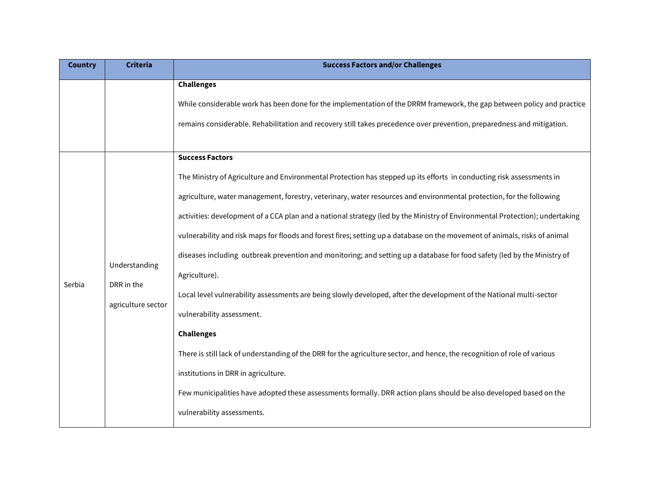| <b>Country</b> | <b>Criteria</b>                                   | <b>Success Factors and/or Challenges</b>                                                                                                                                                                                                                                                                                                                                                                                                                                                                                                                                                                                                                                                                                                                                                                                                                                                                                                                                                                                                                                                                                                                   |
|----------------|---------------------------------------------------|------------------------------------------------------------------------------------------------------------------------------------------------------------------------------------------------------------------------------------------------------------------------------------------------------------------------------------------------------------------------------------------------------------------------------------------------------------------------------------------------------------------------------------------------------------------------------------------------------------------------------------------------------------------------------------------------------------------------------------------------------------------------------------------------------------------------------------------------------------------------------------------------------------------------------------------------------------------------------------------------------------------------------------------------------------------------------------------------------------------------------------------------------------|
|                |                                                   | <b>Challenges</b><br>While considerable work has been done for the implementation of the DRRM framework, the gap between policy and practice<br>remains considerable. Rehabilitation and recovery still takes precedence over prevention, preparedness and mitigation.<br><b>Success Factors</b>                                                                                                                                                                                                                                                                                                                                                                                                                                                                                                                                                                                                                                                                                                                                                                                                                                                           |
| Serbia         | Understanding<br>DRR in the<br>agriculture sector | The Ministry of Agriculture and Environmental Protection has stepped up its efforts in conducting risk assessments in<br>agriculture, water management, forestry, veterinary, water resources and environmental protection, for the following<br>activities: development of a CCA plan and a national strategy (led by the Ministry of Environmental Protection); undertaking<br>vulnerability and risk maps for floods and forest fires; setting up a database on the movement of animals, risks of animal<br>diseases including outbreak prevention and monitoring; and setting up a database for food safety (led by the Ministry of<br>Agriculture).<br>Local level vulnerability assessments are being slowly developed, after the development of the National multi-sector<br>vulnerability assessment.<br><b>Challenges</b><br>There is still lack of understanding of the DRR for the agriculture sector, and hence, the recognition of role of various<br>institutions in DRR in agriculture.<br>Few municipalities have adopted these assessments formally. DRR action plans should be also developed based on the<br>vulnerability assessments. |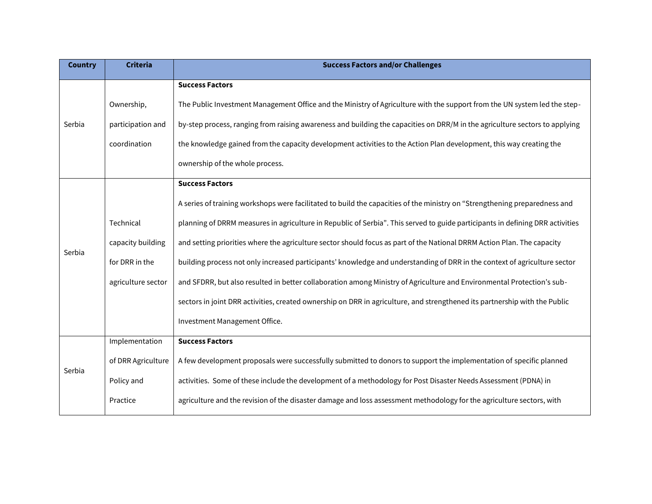| <b>Country</b> | <b>Criteria</b>    | <b>Success Factors and/or Challenges</b>                                                                                      |
|----------------|--------------------|-------------------------------------------------------------------------------------------------------------------------------|
|                |                    | <b>Success Factors</b>                                                                                                        |
|                | Ownership,         | The Public Investment Management Office and the Ministry of Agriculture with the support from the UN system led the step-     |
| Serbia         | participation and  | by-step process, ranging from raising awareness and building the capacities on DRR/M in the agriculture sectors to applying   |
|                | coordination       | the knowledge gained from the capacity development activities to the Action Plan development, this way creating the           |
|                |                    | ownership of the whole process.                                                                                               |
|                |                    | <b>Success Factors</b>                                                                                                        |
|                |                    | A series of training workshops were facilitated to build the capacities of the ministry on "Strengthening preparedness and    |
|                | Technical          | planning of DRRM measures in agriculture in Republic of Serbia". This served to guide participants in defining DRR activities |
|                | capacity building  | and setting priorities where the agriculture sector should focus as part of the National DRRM Action Plan. The capacity       |
| Serbia         | for DRR in the     | building process not only increased participants' knowledge and understanding of DRR in the context of agriculture sector     |
|                | agriculture sector | and SFDRR, but also resulted in better collaboration among Ministry of Agriculture and Environmental Protection's sub-        |
|                |                    | sectors in joint DRR activities, created ownership on DRR in agriculture, and strengthened its partnership with the Public    |
|                |                    | Investment Management Office.                                                                                                 |
|                | Implementation     | <b>Success Factors</b>                                                                                                        |
| Serbia         | of DRR Agriculture | A few development proposals were successfully submitted to donors to support the implementation of specific planned           |
|                | Policy and         | activities. Some of these include the development of a methodology for Post Disaster Needs Assessment (PDNA) in               |
|                | Practice           | agriculture and the revision of the disaster damage and loss assessment methodology for the agriculture sectors, with         |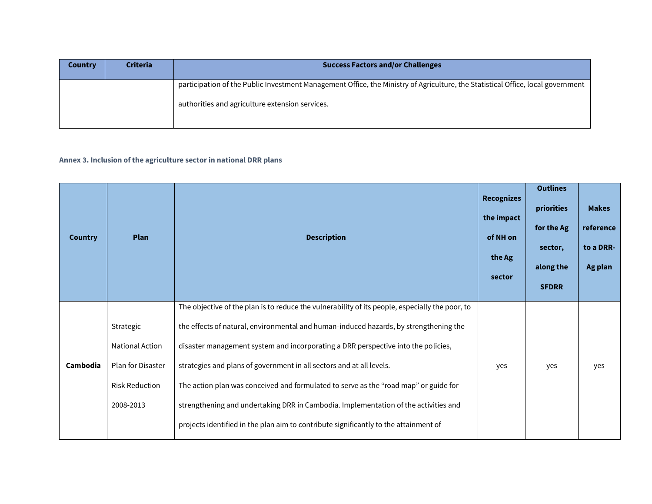| <b>Country</b> | <b>Criteria</b> | <b>Success Factors and/or Challenges</b>                                                                                                                                           |
|----------------|-----------------|------------------------------------------------------------------------------------------------------------------------------------------------------------------------------------|
|                |                 | participation of the Public Investment Management Office, the Ministry of Agriculture, the Statistical Office, local government<br>authorities and agriculture extension services. |

## **Annex 3. Inclusion of the agriculture sector in national DRR plans**

| <b>Country</b> | <b>Plan</b>                                                                                    | <b>Description</b>                                                                                                                                                                                                                                                                                                                                                                                                                                                                                                                                                                                                           | <b>Recognizes</b><br>the impact<br>of NH on<br>the Ag<br>sector | <b>Outlines</b><br>priorities<br>for the Ag<br>sector,<br>along the<br><b>SFDRR</b> | <b>Makes</b><br>reference<br>to a DRR-<br>Ag plan |
|----------------|------------------------------------------------------------------------------------------------|------------------------------------------------------------------------------------------------------------------------------------------------------------------------------------------------------------------------------------------------------------------------------------------------------------------------------------------------------------------------------------------------------------------------------------------------------------------------------------------------------------------------------------------------------------------------------------------------------------------------------|-----------------------------------------------------------------|-------------------------------------------------------------------------------------|---------------------------------------------------|
| Cambodia       | Strategic<br>National Action<br><b>Plan for Disaster</b><br><b>Risk Reduction</b><br>2008-2013 | The objective of the plan is to reduce the vulnerability of its people, especially the poor, to<br>the effects of natural, environmental and human-induced hazards, by strengthening the<br>disaster management system and incorporating a DRR perspective into the policies,<br>strategies and plans of government in all sectors and at all levels.<br>The action plan was conceived and formulated to serve as the "road map" or guide for<br>strengthening and undertaking DRR in Cambodia. Implementation of the activities and<br>projects identified in the plan aim to contribute significantly to the attainment of | yes                                                             | yes                                                                                 | yes                                               |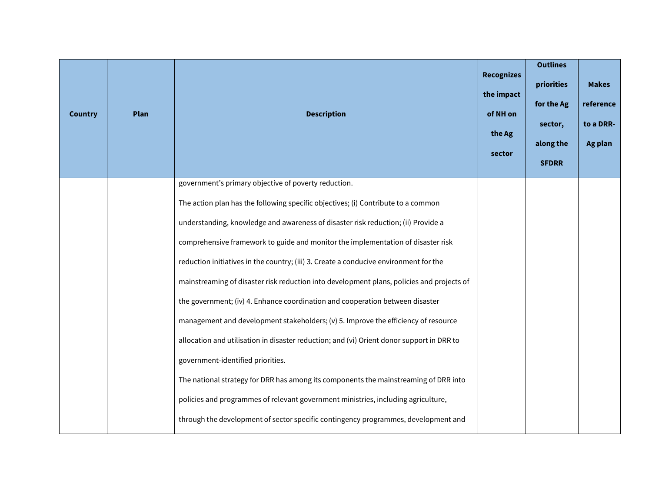| <b>Country</b> | <b>Plan</b> | <b>Description</b>                                                                        | <b>Recognizes</b><br>the impact<br>of NH on<br>the Ag<br>sector | <b>Outlines</b><br>priorities<br>for the Ag<br>sector,<br>along the<br><b>SFDRR</b> | <b>Makes</b><br>reference<br>to a DRR-<br>Ag plan |
|----------------|-------------|-------------------------------------------------------------------------------------------|-----------------------------------------------------------------|-------------------------------------------------------------------------------------|---------------------------------------------------|
|                |             | government's primary objective of poverty reduction.                                      |                                                                 |                                                                                     |                                                   |
|                |             | The action plan has the following specific objectives; (i) Contribute to a common         |                                                                 |                                                                                     |                                                   |
|                |             | understanding, knowledge and awareness of disaster risk reduction; (ii) Provide a         |                                                                 |                                                                                     |                                                   |
|                |             | comprehensive framework to guide and monitor the implementation of disaster risk          |                                                                 |                                                                                     |                                                   |
|                |             | reduction initiatives in the country; (iii) 3. Create a conducive environment for the     |                                                                 |                                                                                     |                                                   |
|                |             | mainstreaming of disaster risk reduction into development plans, policies and projects of |                                                                 |                                                                                     |                                                   |
|                |             | the government; (iv) 4. Enhance coordination and cooperation between disaster             |                                                                 |                                                                                     |                                                   |
|                |             | management and development stakeholders; (v) 5. Improve the efficiency of resource        |                                                                 |                                                                                     |                                                   |
|                |             | allocation and utilisation in disaster reduction; and (vi) Orient donor support in DRR to |                                                                 |                                                                                     |                                                   |
|                |             | government-identified priorities.                                                         |                                                                 |                                                                                     |                                                   |
|                |             | The national strategy for DRR has among its components the mainstreaming of DRR into      |                                                                 |                                                                                     |                                                   |
|                |             | policies and programmes of relevant government ministries, including agriculture,         |                                                                 |                                                                                     |                                                   |
|                |             | through the development of sector specific contingency programmes, development and        |                                                                 |                                                                                     |                                                   |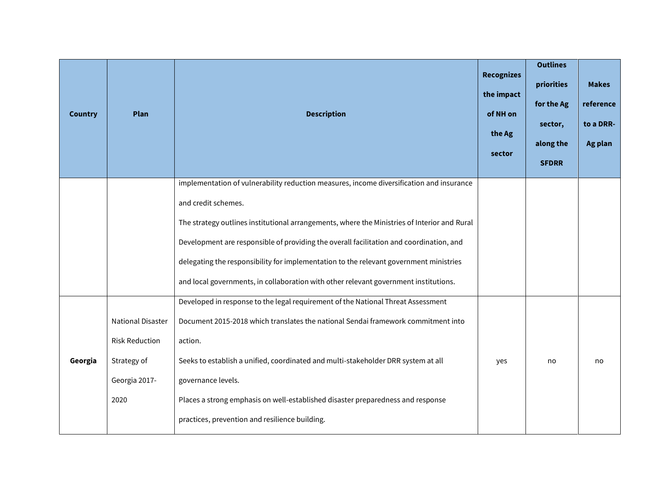| <b>Country</b> | <b>Plan</b>                                | <b>Description</b>                                                                                                                                                               | <b>Recognizes</b><br>the impact<br>of NH on<br>the Ag<br>sector | <b>Outlines</b><br>priorities<br>for the Ag<br>sector,<br>along the<br><b>SFDRR</b> | <b>Makes</b><br>reference<br>to a DRR-<br>Ag plan |
|----------------|--------------------------------------------|----------------------------------------------------------------------------------------------------------------------------------------------------------------------------------|-----------------------------------------------------------------|-------------------------------------------------------------------------------------|---------------------------------------------------|
|                |                                            | implementation of vulnerability reduction measures, income diversification and insurance<br>and credit schemes.                                                                  |                                                                 |                                                                                     |                                                   |
|                |                                            | The strategy outlines institutional arrangements, where the Ministries of Interior and Rural                                                                                     |                                                                 |                                                                                     |                                                   |
|                |                                            | Development are responsible of providing the overall facilitation and coordination, and                                                                                          |                                                                 |                                                                                     |                                                   |
|                |                                            | delegating the responsibility for implementation to the relevant government ministries                                                                                           |                                                                 |                                                                                     |                                                   |
|                |                                            | and local governments, in collaboration with other relevant government institutions.                                                                                             |                                                                 |                                                                                     |                                                   |
|                | National Disaster<br><b>Risk Reduction</b> | Developed in response to the legal requirement of the National Threat Assessment<br>Document 2015-2018 which translates the national Sendai framework commitment into<br>action. |                                                                 |                                                                                     |                                                   |
| Georgia        | Strategy of                                | Seeks to establish a unified, coordinated and multi-stakeholder DRR system at all                                                                                                | yes                                                             | no                                                                                  | no                                                |
|                | Georgia 2017-                              | governance levels.                                                                                                                                                               |                                                                 |                                                                                     |                                                   |
|                | 2020                                       | Places a strong emphasis on well-established disaster preparedness and response                                                                                                  |                                                                 |                                                                                     |                                                   |
|                |                                            | practices, prevention and resilience building.                                                                                                                                   |                                                                 |                                                                                     |                                                   |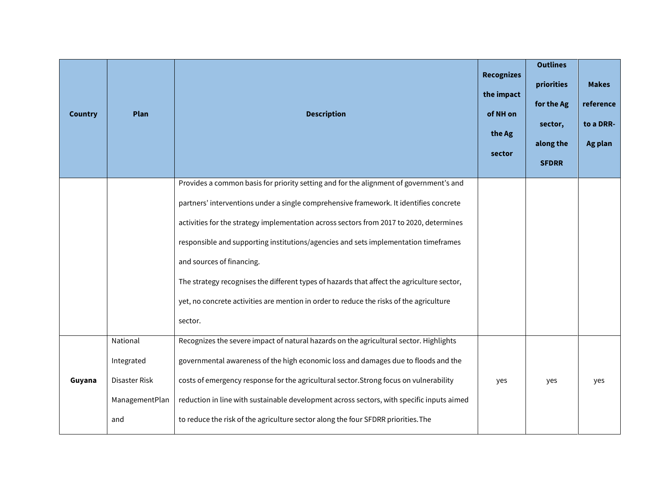| <b>Country</b> | Plan                                                             | <b>Description</b>                                                                                                                                                                                                                                                                                                                                                                                                                                                                                                                                                                                  | <b>Recognizes</b><br>the impact<br>of NH on<br>the Ag<br>sector | <b>Outlines</b><br>priorities<br>for the Ag<br>sector,<br>along the<br><b>SFDRR</b> | <b>Makes</b><br>reference<br>to a DRR-<br>Ag plan |
|----------------|------------------------------------------------------------------|-----------------------------------------------------------------------------------------------------------------------------------------------------------------------------------------------------------------------------------------------------------------------------------------------------------------------------------------------------------------------------------------------------------------------------------------------------------------------------------------------------------------------------------------------------------------------------------------------------|-----------------------------------------------------------------|-------------------------------------------------------------------------------------|---------------------------------------------------|
|                |                                                                  | Provides a common basis for priority setting and for the alignment of government's and<br>partners' interventions under a single comprehensive framework. It identifies concrete<br>activities for the strategy implementation across sectors from 2017 to 2020, determines<br>responsible and supporting institutions/agencies and sets implementation timeframes<br>and sources of financing.<br>The strategy recognises the different types of hazards that affect the agriculture sector,<br>yet, no concrete activities are mention in order to reduce the risks of the agriculture<br>sector. |                                                                 |                                                                                     |                                                   |
| Guyana         | National<br>Integrated<br>Disaster Risk<br>ManagementPlan<br>and | Recognizes the severe impact of natural hazards on the agricultural sector. Highlights<br>governmental awareness of the high economic loss and damages due to floods and the<br>costs of emergency response for the agricultural sector. Strong focus on vulnerability<br>reduction in line with sustainable development across sectors, with specific inputs aimed<br>to reduce the risk of the agriculture sector along the four SFDRR priorities. The                                                                                                                                            | yes                                                             | yes                                                                                 | yes                                               |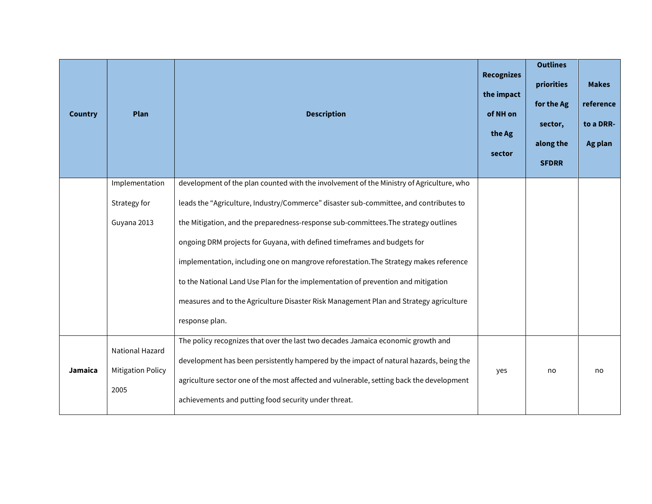| <b>Country</b> | Plan                                                | <b>Description</b>                                                                                                                                                                                                                                                                                                                                                                                                                                                                                                                                                                                                                             | <b>Recognizes</b><br>the impact<br>of NH on<br>the Ag<br>sector | <b>Outlines</b><br>priorities<br>for the Ag<br>sector,<br>along the<br><b>SFDRR</b> | <b>Makes</b><br>reference<br>to a DRR-<br>Ag plan |
|----------------|-----------------------------------------------------|------------------------------------------------------------------------------------------------------------------------------------------------------------------------------------------------------------------------------------------------------------------------------------------------------------------------------------------------------------------------------------------------------------------------------------------------------------------------------------------------------------------------------------------------------------------------------------------------------------------------------------------------|-----------------------------------------------------------------|-------------------------------------------------------------------------------------|---------------------------------------------------|
|                | Implementation<br>Strategy for<br>Guyana 2013       | development of the plan counted with the involvement of the Ministry of Agriculture, who<br>leads the "Agriculture, Industry/Commerce" disaster sub-committee, and contributes to<br>the Mitigation, and the preparedness-response sub-committees. The strategy outlines<br>ongoing DRM projects for Guyana, with defined timeframes and budgets for<br>implementation, including one on mangrove reforestation. The Strategy makes reference<br>to the National Land Use Plan for the implementation of prevention and mitigation<br>measures and to the Agriculture Disaster Risk Management Plan and Strategy agriculture<br>response plan. |                                                                 |                                                                                     |                                                   |
| Jamaica        | National Hazard<br><b>Mitigation Policy</b><br>2005 | The policy recognizes that over the last two decades Jamaica economic growth and<br>development has been persistently hampered by the impact of natural hazards, being the<br>agriculture sector one of the most affected and vulnerable, setting back the development<br>achievements and putting food security under threat.                                                                                                                                                                                                                                                                                                                 | yes                                                             | no                                                                                  | no                                                |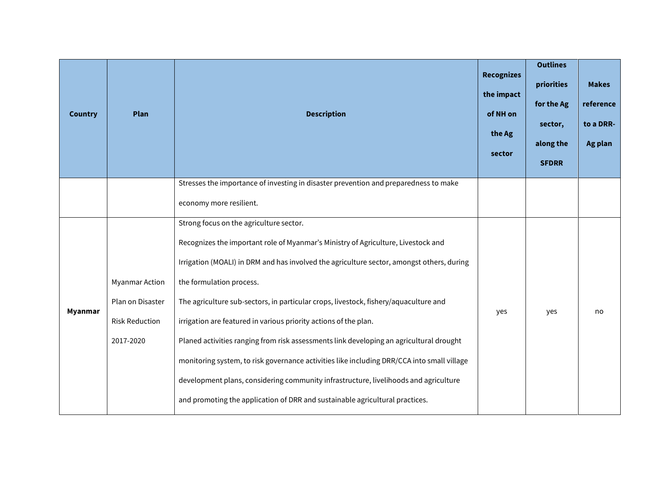| <b>Country</b> | Plan                                                                            | <b>Description</b>                                                                                                                                                                                                                                                                                                                                                                                                                                                                                                                                                                                                                                                                                 | <b>Recognizes</b><br>the impact<br>of NH on<br>the Ag<br>sector | <b>Outlines</b><br>priorities<br>for the Ag<br>sector,<br>along the<br><b>SFDRR</b> | <b>Makes</b><br>reference<br>to a DRR-<br>Ag plan |
|----------------|---------------------------------------------------------------------------------|----------------------------------------------------------------------------------------------------------------------------------------------------------------------------------------------------------------------------------------------------------------------------------------------------------------------------------------------------------------------------------------------------------------------------------------------------------------------------------------------------------------------------------------------------------------------------------------------------------------------------------------------------------------------------------------------------|-----------------------------------------------------------------|-------------------------------------------------------------------------------------|---------------------------------------------------|
|                |                                                                                 | Stresses the importance of investing in disaster prevention and preparedness to make<br>economy more resilient.                                                                                                                                                                                                                                                                                                                                                                                                                                                                                                                                                                                    |                                                                 |                                                                                     |                                                   |
| Myanmar        | <b>Myanmar Action</b><br>Plan on Disaster<br><b>Risk Reduction</b><br>2017-2020 | Strong focus on the agriculture sector.<br>Recognizes the important role of Myanmar's Ministry of Agriculture, Livestock and<br>Irrigation (MOALI) in DRM and has involved the agriculture sector, amongst others, during<br>the formulation process.<br>The agriculture sub-sectors, in particular crops, livestock, fishery/aquaculture and<br>irrigation are featured in various priority actions of the plan.<br>Planed activities ranging from risk assessments link developing an agricultural drought<br>monitoring system, to risk governance activities like including DRR/CCA into small village<br>development plans, considering community infrastructure, livelihoods and agriculture | yes                                                             | yes                                                                                 | no                                                |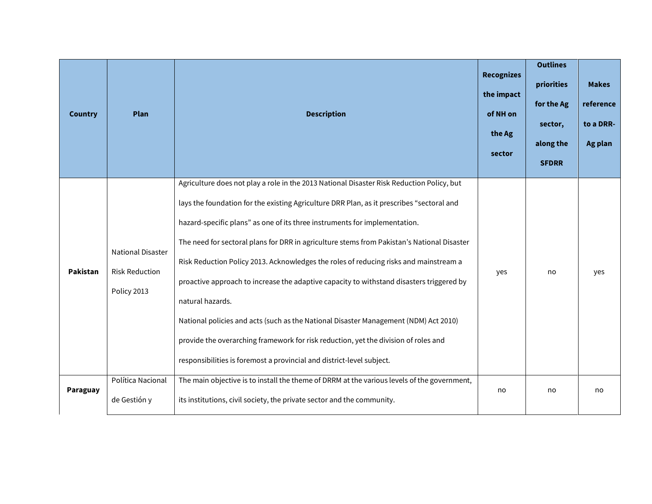| <b>Country</b> | Plan                                                             | <b>Description</b>                                                                                                                                                                                                                                                                                                                                                                                                                                                                                                                                                                                                                                                                                                                                                                                                                  | <b>Recognizes</b><br>the impact<br>of NH on<br>the Ag<br>sector | <b>Outlines</b><br>priorities<br>for the Ag<br>sector,<br>along the<br><b>SFDRR</b> | <b>Makes</b><br>reference<br>to a DRR-<br>Ag plan |
|----------------|------------------------------------------------------------------|-------------------------------------------------------------------------------------------------------------------------------------------------------------------------------------------------------------------------------------------------------------------------------------------------------------------------------------------------------------------------------------------------------------------------------------------------------------------------------------------------------------------------------------------------------------------------------------------------------------------------------------------------------------------------------------------------------------------------------------------------------------------------------------------------------------------------------------|-----------------------------------------------------------------|-------------------------------------------------------------------------------------|---------------------------------------------------|
| Pakistan       | <b>National Disaster</b><br><b>Risk Reduction</b><br>Policy 2013 | Agriculture does not play a role in the 2013 National Disaster Risk Reduction Policy, but<br>lays the foundation for the existing Agriculture DRR Plan, as it prescribes "sectoral and<br>hazard-specific plans" as one of its three instruments for implementation.<br>The need for sectoral plans for DRR in agriculture stems from Pakistan's National Disaster<br>Risk Reduction Policy 2013. Acknowledges the roles of reducing risks and mainstream a<br>proactive approach to increase the adaptive capacity to withstand disasters triggered by<br>natural hazards.<br>National policies and acts (such as the National Disaster Management (NDM) Act 2010)<br>provide the overarching framework for risk reduction, yet the division of roles and<br>responsibilities is foremost a provincial and district-level subject. | yes                                                             | no                                                                                  | yes                                               |
| Paraguay       | Política Nacional<br>de Gestión y                                | The main objective is to install the theme of DRRM at the various levels of the government,<br>its institutions, civil society, the private sector and the community.                                                                                                                                                                                                                                                                                                                                                                                                                                                                                                                                                                                                                                                               | no                                                              | no                                                                                  | no                                                |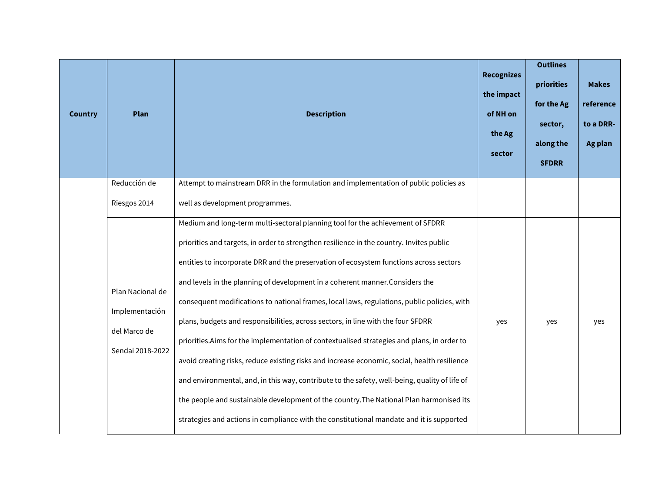| <b>Country</b> | Plan                                                                   | <b>Description</b>                                                                                                                                                                                                                                                                                                                                                                                                                                                                                                                                                                                                                                                                                                                                                                                                                                                                                                                                                                                                             | <b>Recognizes</b><br>the impact<br>of NH on<br>the Ag<br>sector | <b>Outlines</b><br>priorities<br>for the Ag<br>sector,<br>along the<br><b>SFDRR</b> | <b>Makes</b><br>reference<br>to a DRR-<br>Ag plan |
|----------------|------------------------------------------------------------------------|--------------------------------------------------------------------------------------------------------------------------------------------------------------------------------------------------------------------------------------------------------------------------------------------------------------------------------------------------------------------------------------------------------------------------------------------------------------------------------------------------------------------------------------------------------------------------------------------------------------------------------------------------------------------------------------------------------------------------------------------------------------------------------------------------------------------------------------------------------------------------------------------------------------------------------------------------------------------------------------------------------------------------------|-----------------------------------------------------------------|-------------------------------------------------------------------------------------|---------------------------------------------------|
|                | Reducción de                                                           | Attempt to mainstream DRR in the formulation and implementation of public policies as                                                                                                                                                                                                                                                                                                                                                                                                                                                                                                                                                                                                                                                                                                                                                                                                                                                                                                                                          |                                                                 |                                                                                     |                                                   |
|                | Riesgos 2014                                                           | well as development programmes.                                                                                                                                                                                                                                                                                                                                                                                                                                                                                                                                                                                                                                                                                                                                                                                                                                                                                                                                                                                                |                                                                 |                                                                                     |                                                   |
|                | Plan Nacional de<br>Implementación<br>del Marco de<br>Sendai 2018-2022 | Medium and long-term multi-sectoral planning tool for the achievement of SFDRR<br>priorities and targets, in order to strengthen resilience in the country. Invites public<br>entities to incorporate DRR and the preservation of ecosystem functions across sectors<br>and levels in the planning of development in a coherent manner. Considers the<br>consequent modifications to national frames, local laws, regulations, public policies, with<br>plans, budgets and responsibilities, across sectors, in line with the four SFDRR<br>priorities.Aims for the implementation of contextualised strategies and plans, in order to<br>avoid creating risks, reduce existing risks and increase economic, social, health resilience<br>and environmental, and, in this way, contribute to the safety, well-being, quality of life of<br>the people and sustainable development of the country. The National Plan harmonised its<br>strategies and actions in compliance with the constitutional mandate and it is supported | yes                                                             | yes                                                                                 | yes                                               |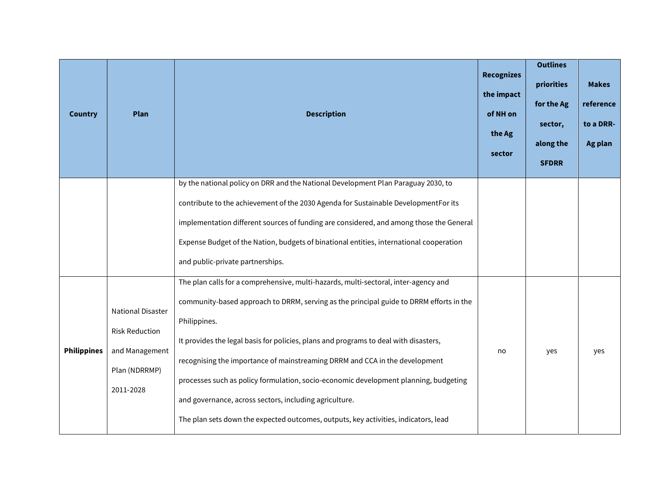| <b>Country</b>     | Plan                                                                                       | <b>Description</b>                                                                                                                                                                                                                                                                                                                                                                                                                                                                                                                                                                                             | <b>Recognizes</b><br>the impact<br>of NH on<br>the Ag<br>sector | <b>Outlines</b><br>priorities<br>for the Ag<br>sector,<br>along the<br><b>SFDRR</b> | <b>Makes</b><br>reference<br>to a DRR-<br>Ag plan |
|--------------------|--------------------------------------------------------------------------------------------|----------------------------------------------------------------------------------------------------------------------------------------------------------------------------------------------------------------------------------------------------------------------------------------------------------------------------------------------------------------------------------------------------------------------------------------------------------------------------------------------------------------------------------------------------------------------------------------------------------------|-----------------------------------------------------------------|-------------------------------------------------------------------------------------|---------------------------------------------------|
|                    |                                                                                            | by the national policy on DRR and the National Development Plan Paraguay 2030, to<br>contribute to the achievement of the 2030 Agenda for Sustainable DevelopmentFor its<br>implementation different sources of funding are considered, and among those the General<br>Expense Budget of the Nation, budgets of binational entities, international cooperation<br>and public-private partnerships.                                                                                                                                                                                                             |                                                                 |                                                                                     |                                                   |
| <b>Philippines</b> | National Disaster<br><b>Risk Reduction</b><br>and Management<br>Plan (NDRRMP)<br>2011-2028 | The plan calls for a comprehensive, multi-hazards, multi-sectoral, inter-agency and<br>community-based approach to DRRM, serving as the principal guide to DRRM efforts in the<br>Philippines.<br>It provides the legal basis for policies, plans and programs to deal with disasters,<br>recognising the importance of mainstreaming DRRM and CCA in the development<br>processes such as policy formulation, socio-economic development planning, budgeting<br>and governance, across sectors, including agriculture.<br>The plan sets down the expected outcomes, outputs, key activities, indicators, lead | no                                                              | yes                                                                                 | yes                                               |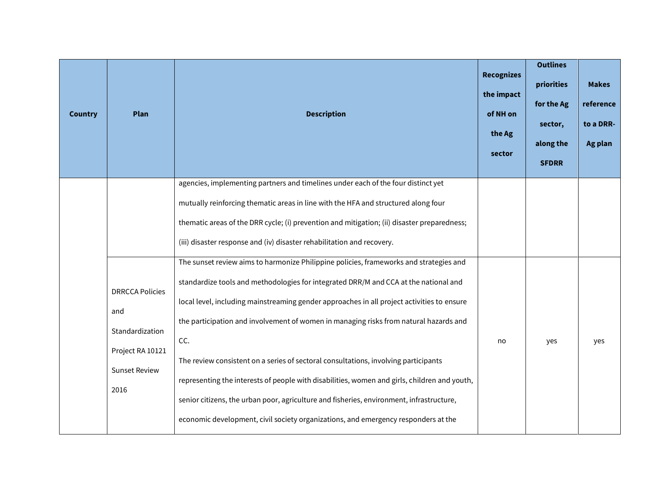| <b>Country</b> | Plan                                                                                                 | <b>Description</b>                                                                                                                                                                                                                                                                                                                                                                                                                                                                                                                                                                                                                                                                                                                                    | <b>Recognizes</b><br>the impact<br>of NH on<br>the Ag<br>sector | <b>Outlines</b><br>priorities<br>for the Ag<br>sector,<br>along the<br><b>SFDRR</b> | <b>Makes</b><br>reference<br>to a DRR-<br>Ag plan |
|----------------|------------------------------------------------------------------------------------------------------|-------------------------------------------------------------------------------------------------------------------------------------------------------------------------------------------------------------------------------------------------------------------------------------------------------------------------------------------------------------------------------------------------------------------------------------------------------------------------------------------------------------------------------------------------------------------------------------------------------------------------------------------------------------------------------------------------------------------------------------------------------|-----------------------------------------------------------------|-------------------------------------------------------------------------------------|---------------------------------------------------|
|                |                                                                                                      | agencies, implementing partners and timelines under each of the four distinct yet<br>mutually reinforcing thematic areas in line with the HFA and structured along four<br>thematic areas of the DRR cycle; (i) prevention and mitigation; (ii) disaster preparedness;<br>(iii) disaster response and (iv) disaster rehabilitation and recovery.                                                                                                                                                                                                                                                                                                                                                                                                      |                                                                 |                                                                                     |                                                   |
|                | <b>DRRCCA Policies</b><br>and<br>Standardization<br>Project RA 10121<br><b>Sunset Review</b><br>2016 | The sunset review aims to harmonize Philippine policies, frameworks and strategies and<br>standardize tools and methodologies for integrated DRR/M and CCA at the national and<br>local level, including mainstreaming gender approaches in all project activities to ensure<br>the participation and involvement of women in managing risks from natural hazards and<br>CC.<br>The review consistent on a series of sectoral consultations, involving participants<br>representing the interests of people with disabilities, women and girls, children and youth,<br>senior citizens, the urban poor, agriculture and fisheries, environment, infrastructure,<br>economic development, civil society organizations, and emergency responders at the | no                                                              | yes                                                                                 | yes                                               |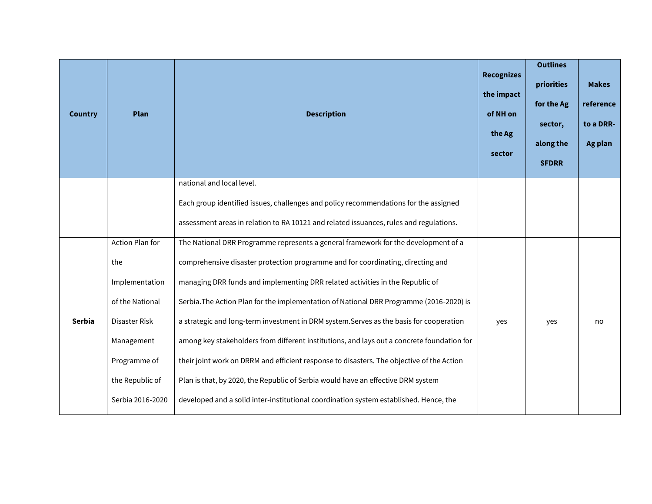| <b>Country</b> | Plan             | <b>Description</b>                                                                         | <b>Recognizes</b><br>the impact<br>of NH on<br>the Ag<br>sector | <b>Outlines</b><br>priorities<br>for the Ag<br>sector,<br>along the<br><b>SFDRR</b> | <b>Makes</b><br>reference<br>to a DRR-<br>Ag plan |
|----------------|------------------|--------------------------------------------------------------------------------------------|-----------------------------------------------------------------|-------------------------------------------------------------------------------------|---------------------------------------------------|
|                |                  | national and local level.                                                                  |                                                                 |                                                                                     |                                                   |
|                |                  | Each group identified issues, challenges and policy recommendations for the assigned       |                                                                 |                                                                                     |                                                   |
|                |                  | assessment areas in relation to RA 10121 and related issuances, rules and regulations.     |                                                                 |                                                                                     |                                                   |
|                | Action Plan for  | The National DRR Programme represents a general framework for the development of a         |                                                                 |                                                                                     |                                                   |
|                | the              | comprehensive disaster protection programme and for coordinating, directing and            |                                                                 |                                                                                     |                                                   |
|                | Implementation   | managing DRR funds and implementing DRR related activities in the Republic of              |                                                                 |                                                                                     |                                                   |
|                | of the National  | Serbia. The Action Plan for the implementation of National DRR Programme (2016-2020) is    |                                                                 |                                                                                     |                                                   |
| <b>Serbia</b>  | Disaster Risk    | a strategic and long-term investment in DRM system. Serves as the basis for cooperation    | yes                                                             | yes                                                                                 | no                                                |
|                | Management       | among key stakeholders from different institutions, and lays out a concrete foundation for |                                                                 |                                                                                     |                                                   |
|                | Programme of     | their joint work on DRRM and efficient response to disasters. The objective of the Action  |                                                                 |                                                                                     |                                                   |
|                | the Republic of  | Plan is that, by 2020, the Republic of Serbia would have an effective DRM system           |                                                                 |                                                                                     |                                                   |
|                | Serbia 2016-2020 | developed and a solid inter-institutional coordination system established. Hence, the      |                                                                 |                                                                                     |                                                   |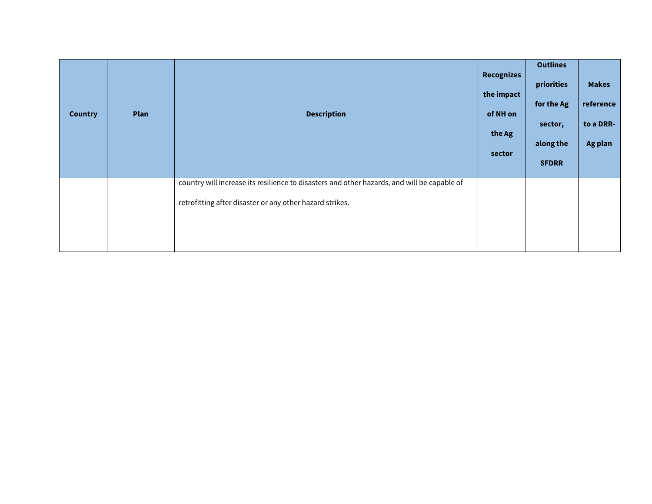| <b>Country</b> | Plan | <b>Description</b>                                                                                                                                      | <b>Recognizes</b><br>the impact<br>of NH on<br>the Ag<br>sector | <b>Outlines</b><br>priorities<br>for the Ag<br>sector,<br>along the<br><b>SFDRR</b> | <b>Makes</b><br>reference<br>to a DRR-<br>Ag plan |
|----------------|------|---------------------------------------------------------------------------------------------------------------------------------------------------------|-----------------------------------------------------------------|-------------------------------------------------------------------------------------|---------------------------------------------------|
|                |      | country will increase its resilience to disasters and other hazards, and will be capable of<br>retrofitting after disaster or any other hazard strikes. |                                                                 |                                                                                     |                                                   |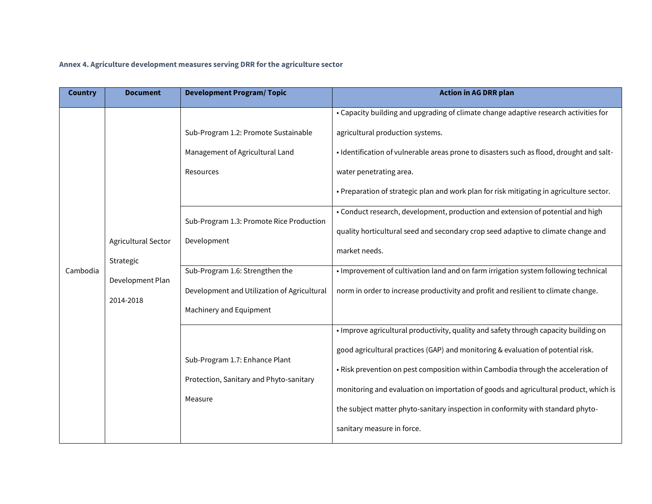## **Annex 4. Agriculture development measures serving DRR for the agriculture sector**

| <b>Country</b> | <b>Document</b>                                                   | <b>Development Program/Topic</b>                                                                                                                                                                                                                             | <b>Action in AG DRR plan</b>                                                                                                                                                                                                                                                                                                                                                                                                                                                                                                                                                                                                                                                                                      |
|----------------|-------------------------------------------------------------------|--------------------------------------------------------------------------------------------------------------------------------------------------------------------------------------------------------------------------------------------------------------|-------------------------------------------------------------------------------------------------------------------------------------------------------------------------------------------------------------------------------------------------------------------------------------------------------------------------------------------------------------------------------------------------------------------------------------------------------------------------------------------------------------------------------------------------------------------------------------------------------------------------------------------------------------------------------------------------------------------|
| Cambodia       | Agricultural Sector<br>Strategic<br>Development Plan<br>2014-2018 | Sub-Program 1.2: Promote Sustainable<br>Management of Agricultural Land<br>Resources<br>Sub-Program 1.3: Promote Rice Production<br>Development<br>Sub-Program 1.6: Strengthen the<br>Development and Utilization of Agricultural<br>Machinery and Equipment | • Capacity building and upgrading of climate change adaptive research activities for<br>agricultural production systems.<br>• Identification of vulnerable areas prone to disasters such as flood, drought and salt-<br>water penetrating area.<br>. Preparation of strategic plan and work plan for risk mitigating in agriculture sector.<br>• Conduct research, development, production and extension of potential and high<br>quality horticultural seed and secondary crop seed adaptive to climate change and<br>market needs.<br>. Improvement of cultivation land and on farm irrigation system following technical<br>norm in order to increase productivity and profit and resilient to climate change. |
|                |                                                                   | Sub-Program 1.7: Enhance Plant<br>Protection, Sanitary and Phyto-sanitary<br>Measure                                                                                                                                                                         | . Improve agricultural productivity, quality and safety through capacity building on<br>good agricultural practices (GAP) and monitoring & evaluation of potential risk.<br>• Risk prevention on pest composition within Cambodia through the acceleration of<br>monitoring and evaluation on importation of goods and agricultural product, which is<br>the subject matter phyto-sanitary inspection in conformity with standard phyto-<br>sanitary measure in force.                                                                                                                                                                                                                                            |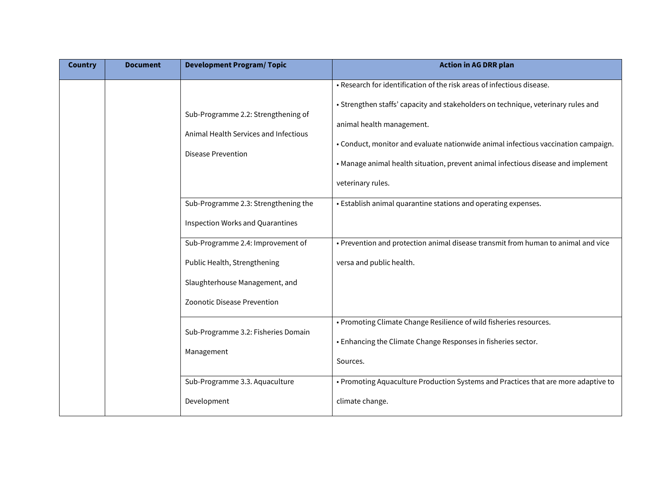| <b>Country</b> | <b>Document</b> | <b>Development Program/Topic</b>                                                                                                   | <b>Action in AG DRR plan</b>                                                                                                                                                                                                                                                                                                                                                             |
|----------------|-----------------|------------------------------------------------------------------------------------------------------------------------------------|------------------------------------------------------------------------------------------------------------------------------------------------------------------------------------------------------------------------------------------------------------------------------------------------------------------------------------------------------------------------------------------|
|                |                 | Sub-Programme 2.2: Strengthening of<br>Animal Health Services and Infectious<br><b>Disease Prevention</b>                          | . Research for identification of the risk areas of infectious disease.<br>• Strengthen staffs' capacity and stakeholders on technique, veterinary rules and<br>animal health management.<br>• Conduct, monitor and evaluate nationwide animal infectious vaccination campaign.<br>• Manage animal health situation, prevent animal infectious disease and implement<br>veterinary rules. |
|                |                 | Sub-Programme 2.3: Strengthening the<br>Inspection Works and Quarantines                                                           | • Establish animal quarantine stations and operating expenses.                                                                                                                                                                                                                                                                                                                           |
|                |                 | Sub-Programme 2.4: Improvement of<br>Public Health, Strengthening<br>Slaughterhouse Management, and<br>Zoonotic Disease Prevention | • Prevention and protection animal disease transmit from human to animal and vice<br>versa and public health.                                                                                                                                                                                                                                                                            |
|                |                 | Sub-Programme 3.2: Fisheries Domain<br>Management                                                                                  | • Promoting Climate Change Resilience of wild fisheries resources.<br>. Enhancing the Climate Change Responses in fisheries sector.<br>Sources.                                                                                                                                                                                                                                          |
|                |                 | Sub-Programme 3.3. Aquaculture<br>Development                                                                                      | • Promoting Aquaculture Production Systems and Practices that are more adaptive to<br>climate change.                                                                                                                                                                                                                                                                                    |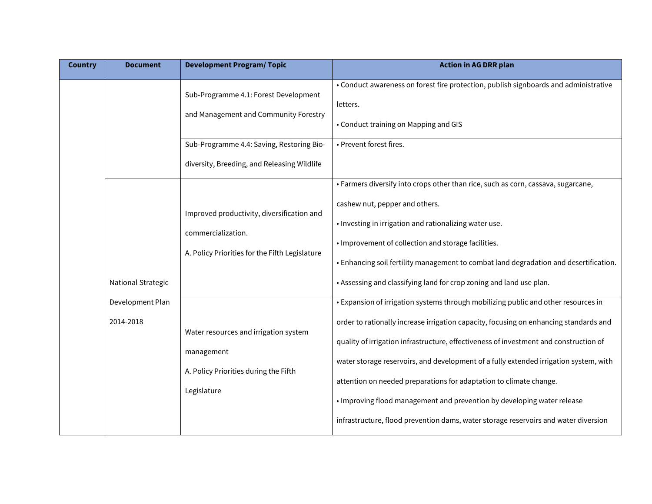| <b>Country</b> | <b>Document</b>               | <b>Development Program/ Topic</b>                                                                                           | <b>Action in AG DRR plan</b>                                                                                                                                                                                                                                                                                                                                                                                                                                                                                                                                                                          |
|----------------|-------------------------------|-----------------------------------------------------------------------------------------------------------------------------|-------------------------------------------------------------------------------------------------------------------------------------------------------------------------------------------------------------------------------------------------------------------------------------------------------------------------------------------------------------------------------------------------------------------------------------------------------------------------------------------------------------------------------------------------------------------------------------------------------|
|                |                               | Sub-Programme 4.1: Forest Development<br>and Management and Community Forestry<br>Sub-Programme 4.4: Saving, Restoring Bio- | • Conduct awareness on forest fire protection, publish signboards and administrative<br>letters.<br>• Conduct training on Mapping and GIS<br>• Prevent forest fires.                                                                                                                                                                                                                                                                                                                                                                                                                                  |
|                |                               | diversity, Breeding, and Releasing Wildlife                                                                                 |                                                                                                                                                                                                                                                                                                                                                                                                                                                                                                                                                                                                       |
|                | <b>National Strategic</b>     | Improved productivity, diversification and<br>commercialization.<br>A. Policy Priorities for the Fifth Legislature          | • Farmers diversify into crops other than rice, such as corn, cassava, sugarcane,<br>cashew nut, pepper and others.<br>. Investing in irrigation and rationalizing water use.<br>• Improvement of collection and storage facilities.<br>. Enhancing soil fertility management to combat land degradation and desertification.<br>. Assessing and classifying land for crop zoning and land use plan.                                                                                                                                                                                                  |
|                | Development Plan<br>2014-2018 | Water resources and irrigation system<br>management<br>A. Policy Priorities during the Fifth<br>Legislature                 | • Expansion of irrigation systems through mobilizing public and other resources in<br>order to rationally increase irrigation capacity, focusing on enhancing standards and<br>quality of irrigation infrastructure, effectiveness of investment and construction of<br>water storage reservoirs, and development of a fully extended irrigation system, with<br>attention on needed preparations for adaptation to climate change.<br>. Improving flood management and prevention by developing water release<br>infrastructure, flood prevention dams, water storage reservoirs and water diversion |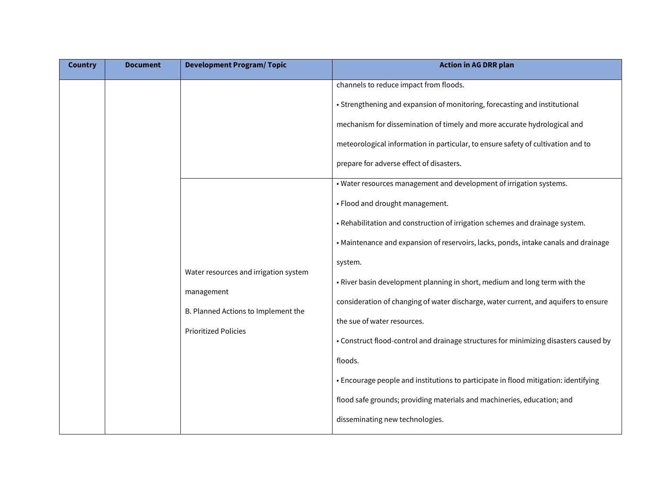| <b>Country</b> | <b>Document</b> | <b>Development Program/Topic</b>                                                                                          | <b>Action in AG DRR plan</b>                                                                                                                                                                                                                                                                                                                                                                                                                                                                                                                                                                                                                                                                                                                                                                                                                                                                                                                                                                                                                                                                                                             |
|----------------|-----------------|---------------------------------------------------------------------------------------------------------------------------|------------------------------------------------------------------------------------------------------------------------------------------------------------------------------------------------------------------------------------------------------------------------------------------------------------------------------------------------------------------------------------------------------------------------------------------------------------------------------------------------------------------------------------------------------------------------------------------------------------------------------------------------------------------------------------------------------------------------------------------------------------------------------------------------------------------------------------------------------------------------------------------------------------------------------------------------------------------------------------------------------------------------------------------------------------------------------------------------------------------------------------------|
|                |                 | Water resources and irrigation system<br>management<br>B. Planned Actions to Implement the<br><b>Prioritized Policies</b> | channels to reduce impact from floods.<br>• Strengthening and expansion of monitoring, forecasting and institutional<br>mechanism for dissemination of timely and more accurate hydrological and<br>meteorological information in particular, to ensure safety of cultivation and to<br>prepare for adverse effect of disasters.<br>. Water resources management and development of irrigation systems.<br>• Flood and drought management.<br>. Rehabilitation and construction of irrigation schemes and drainage system.<br>• Maintenance and expansion of reservoirs, lacks, ponds, intake canals and drainage<br>system.<br>• River basin development planning in short, medium and long term with the<br>consideration of changing of water discharge, water current, and aquifers to ensure<br>the sue of water resources.<br>• Construct flood-control and drainage structures for minimizing disasters caused by<br>floods.<br>• Encourage people and institutions to participate in flood mitigation: identifying<br>flood safe grounds; providing materials and machineries, education; and<br>disseminating new technologies. |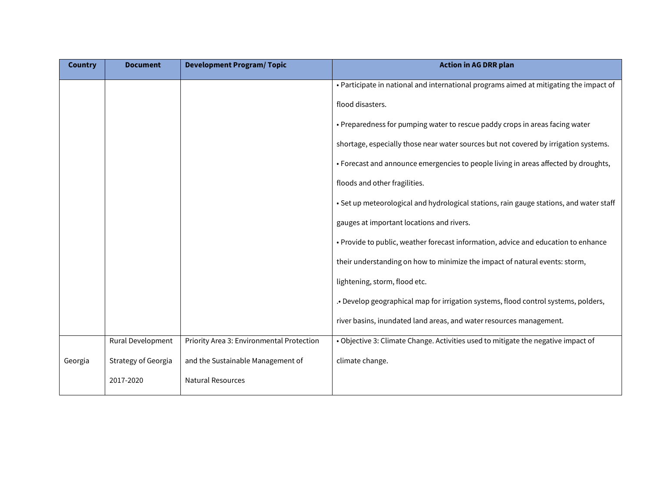| <b>Country</b> | <b>Document</b>     | <b>Development Program/Topic</b>          | <b>Action in AG DRR plan</b>                                                            |
|----------------|---------------------|-------------------------------------------|-----------------------------------------------------------------------------------------|
|                |                     |                                           | • Participate in national and international programs aimed at mitigating the impact of  |
|                |                     |                                           | flood disasters.                                                                        |
|                |                     |                                           | • Preparedness for pumping water to rescue paddy crops in areas facing water            |
|                |                     |                                           | shortage, especially those near water sources but not covered by irrigation systems.    |
|                |                     |                                           | • Forecast and announce emergencies to people living in areas affected by droughts,     |
|                |                     |                                           | floods and other fragilities.                                                           |
|                |                     |                                           | • Set up meteorological and hydrological stations, rain gauge stations, and water staff |
|                |                     |                                           | gauges at important locations and rivers.                                               |
|                |                     |                                           | • Provide to public, weather forecast information, advice and education to enhance      |
|                |                     |                                           | their understanding on how to minimize the impact of natural events: storm,             |
|                |                     |                                           | lightening, storm, flood etc.                                                           |
|                |                     |                                           | . Develop geographical map for irrigation systems, flood control systems, polders,      |
|                |                     |                                           | river basins, inundated land areas, and water resources management.                     |
|                | Rural Development   | Priority Area 3: Environmental Protection | . Objective 3: Climate Change. Activities used to mitigate the negative impact of       |
| Georgia        | Strategy of Georgia | and the Sustainable Management of         | climate change.                                                                         |
|                | 2017-2020           | <b>Natural Resources</b>                  |                                                                                         |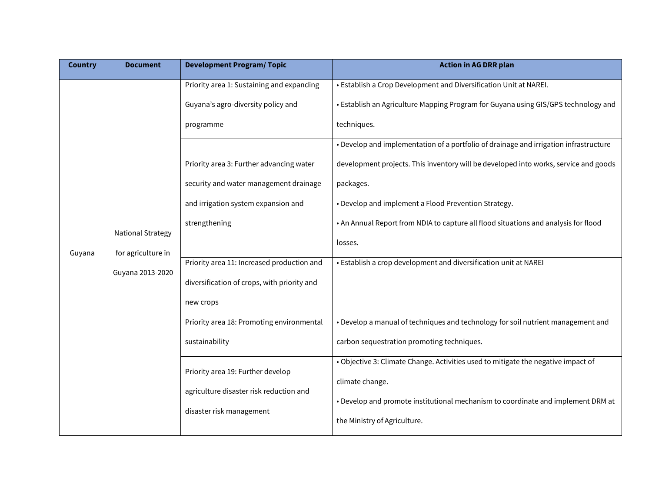| <b>Country</b> | <b>Document</b>                                                    | <b>Development Program/Topic</b>                                                                                                                                                                                                                                                                                                                                                                  | <b>Action in AG DRR plan</b>                                                                                                                                                                                                                                                                                                                                                                                                                                                                                                                                                                                                                                                           |                                            |
|----------------|--------------------------------------------------------------------|---------------------------------------------------------------------------------------------------------------------------------------------------------------------------------------------------------------------------------------------------------------------------------------------------------------------------------------------------------------------------------------------------|----------------------------------------------------------------------------------------------------------------------------------------------------------------------------------------------------------------------------------------------------------------------------------------------------------------------------------------------------------------------------------------------------------------------------------------------------------------------------------------------------------------------------------------------------------------------------------------------------------------------------------------------------------------------------------------|--------------------------------------------|
| Guyana         | <b>National Strategy</b><br>for agriculture in<br>Guyana 2013-2020 | Priority area 1: Sustaining and expanding<br>Guyana's agro-diversity policy and<br>programme<br>Priority area 3: Further advancing water<br>security and water management drainage<br>and irrigation system expansion and<br>strengthening<br>Priority area 11: Increased production and<br>diversification of crops, with priority and<br>new crops<br>Priority area 18: Promoting environmental | • Establish a Crop Development and Diversification Unit at NAREI.<br>• Establish an Agriculture Mapping Program for Guyana using GIS/GPS technology and<br>techniques.<br>. Develop and implementation of a portfolio of drainage and irrigation infrastructure<br>development projects. This inventory will be developed into works, service and goods<br>packages.<br>• Develop and implement a Flood Prevention Strategy.<br>. An Annual Report from NDIA to capture all flood situations and analysis for flood<br>losses.<br>• Establish a crop development and diversification unit at NAREI<br>. Develop a manual of techniques and technology for soil nutrient management and |                                            |
|                |                                                                    |                                                                                                                                                                                                                                                                                                                                                                                                   | sustainability                                                                                                                                                                                                                                                                                                                                                                                                                                                                                                                                                                                                                                                                         | carbon sequestration promoting techniques. |
|                |                                                                    | Priority area 19: Further develop<br>agriculture disaster risk reduction and<br>disaster risk management                                                                                                                                                                                                                                                                                          | . Objective 3: Climate Change. Activities used to mitigate the negative impact of<br>climate change.<br>. Develop and promote institutional mechanism to coordinate and implement DRM at<br>the Ministry of Agriculture.                                                                                                                                                                                                                                                                                                                                                                                                                                                               |                                            |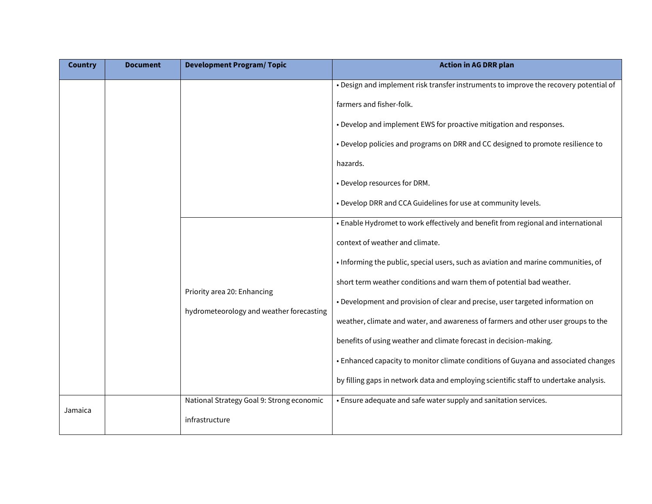| <b>Country</b> | <b>Document</b> | <b>Development Program/Topic</b>                                               | <b>Action in AG DRR plan</b>                                                          |
|----------------|-----------------|--------------------------------------------------------------------------------|---------------------------------------------------------------------------------------|
|                |                 |                                                                                | • Design and implement risk transfer instruments to improve the recovery potential of |
|                |                 |                                                                                | farmers and fisher-folk.                                                              |
|                |                 |                                                                                | • Develop and implement EWS for proactive mitigation and responses.                   |
|                |                 |                                                                                | • Develop policies and programs on DRR and CC designed to promote resilience to       |
|                |                 |                                                                                | hazards.                                                                              |
|                |                 |                                                                                | • Develop resources for DRM.                                                          |
|                |                 |                                                                                | . Develop DRR and CCA Guidelines for use at community levels.                         |
|                |                 |                                                                                | • Enable Hydromet to work effectively and benefit from regional and international     |
|                |                 | Priority area 20: Enhancing                                                    | context of weather and climate.                                                       |
|                |                 |                                                                                | • Informing the public, special users, such as aviation and marine communities, of    |
|                |                 |                                                                                | short term weather conditions and warn them of potential bad weather.                 |
|                |                 | • Development and provision of clear and precise, user targeted information on |                                                                                       |
|                |                 | hydrometeorology and weather forecasting                                       | weather, climate and water, and awareness of farmers and other user groups to the     |
|                |                 |                                                                                | benefits of using weather and climate forecast in decision-making.                    |
|                |                 |                                                                                | • Enhanced capacity to monitor climate conditions of Guyana and associated changes    |
|                |                 |                                                                                | by filling gaps in network data and employing scientific staff to undertake analysis. |
| Jamaica        |                 | National Strategy Goal 9: Strong economic                                      | • Ensure adequate and safe water supply and sanitation services.                      |
|                |                 | infrastructure                                                                 |                                                                                       |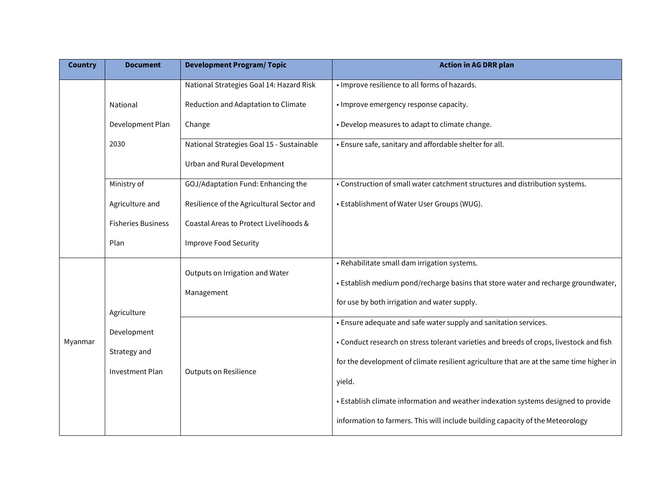| <b>Country</b> | <b>Document</b>           | <b>Development Program/Topic</b>          | <b>Action in AG DRR plan</b>                                                             |                                                                                    |
|----------------|---------------------------|-------------------------------------------|------------------------------------------------------------------------------------------|------------------------------------------------------------------------------------|
|                |                           | National Strategies Goal 14: Hazard Risk  | · Improve resilience to all forms of hazards.                                            |                                                                                    |
|                | National                  | Reduction and Adaptation to Climate       | · Improve emergency response capacity.                                                   |                                                                                    |
|                | Development Plan          | Change                                    | • Develop measures to adapt to climate change.                                           |                                                                                    |
|                | 2030                      | National Strategies Goal 15 - Sustainable | • Ensure safe, sanitary and affordable shelter for all.                                  |                                                                                    |
|                |                           | Urban and Rural Development               |                                                                                          |                                                                                    |
|                | Ministry of               | GOJ/Adaptation Fund: Enhancing the        | • Construction of small water catchment structures and distribution systems.             |                                                                                    |
|                | Agriculture and           | Resilience of the Agricultural Sector and | • Establishment of Water User Groups (WUG).                                              |                                                                                    |
|                | <b>Fisheries Business</b> | Coastal Areas to Protect Livelihoods &    |                                                                                          |                                                                                    |
|                | Plan                      | <b>Improve Food Security</b>              |                                                                                          |                                                                                    |
|                |                           | Outputs on Irrigation and Water           | • Rehabilitate small dam irrigation systems.                                             |                                                                                    |
|                | Agriculture               |                                           | Management                                                                               | . Establish medium pond/recharge basins that store water and recharge groundwater, |
|                |                           |                                           | for use by both irrigation and water supply.                                             |                                                                                    |
|                | Development               |                                           | • Ensure adequate and safe water supply and sanitation services.                         |                                                                                    |
| Myanmar        | Strategy and              |                                           | • Conduct research on stress tolerant varieties and breeds of crops, livestock and fish  |                                                                                    |
|                | Investment Plan           |                                           | for the development of climate resilient agriculture that are at the same time higher in |                                                                                    |
|                |                           | Outputs on Resilience                     | yield.                                                                                   |                                                                                    |
|                |                           |                                           | • Establish climate information and weather indexation systems designed to provide       |                                                                                    |
|                |                           |                                           | information to farmers. This will include building capacity of the Meteorology           |                                                                                    |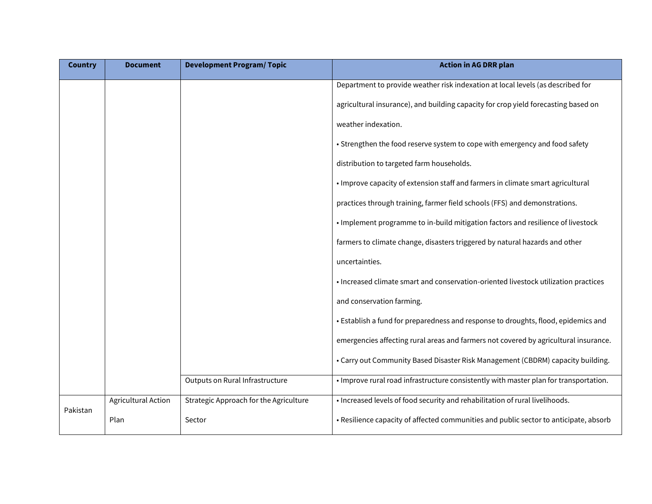| <b>Country</b> | <b>Document</b>     | <b>Development Program/ Topic</b>      | <b>Action in AG DRR plan</b>                                                          |
|----------------|---------------------|----------------------------------------|---------------------------------------------------------------------------------------|
|                |                     |                                        | Department to provide weather risk indexation at local levels (as described for       |
|                |                     |                                        | agricultural insurance), and building capacity for crop yield forecasting based on    |
|                |                     |                                        | weather indexation.                                                                   |
|                |                     |                                        | • Strengthen the food reserve system to cope with emergency and food safety           |
|                |                     |                                        | distribution to targeted farm households.                                             |
|                |                     |                                        | • Improve capacity of extension staff and farmers in climate smart agricultural       |
|                |                     |                                        | practices through training, farmer field schools (FFS) and demonstrations.            |
|                |                     |                                        | . Implement programme to in-build mitigation factors and resilience of livestock      |
|                |                     |                                        | farmers to climate change, disasters triggered by natural hazards and other           |
|                |                     |                                        | uncertainties.                                                                        |
|                |                     |                                        | • Increased climate smart and conservation-oriented livestock utilization practices   |
|                |                     |                                        | and conservation farming.                                                             |
|                |                     |                                        | • Establish a fund for preparedness and response to droughts, flood, epidemics and    |
|                |                     |                                        | emergencies affecting rural areas and farmers not covered by agricultural insurance.  |
|                |                     |                                        | • Carry out Community Based Disaster Risk Management (CBDRM) capacity building.       |
|                |                     | Outputs on Rural Infrastructure        | . Improve rural road infrastructure consistently with master plan for transportation. |
|                | Agricultural Action | Strategic Approach for the Agriculture | . Increased levels of food security and rehabilitation of rural livelihoods.          |
| Pakistan       | Plan                | Sector                                 | • Resilience capacity of affected communities and public sector to anticipate, absorb |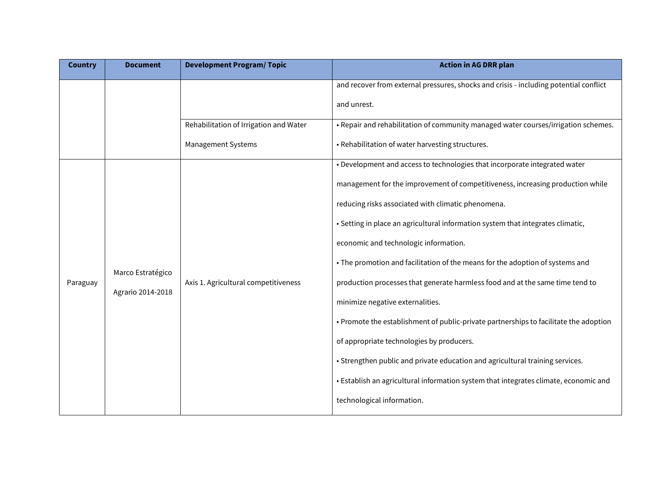| <b>Country</b> | <b>Document</b>                        | <b>Development Program/Topic</b>       | <b>Action in AG DRR plan</b>                                                          |
|----------------|----------------------------------------|----------------------------------------|---------------------------------------------------------------------------------------|
|                |                                        |                                        | and recover from external pressures, shocks and crisis - including potential conflict |
|                |                                        |                                        | and unrest.                                                                           |
|                |                                        | Rehabilitation of Irrigation and Water | . Repair and rehabilitation of community managed water courses/irrigation schemes.    |
|                |                                        | Management Systems                     | • Rehabilitation of water harvesting structures.                                      |
|                |                                        |                                        | • Development and access to technologies that incorporate integrated water            |
|                |                                        |                                        | management for the improvement of competitiveness, increasing production while        |
|                | Marco Estratégico<br>Agrario 2014-2018 |                                        | reducing risks associated with climatic phenomena.                                    |
|                |                                        |                                        | • Setting in place an agricultural information system that integrates climatic,       |
|                |                                        |                                        | economic and technologic information.                                                 |
|                |                                        |                                        | • The promotion and facilitation of the means for the adoption of systems and         |
| Paraguay       |                                        | Axis 1. Agricultural competitiveness   | production processes that generate harmless food and at the same time tend to         |
|                |                                        |                                        | minimize negative externalities.                                                      |
|                |                                        |                                        | • Promote the establishment of public-private partnerships to facilitate the adoption |
|                |                                        |                                        | of appropriate technologies by producers.                                             |
|                |                                        |                                        | • Strengthen public and private education and agricultural training services.         |
|                |                                        |                                        | • Establish an agricultural information system that integrates climate, economic and  |
|                |                                        |                                        | technological information.                                                            |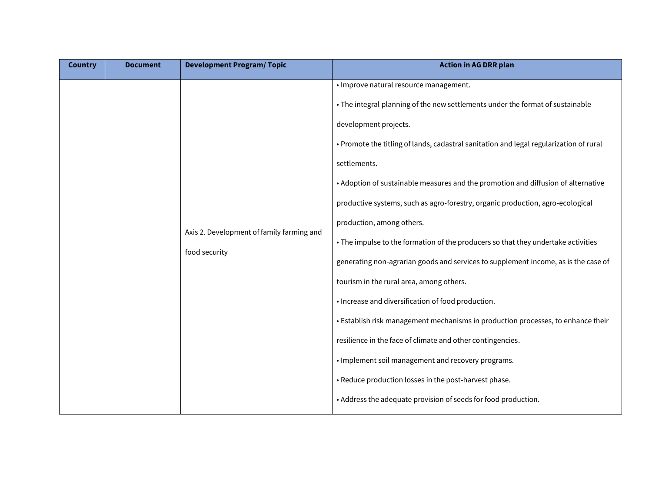| <b>Country</b> | <b>Document</b> | <b>Development Program/ Topic</b>                          | <b>Action in AG DRR plan</b>                                                           |
|----------------|-----------------|------------------------------------------------------------|----------------------------------------------------------------------------------------|
|                |                 |                                                            | • Improve natural resource management.                                                 |
|                |                 |                                                            | • The integral planning of the new settlements under the format of sustainable         |
|                |                 |                                                            | development projects.                                                                  |
|                |                 |                                                            | • Promote the titling of lands, cadastral sanitation and legal regularization of rural |
|                |                 |                                                            | settlements.                                                                           |
|                |                 |                                                            | • Adoption of sustainable measures and the promotion and diffusion of alternative      |
|                |                 |                                                            | productive systems, such as agro-forestry, organic production, agro-ecological         |
|                |                 | Axis 2. Development of family farming and<br>food security | production, among others.                                                              |
|                |                 |                                                            | • The impulse to the formation of the producers so that they undertake activities      |
|                |                 |                                                            | generating non-agrarian goods and services to supplement income, as is the case of     |
|                |                 |                                                            | tourism in the rural area, among others.                                               |
|                |                 |                                                            | • Increase and diversification of food production.                                     |
|                |                 |                                                            | • Establish risk management mechanisms in production processes, to enhance their       |
|                |                 |                                                            | resilience in the face of climate and other contingencies.                             |
|                |                 |                                                            | • Implement soil management and recovery programs.                                     |
|                |                 | • Reduce production losses in the post-harvest phase.      |                                                                                        |
|                |                 |                                                            | • Address the adequate provision of seeds for food production.                         |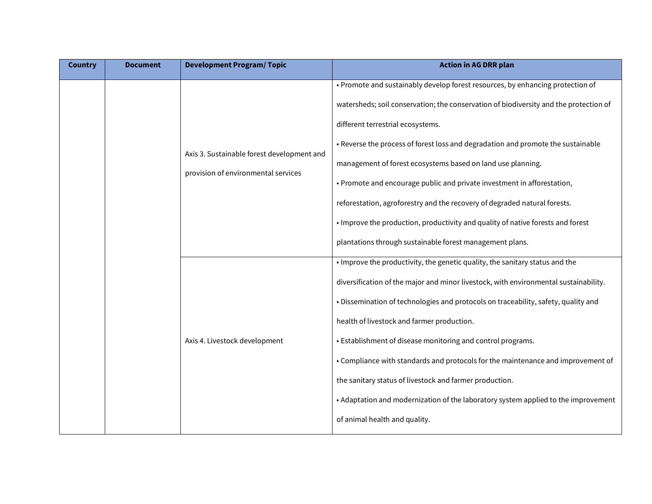| <b>Country</b> | <b>Document</b>                                                                   | <b>Development Program/Topic</b>                                                      | <b>Action in AG DRR plan</b>                                                         |
|----------------|-----------------------------------------------------------------------------------|---------------------------------------------------------------------------------------|--------------------------------------------------------------------------------------|
|                | Axis 3. Sustainable forest development and<br>provision of environmental services |                                                                                       | • Promote and sustainably develop forest resources, by enhancing protection of       |
|                |                                                                                   | watersheds; soil conservation; the conservation of biodiversity and the protection of |                                                                                      |
|                |                                                                                   | different terrestrial ecosystems.                                                     |                                                                                      |
|                |                                                                                   |                                                                                       | • Reverse the process of forest loss and degradation and promote the sustainable     |
|                |                                                                                   |                                                                                       | management of forest ecosystems based on land use planning.                          |
|                |                                                                                   | • Promote and encourage public and private investment in afforestation,               |                                                                                      |
|                |                                                                                   |                                                                                       | reforestation, agroforestry and the recovery of degraded natural forests.            |
|                |                                                                                   |                                                                                       | . Improve the production, productivity and quality of native forests and forest      |
|                |                                                                                   |                                                                                       | plantations through sustainable forest management plans.                             |
|                |                                                                                   | Axis 4. Livestock development                                                         | . Improve the productivity, the genetic quality, the sanitary status and the         |
|                |                                                                                   |                                                                                       | diversification of the major and minor livestock, with environmental sustainability. |
|                |                                                                                   |                                                                                       | · Dissemination of technologies and protocols on traceability, safety, quality and   |
|                |                                                                                   |                                                                                       | health of livestock and farmer production.                                           |
|                |                                                                                   |                                                                                       | • Establishment of disease monitoring and control programs.                          |
|                |                                                                                   |                                                                                       | • Compliance with standards and protocols for the maintenance and improvement of     |
|                |                                                                                   |                                                                                       | the sanitary status of livestock and farmer production.                              |
|                |                                                                                   |                                                                                       | • Adaptation and modernization of the laboratory system applied to the improvement   |
|                |                                                                                   |                                                                                       | of animal health and quality.                                                        |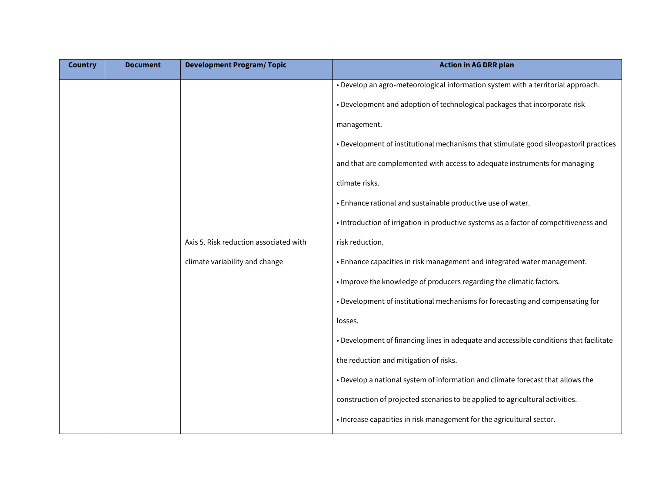| <b>Country</b> | <b>Document</b> | <b>Development Program/Topic</b>       | <b>Action in AG DRR plan</b>                                                           |
|----------------|-----------------|----------------------------------------|----------------------------------------------------------------------------------------|
|                |                 |                                        | . Develop an agro-meteorological information system with a territorial approach.       |
|                |                 |                                        | • Development and adoption of technological packages that incorporate risk             |
|                |                 |                                        | management.                                                                            |
|                |                 |                                        | • Development of institutional mechanisms that stimulate good silvopastoril practices  |
|                |                 |                                        | and that are complemented with access to adequate instruments for managing             |
|                |                 |                                        | climate risks.                                                                         |
|                |                 |                                        | • Enhance rational and sustainable productive use of water.                            |
|                |                 |                                        | • Introduction of irrigation in productive systems as a factor of competitiveness and  |
|                |                 | Axis 5. Risk reduction associated with | risk reduction.                                                                        |
|                |                 | climate variability and change         | • Enhance capacities in risk management and integrated water management.               |
|                |                 |                                        | . Improve the knowledge of producers regarding the climatic factors.                   |
|                |                 |                                        | • Development of institutional mechanisms for forecasting and compensating for         |
|                |                 |                                        | losses.                                                                                |
|                |                 |                                        | • Development of financing lines in adequate and accessible conditions that facilitate |
|                |                 |                                        | the reduction and mitigation of risks.                                                 |
|                |                 |                                        | . Develop a national system of information and climate forecast that allows the        |
|                |                 |                                        | construction of projected scenarios to be applied to agricultural activities.          |
|                |                 |                                        | . Increase capacities in risk management for the agricultural sector.                  |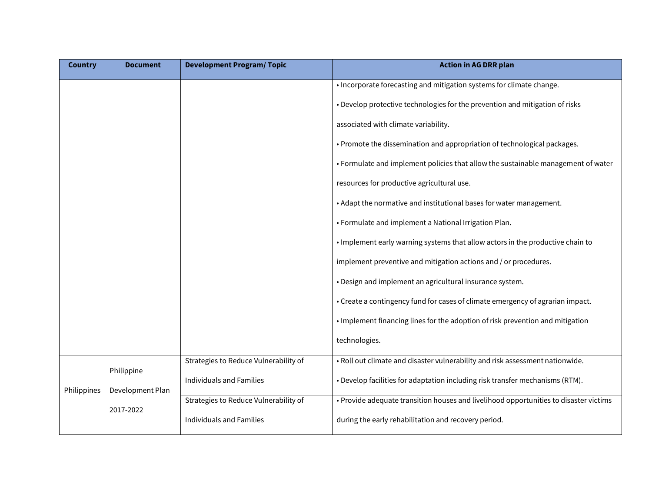| <b>Country</b> | <b>Document</b>                             | <b>Development Program/Topic</b>      | <b>Action in AG DRR plan</b>                                                          |
|----------------|---------------------------------------------|---------------------------------------|---------------------------------------------------------------------------------------|
|                |                                             |                                       | • Incorporate forecasting and mitigation systems for climate change.                  |
|                |                                             |                                       | • Develop protective technologies for the prevention and mitigation of risks          |
|                |                                             |                                       | associated with climate variability.                                                  |
|                |                                             |                                       | • Promote the dissemination and appropriation of technological packages.              |
|                |                                             |                                       | • Formulate and implement policies that allow the sustainable management of water     |
|                |                                             |                                       | resources for productive agricultural use.                                            |
|                |                                             |                                       | • Adapt the normative and institutional bases for water management.                   |
|                |                                             |                                       | • Formulate and implement a National Irrigation Plan.                                 |
|                |                                             |                                       | . Implement early warning systems that allow actors in the productive chain to        |
|                |                                             |                                       | implement preventive and mitigation actions and / or procedures.                      |
|                |                                             |                                       | • Design and implement an agricultural insurance system.                              |
|                |                                             |                                       | • Create a contingency fund for cases of climate emergency of agrarian impact.        |
|                |                                             |                                       | . Implement financing lines for the adoption of risk prevention and mitigation        |
|                |                                             |                                       | technologies.                                                                         |
| Philippines    | Philippine<br>Development Plan<br>2017-2022 | Strategies to Reduce Vulnerability of | . Roll out climate and disaster vulnerability and risk assessment nationwide.         |
|                |                                             | <b>Individuals and Families</b>       | . Develop facilities for adaptation including risk transfer mechanisms (RTM).         |
|                |                                             | Strategies to Reduce Vulnerability of | . Provide adequate transition houses and livelihood opportunities to disaster victims |
|                |                                             | <b>Individuals and Families</b>       | during the early rehabilitation and recovery period.                                  |
|                |                                             |                                       |                                                                                       |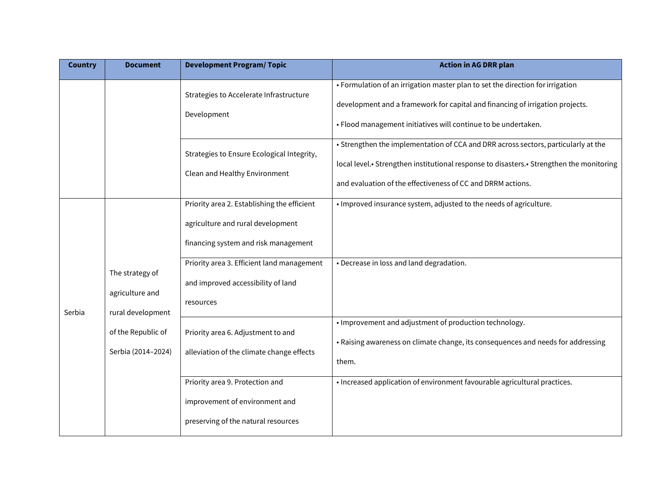| <b>Country</b> | <b>Document</b>                                                                                     | <b>Development Program/Topic</b>                                                                                         | <b>Action in AG DRR plan</b>                                                                                                                                                                                                                  |
|----------------|-----------------------------------------------------------------------------------------------------|--------------------------------------------------------------------------------------------------------------------------|-----------------------------------------------------------------------------------------------------------------------------------------------------------------------------------------------------------------------------------------------|
|                |                                                                                                     | Strategies to Accelerate Infrastructure<br>Development                                                                   | • Formulation of an irrigation master plan to set the direction for irrigation<br>development and a framework for capital and financing of irrigation projects.<br>· Flood management initiatives will continue to be undertaken.             |
|                |                                                                                                     | Strategies to Ensure Ecological Integrity,<br>Clean and Healthy Environment                                              | • Strengthen the implementation of CCA and DRR across sectors, particularly at the<br>local level.• Strengthen institutional response to disasters.• Strengthen the monitoring<br>and evaluation of the effectiveness of CC and DRRM actions. |
|                |                                                                                                     | Priority area 2. Establishing the efficient<br>agriculture and rural development<br>financing system and risk management | . Improved insurance system, adjusted to the needs of agriculture.                                                                                                                                                                            |
| Serbia         | The strategy of<br>agriculture and<br>rural development<br>of the Republic of<br>Serbia (2014-2024) | Priority area 3. Efficient land management<br>and improved accessibility of land<br>resources                            | • Decrease in loss and land degradation.                                                                                                                                                                                                      |
|                |                                                                                                     | Priority area 6. Adjustment to and<br>alleviation of the climate change effects                                          | • Improvement and adjustment of production technology.<br>• Raising awareness on climate change, its consequences and needs for addressing<br>them.                                                                                           |
|                |                                                                                                     | Priority area 9. Protection and<br>improvement of environment and<br>preserving of the natural resources                 | • Increased application of environment favourable agricultural practices.                                                                                                                                                                     |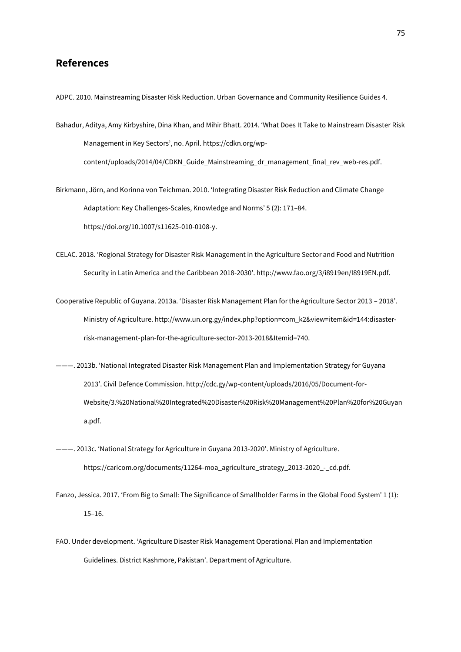## **References**

ADPC. 2010. Mainstreaming Disaster Risk Reduction. Urban Governance and Community Resilience Guides 4.

Bahadur, Aditya, Amy Kirbyshire, Dina Khan, and Mihir Bhatt. 2014. 'What Does It Take to Mainstream Disaster Risk Management in Key Sectors', no. April. https://cdkn.org/wpcontent/uploads/2014/04/CDKN\_Guide\_Mainstreaming\_dr\_management\_final\_rev\_web-res.pdf.

Birkmann, Jörn, and Korinna von Teichman. 2010. 'Integrating Disaster Risk Reduction and Climate Change Adaptation: Key Challenges-Scales, Knowledge and Norms' 5 (2): 171–84. https://doi.org/10.1007/s11625-010-0108-y.

CELAC. 2018. 'Regional Strategy for Disaster Risk Management in the Agriculture Sector and Food and Nutrition Security in Latin America and the Caribbean 2018-2030'. http://www.fao.org/3/i8919en/I8919EN.pdf.

Cooperative Republic of Guyana. 2013a. 'Disaster Risk Management Plan for the Agriculture Sector 2013 – 2018'. Ministry of Agriculture. http://www.un.org.gy/index.php?option=com\_k2&view=item&id=144:disasterrisk-management-plan-for-the-agriculture-sector-2013-2018&Itemid=740.

- ———. 2013b. 'National Integrated Disaster Risk Management Plan and Implementation Strategy for Guyana 2013'. Civil Defence Commission. http://cdc.gy/wp-content/uploads/2016/05/Document-for-Website/3.%20National%20Integrated%20Disaster%20Risk%20Management%20Plan%20for%20Guyan a.pdf.
- ———. 2013c. 'National Strategy for Agriculture in Guyana 2013-2020'. Ministry of Agriculture. https://caricom.org/documents/11264-moa\_agriculture\_strategy\_2013-2020\_-\_cd.pdf.

Fanzo, Jessica. 2017. 'From Big to Small: The Significance of Smallholder Farms in the Global Food System' 1 (1): 15–16.

FAO. Under development. 'Agriculture Disaster Risk Management Operational Plan and Implementation Guidelines. District Kashmore, Pakistan'. Department of Agriculture.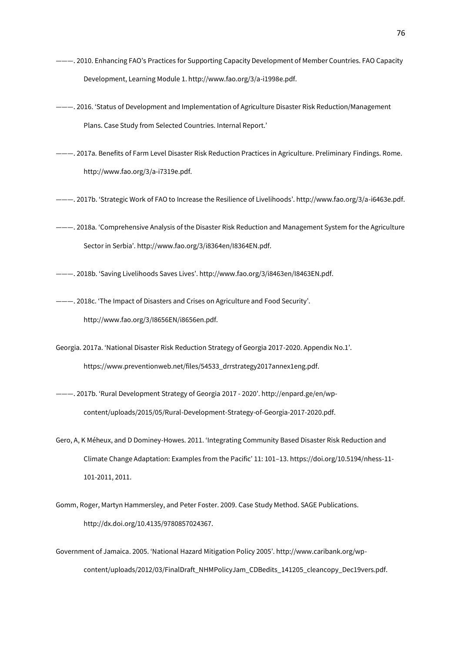- ———. 2010. Enhancing FAO's Practices for Supporting Capacity Development of Member Countries. FAO Capacity Development, Learning Module 1. http://www.fao.org/3/a-i1998e.pdf.
- ———. 2016. 'Status of Development and Implementation of Agriculture Disaster Risk Reduction/Management Plans. Case Study from Selected Countries. Internal Report.'
- ———. 2017a. Benefits of Farm Level Disaster Risk Reduction Practices in Agriculture. Preliminary Findings. Rome. http://www.fao.org/3/a-i7319e.pdf.
- ———. 2017b. 'Strategic Work of FAO to Increase the Resilience of Livelihoods'. http://www.fao.org/3/a-i6463e.pdf.
- ———. 2018a. 'Comprehensive Analysis of the Disaster Risk Reduction and Management System for the Agriculture Sector in Serbia'. http://www.fao.org/3/i8364en/I8364EN.pdf.
- ———. 2018b. 'Saving Livelihoods Saves Lives'. http://www.fao.org/3/i8463en/I8463EN.pdf.
- ———. 2018c. 'The Impact of Disasters and Crises on Agriculture and Food Security'. http://www.fao.org/3/I8656EN/i8656en.pdf.
- Georgia. 2017a. 'National Disaster Risk Reduction Strategy of Georgia 2017-2020. Appendix No.1'. https://www.preventionweb.net/files/54533\_drrstrategy2017annex1eng.pdf.
- ———. 2017b. 'Rural Development Strategy of Georgia 2017 2020'. http://enpard.ge/en/wpcontent/uploads/2015/05/Rural-Development-Strategy-of-Georgia-2017-2020.pdf.
- Gero, A, K Méheux, and D Dominey-Howes. 2011. 'Integrating Community Based Disaster Risk Reduction and Climate Change Adaptation: Examples from the Pacific' 11: 101–13. https://doi.org/10.5194/nhess-11- 101-2011, 2011.
- Gomm, Roger, Martyn Hammersley, and Peter Foster. 2009. Case Study Method. SAGE Publications. http://dx.doi.org/10.4135/9780857024367.
- Government of Jamaica. 2005. 'National Hazard Mitigation Policy 2005'. http://www.caribank.org/wpcontent/uploads/2012/03/FinalDraft\_NHMPolicyJam\_CDBedits\_141205\_cleancopy\_Dec19vers.pdf.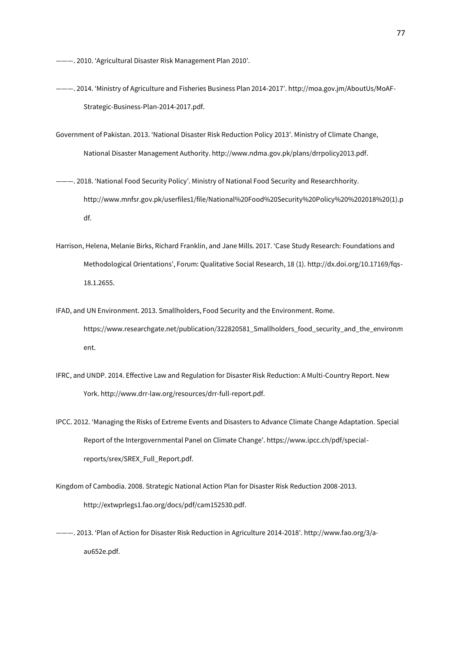———. 2010. 'Agricultural Disaster Risk Management Plan 2010'.

- ———. 2014. 'Ministry of Agriculture and Fisheries Business Plan 2014-2017'. http://moa.gov.jm/AboutUs/MoAF-Strategic-Business-Plan-2014-2017.pdf.
- Government of Pakistan. 2013. 'National Disaster Risk Reduction Policy 2013'. Ministry of Climate Change, National Disaster Management Authority. http://www.ndma.gov.pk/plans/drrpolicy2013.pdf.
- ———. 2018. 'National Food Security Policy'. Ministry of National Food Security and Researchhority. http://www.mnfsr.gov.pk/userfiles1/file/National%20Food%20Security%20Policy%20%202018%20(1).p df.
- Harrison, Helena, Melanie Birks, Richard Franklin, and Jane Mills. 2017. 'Case Study Research: Foundations and Methodological Orientations', Forum: Qualitative Social Research, 18 (1). http://dx.doi.org/10.17169/fqs-18.1.2655.
- IFAD, and UN Environment. 2013. Smallholders, Food Security and the Environment. Rome. https://www.researchgate.net/publication/322820581\_Smallholders\_food\_security\_and\_the\_environm ent.
- IFRC, and UNDP. 2014. Effective Law and Regulation for Disaster Risk Reduction: A Multi-Country Report. New York. http://www.drr-law.org/resources/drr-full-report.pdf.
- IPCC. 2012. 'Managing the Risks of Extreme Events and Disasters to Advance Climate Change Adaptation. Special Report of the Intergovernmental Panel on Climate Change'. https://www.ipcc.ch/pdf/specialreports/srex/SREX\_Full\_Report.pdf.
- Kingdom of Cambodia. 2008. Strategic National Action Plan for Disaster Risk Reduction 2008-2013. http://extwprlegs1.fao.org/docs/pdf/cam152530.pdf.
- ———. 2013. 'Plan of Action for Disaster Risk Reduction in Agriculture 2014-2018'. http://www.fao.org/3/aau652e.pdf.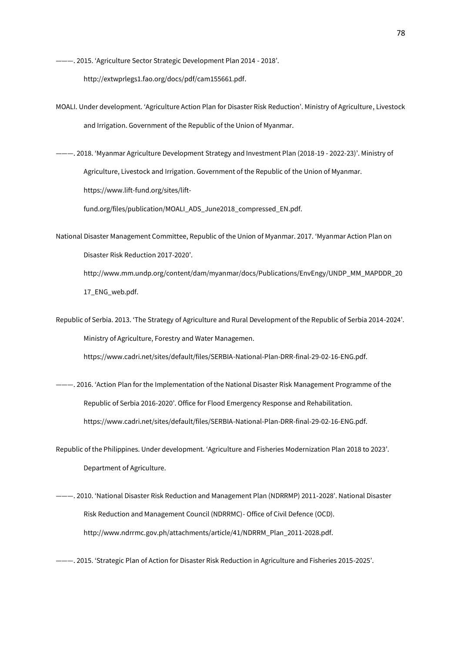———. 2015. 'Agriculture Sector Strategic Development Plan 2014 - 2018'.

http://extwprlegs1.fao.org/docs/pdf/cam155661.pdf.

- MOALI. Under development. 'Agriculture Action Plan for Disaster Risk Reduction'. Ministry of Agriculture, Livestock and Irrigation. Government of the Republic of the Union of Myanmar.
- ———. 2018. 'Myanmar Agriculture Development Strategy and Investment Plan (2018-19 2022-23)'. Ministry of Agriculture, Livestock and Irrigation. Government of the Republic of the Union of Myanmar. https://www.lift-fund.org/sites/lift-

fund.org/files/publication/MOALI\_ADS\_June2018\_compressed\_EN.pdf.

National Disaster Management Committee, Republic of the Union of Myanmar. 2017. 'Myanmar Action Plan on Disaster Risk Reduction 2017-2020'. http://www.mm.undp.org/content/dam/myanmar/docs/Publications/EnvEngy/UNDP\_MM\_MAPDDR\_20

17\_ENG\_web.pdf.

Republic of Serbia. 2013. 'The Strategy of Agriculture and Rural Development of the Republic of Serbia 2014-2024'. Ministry of Agriculture, Forestry and Water Managemen.

https://www.cadri.net/sites/default/files/SERBIA-National-Plan-DRR-final-29-02-16-ENG.pdf.

———. 2016. 'Action Plan for the Implementation of the National Disaster Risk Management Programme of the Republic of Serbia 2016-2020'. Office for Flood Emergency Response and Rehabilitation. https://www.cadri.net/sites/default/files/SERBIA-National-Plan-DRR-final-29-02-16-ENG.pdf.

Republic of the Philippines. Under development. 'Agriculture and Fisheries Modernization Plan 2018 to 2023'. Department of Agriculture.

- ———. 2010. 'National Disaster Risk Reduction and Management Plan (NDRRMP) 2011‐2028'. National Disaster Risk Reduction and Management Council (NDRRMC)- Office of Civil Defence (OCD). http://www.ndrrmc.gov.ph/attachments/article/41/NDRRM\_Plan\_2011-2028.pdf.
- ———. 2015. 'Strategic Plan of Action for Disaster Risk Reduction in Agriculture and Fisheries 2015-2025'.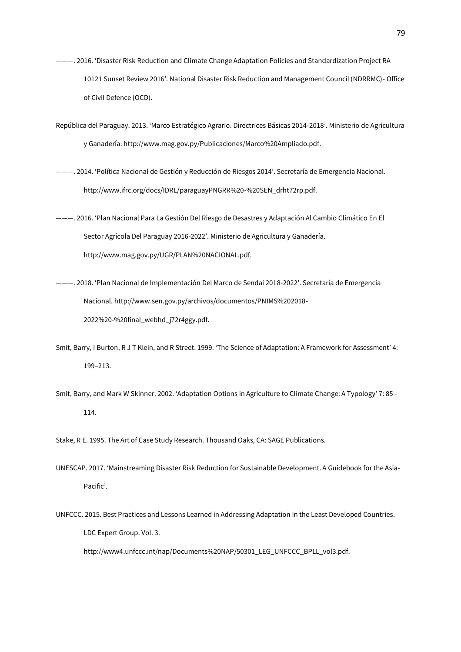- ———. 2016. 'Disaster Risk Reduction and Climate Change Adaptation Policies and Standardization Project RA 10121 Sunset Review 2016'. National Disaster Risk Reduction and Management Council (NDRRMC)- Office of Civil Defence (OCD).
- República del Paraguay. 2013. 'Marco Estratégico Agrario. Directrices Básicas 2014-2018'. Ministerio de Agricultura y Ganadería. http://www.mag.gov.py/Publicaciones/Marco%20Ampliado.pdf.
- ———. 2014. 'Política Nacional de Gestión y Reducción de Riesgos 2014'. Secretaría de Emergencia Nacional. http://www.ifrc.org/docs/IDRL/paraguayPNGRR%20-%20SEN\_drht72rp.pdf.
- ———. 2016. 'Plan Nacional Para La Gestión Del Riesgo de Desastres y Adaptación Al Cambio Climático En El Sector Agrícola Del Paraguay 2016-2022'. Ministerio de Agricultura y Ganadería. http://www.mag.gov.py/UGR/PLAN%20NACIONAL.pdf.
- ———. 2018. 'Plan Nacional de Implementación Del Marco de Sendai 2018-2022'. Secretaría de Emergencia Nacional. http://www.sen.gov.py/archivos/documentos/PNIMS%202018- 2022%20-%20final\_webhd\_j72r4ggy.pdf.
- Smit, Barry, I Burton, R J T Klein, and R Street. 1999. 'The Science of Adaptation: A Framework for Assessment' 4: 199–213.
- Smit, Barry, and Mark W Skinner. 2002. 'Adaptation Options in Agriculture to Climate Change: A Typology' 7: 85– 114.

Stake, R E. 1995. The Art of Case Study Research. Thousand Oaks, CA: SAGE Publications.

- UNESCAP. 2017. 'Mainstreaming Disaster Risk Reduction for Sustainable Development. A Guidebook for the Asia-Pacific'.
- UNFCCC. 2015. Best Practices and Lessons Learned in Addressing Adaptation in the Least Developed Countries. LDC Expert Group. Vol. 3. http://www4.unfccc.int/nap/Documents%20NAP/50301\_LEG\_UNFCCC\_BPLL\_vol3.pdf.